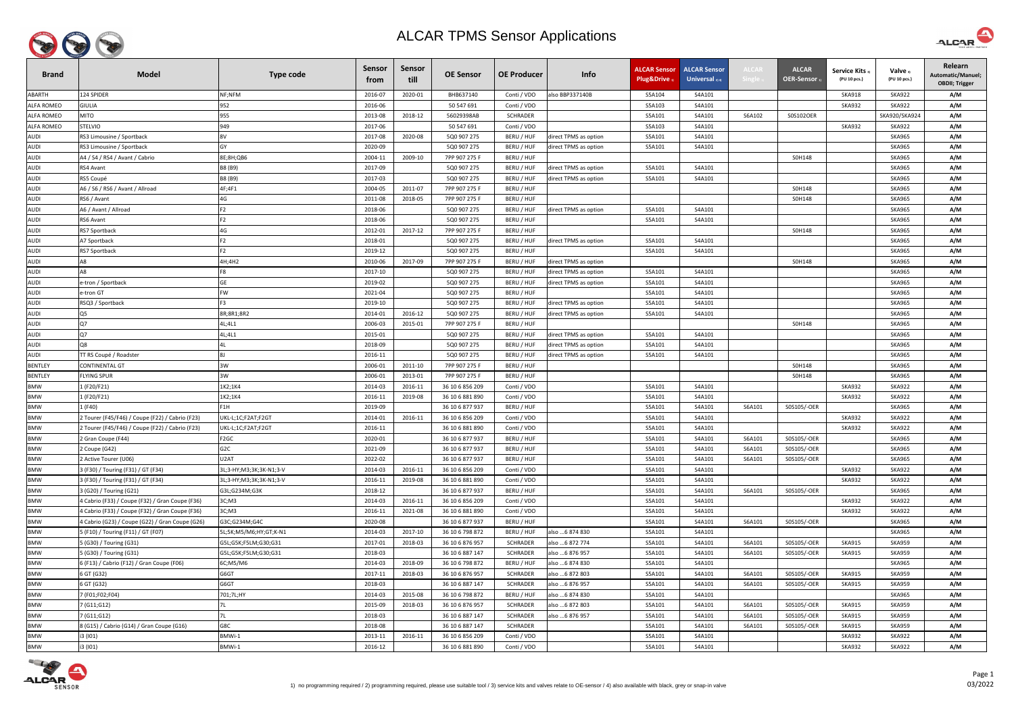

| <b>Brand</b>      | <b>Model</b>                                    | Type code               | <b>Sensor</b><br>trom | Sensor<br>till | <b>OE Sensor</b> | <b>OE Producer</b> | Info                  | <b>ALCAR Sensor</b><br>Plug&Drive 1 | <b>ALCAR Sensor</b><br>Universal $_{2/4}$ | <b>ALCA</b> | <b>ALCAR</b><br><b>OER-Sensor</b> | <b>Service Kits</b><br>(PU 10 pcs.) | Valve 3)<br>(PU 10 pcs.) | Relearn<br>Automatic/Manuel;<br><b>OBDII; Trigger</b> |
|-------------------|-------------------------------------------------|-------------------------|-----------------------|----------------|------------------|--------------------|-----------------------|-------------------------------------|-------------------------------------------|-------------|-----------------------------------|-------------------------------------|--------------------------|-------------------------------------------------------|
| ABARTH            | 124 SPIDER                                      | NF;NFM                  | 2016-07               | 2020-01        | BHB637140        | Conti / VDO        | also BBP337140B       | S5A104                              | S4A101                                    |             |                                   | <b>SKA918</b>                       | <b>SKA922</b>            | A/M                                                   |
| <b>ALFA ROMEO</b> | <b>GIULIA</b>                                   | 952                     | 2016-06               |                | 50 547 691       | Conti / VDO        |                       | S5A103                              | S4A101                                    |             |                                   | <b>SKA932</b>                       | <b>SKA922</b>            | A/M                                                   |
| <b>ALFA ROMEO</b> | <b>MITO</b>                                     | 955                     | 2013-08               | 2018-12        | 56029398AB       | <b>SCHRADER</b>    |                       | S5A101                              | S4A101                                    | S6A102      | S0S102OER                         |                                     | SKA920/SKA924            | A/M                                                   |
| <b>ALFA ROMEO</b> | STELVIO                                         | 949                     | 2017-06               |                | 50 547 691       | Conti / VDO        |                       | S5A103                              | S4A101                                    |             |                                   | <b>SKA932</b>                       | <b>SKA922</b>            | A/M                                                   |
| AUDI              | RS3 Limousine / Sportback                       | 8V                      | 2017-08               | 2020-08        | 5Q0 907 275      | BERU / HUF         | direct TPMS as option | S5A101                              | S4A101                                    |             |                                   |                                     | <b>SKA965</b>            | A/M                                                   |
| AUDI              | RS3 Limousine / Sportback                       | GY                      | 2020-09               |                | 5Q0 907 275      | BERU / HUF         | direct TPMS as option | S5A101                              | S4A101                                    |             |                                   |                                     | <b>SKA965</b>            | A/M                                                   |
| <b>AUDI</b>       | A4 / S4 / RS4 / Avant / Cabrio                  | 8E;8H;QB6               | 2004-11               | 2009-10        | 7PP 907 275 F    | BERU / HUF         |                       |                                     |                                           |             | S0H148                            |                                     | <b>SKA965</b>            | A/M                                                   |
| AUDI              | RS4 Avant                                       | B8 (B9)                 | 2017-09               |                | 5Q0 907 275      | BERU / HUF         | direct TPMS as option | S5A101                              | S4A101                                    |             |                                   |                                     | <b>SKA965</b>            | A/M                                                   |
| <b>AUDI</b>       | RS5 Coupé                                       | B8 (B9)                 | 2017-03               |                | 5Q0 907 275      | BERU / HUF         | direct TPMS as option | S5A101                              | S4A101                                    |             |                                   |                                     | <b>SKA965</b>            | A/M                                                   |
| <b>AUDI</b>       | A6 / S6 / RS6 / Avant / Allroad                 | 4F;4F1                  | 2004-05               | 2011-07        | 7PP 907 275 F    | BERU / HUF         |                       |                                     |                                           |             | S0H148                            |                                     | <b>SKA965</b>            | A/M                                                   |
| <b>AUDI</b>       | RS6 / Avant                                     | 4G                      | 2011-08               | 2018-05        | 7PP 907 275 F    | BERU / HUF         |                       |                                     |                                           |             | S0H148                            |                                     | <b>SKA965</b>            | A/M                                                   |
| <b>AUDI</b>       | A6 / Avant / Allroad                            | F <sub>2</sub>          | 2018-06               |                | 5Q0 907 275      | BERU / HUF         | direct TPMS as option | S5A101                              | S4A101                                    |             |                                   |                                     | <b>SKA965</b>            | A/M                                                   |
| AUDI              | RS6 Avant                                       | F <sub>2</sub>          | 2018-06               |                | 5Q0 907 275      | BERU / HUF         |                       | S5A101                              | S4A101                                    |             |                                   |                                     | <b>SKA965</b>            | A/M                                                   |
| <b>AUDI</b>       | RS7 Sportback                                   | 4G                      | 2012-01               | 2017-12        | 7PP 907 275 F    | BERU / HUF         |                       |                                     |                                           |             | S0H148                            |                                     | <b>SKA965</b>            | A/M                                                   |
| <b>AUDI</b>       | A7 Sportback                                    | F <sub>2</sub>          | 2018-01               |                | 5Q0 907 275      | BERU / HUF         | direct TPMS as option | S5A101                              | S4A101                                    |             |                                   |                                     | <b>SKA965</b>            | A/M                                                   |
| <b>AUDI</b>       | RS7 Sportback                                   | F <sub>2</sub>          | 2019-12               |                | 5Q0 907 275      | BERU / HUF         |                       | S5A101                              | S4A101                                    |             |                                   |                                     | <b>SKA965</b>            | A/M                                                   |
| AUDI              |                                                 | 4H;4H2                  | 2010-06               | 2017-09        | 7PP 907 275 F    | BERU / HUF         | direct TPMS as option |                                     |                                           |             | S0H148                            |                                     | <b>SKA965</b>            | A/M                                                   |
| <b>AUDI</b>       | A8                                              | F8                      | 2017-10               |                | 5Q0 907 275      | BERU / HUF         | direct TPMS as option | S5A101                              | S4A101                                    |             |                                   |                                     | <b>SKA965</b>            | A/M                                                   |
| <b>AUDI</b>       | e-tron / Sportback                              | <b>GE</b>               | 2019-02               |                | 5Q0 907 275      | BERU / HUF         | direct TPMS as option | S5A101                              | S4A101                                    |             |                                   |                                     | <b>SKA965</b>            | A/M                                                   |
| AUDI              | e-tron GT                                       | <b>FW</b>               | 2021-04               |                | 5Q0 907 275      | BERU / HUF         |                       | S5A101                              | S4A101                                    |             |                                   |                                     | <b>SKA965</b>            | A/M                                                   |
| <b>AUDI</b>       | RSQ3 / Sportback                                | F <sub>3</sub>          | 2019-10               |                | 5Q0 907 275      | BERU / HUF         | direct TPMS as option | S5A101                              | S4A101                                    |             |                                   |                                     | <b>SKA965</b>            | A/M                                                   |
| AUDI              | Q5                                              | 8R;8R1;8R2              | 2014-01               | 2016-12        | 5Q0 907 275      | BERU / HUF         | direct TPMS as option | S5A101                              | S4A101                                    |             |                                   |                                     | <b>SKA965</b>            | A/M                                                   |
| AUDI              | Q7                                              | 4L;4L1                  | 2006-03               | 2015-01        | 7PP 907 275 F    | BERU / HUF         |                       |                                     |                                           |             | S0H148                            |                                     | <b>SKA965</b>            | A/M                                                   |
| AUDI              | Q7                                              | 4L;4L1                  | 2015-01               |                | 5Q0 907 275      | BERU / HUF         | direct TPMS as option | S5A101                              | S4A101                                    |             |                                   |                                     | <b>SKA965</b>            | A/M                                                   |
| <b>AUDI</b>       | Q8                                              |                         | 2018-09               |                | 5Q0 907 275      | BERU / HUF         | direct TPMS as option | S5A101                              | S4A101                                    |             |                                   |                                     | <b>SKA965</b>            | A/M                                                   |
| AUDI              | TT RS Coupé / Roadster                          |                         | 2016-11               |                | 5Q0 907 275      | BERU / HUF         | direct TPMS as option | S5A101                              | S4A101                                    |             |                                   |                                     | <b>SKA965</b>            | A/M                                                   |
| <b>BENTLEY</b>    | CONTINENTAL GT                                  | 3W                      | 2006-01               | 2011-10        | 7PP 907 275 F    | BERU / HUF         |                       |                                     |                                           |             | S0H148                            |                                     | <b>SKA965</b>            | A/M                                                   |
| <b>BENTLEY</b>    | <b>FLYING SPUR</b>                              | 3W                      | 2006-01               | 2013-01        | 7PP 907 275 F    | BERU / HUF         |                       |                                     |                                           |             | S0H148                            |                                     | <b>SKA965</b>            | A/M                                                   |
| <b>BMW</b>        | 1 (F20/F21)                                     | 1K2;1K4                 | 2014-03               | 2016-11        | 36 10 6 856 209  | Conti / VDO        |                       | S5A101                              | S4A101                                    |             |                                   | <b>SKA932</b>                       | <b>SKA922</b>            | A/M                                                   |
| <b>BMW</b>        | 1 (F20/F21)                                     | 1K2;1K4                 | 2016-11               | 2019-08        | 36 10 6 881 890  | Conti / VDO        |                       | S5A101                              | S4A101                                    |             |                                   | <b>SKA932</b>                       | <b>SKA922</b>            | A/M                                                   |
| <b>BMW</b>        | l (F40)                                         | F1H                     | 2019-09               |                | 36 10 6 877 937  | BERU / HUF         |                       | S5A101                              | S4A101                                    | S6A101      | S0S105/-OER                       |                                     | <b>SKA965</b>            | A/M                                                   |
| <b>BMW</b>        | 2 Tourer (F45/F46) / Coupe (F22) / Cabrio (F23) | UKL-L;1C;F2AT;F2GT      | 2014-01               | 2016-11        | 36 10 6 856 209  | Conti / VDO        |                       | S5A101                              | S4A101                                    |             |                                   | <b>SKA932</b>                       | <b>SKA922</b>            | A/M                                                   |
| <b>BMW</b>        | 2 Tourer (F45/F46) / Coupe (F22) / Cabrio (F23) | UKL-L;1C;F2AT;F2GT      | 2016-11               |                | 36 10 6 881 890  | Conti / VDO        |                       | S5A101                              | S4A101                                    |             |                                   | <b>SKA932</b>                       | <b>SKA922</b>            | A/M                                                   |
| <b>BMW</b>        | 2 Gran Coupe (F44)                              | F <sub>2</sub> GC       | 2020-01               |                | 36 10 6 877 937  | BERU / HUF         |                       | S5A101                              | S4A101                                    | S6A101      | S0S105/-OER                       |                                     | <b>SKA965</b>            | A/M                                                   |
| <b>BMW</b>        | 2 Coupe (G42)                                   | G <sub>2</sub> C        | 2021-09               |                | 36 10 6 877 937  | BERU / HUF         |                       | S5A101                              | S4A101                                    | S6A101      | S0S105/-OER                       |                                     | <b>SKA965</b>            | A/M                                                   |
| <b>BMW</b>        | Active Tourer (U06)                             | U2AT                    | 2022-02               |                | 36 10 6 877 937  | BERU / HUF         |                       | S5A101                              | S4A101                                    | S6A101      | S0S105/-OER                       |                                     | <b>SKA965</b>            | A/M                                                   |
| <b>BMW</b>        | 3 (F30) / Touring (F31) / GT (F34)              | 3L;3-HY;M3;3K;3K-N1;3-V | 2014-03               | 2016-11        | 36 10 6 856 209  | Conti / VDO        |                       | S5A101                              | S4A101                                    |             |                                   | <b>SKA932</b>                       | <b>SKA922</b>            | A/M                                                   |
| <b>BMW</b>        | 3 (F30) / Touring (F31) / GT (F34)              | 3L;3-HY;M3;3K;3K-N1;3-V | 2016-11               | 2019-08        | 36 10 6 881 890  | Conti / VDO        |                       | S5A101                              | S4A101                                    |             |                                   | <b>SKA932</b>                       | <b>SKA922</b>            | A/M                                                   |
| <b>BMW</b>        | 3 (G20) / Touring (G21)                         | G3L;G234M;G3K           | 2018-12               |                | 36 10 6 877 937  | BERU / HUF         |                       | S5A101                              | S4A101                                    | S6A101      | S0S105/-OER                       |                                     | <b>SKA965</b>            | A/M                                                   |
| <b>BMW</b>        | 4 Cabrio (F33) / Coupe (F32) / Gran Coupe (F36) | 3C;M3                   | 2014-03               | 2016-11        | 36 10 6 856 209  | Conti / VDO        |                       | S5A101                              | S4A101                                    |             |                                   | <b>SKA932</b>                       | <b>SKA922</b>            | A/M                                                   |
| <b>BMW</b>        | 4 Cabrio (F33) / Coupe (F32) / Gran Coupe (F36) | 3C; M3                  | 2016-11               | 2021-08        | 36 10 6 881 890  | Conti / VDO        |                       | S5A101                              | S4A101                                    |             |                                   | <b>SKA932</b>                       | <b>SKA922</b>            | A/M                                                   |
| <b>BMW</b>        | 4 Cabrio (G23) / Coupe (G22) / Gran Coupe (G26) | G3C;G234M;G4C           | 2020-08               |                | 36 10 6 877 937  | BERU / HUF         |                       | S5A101                              | S4A101                                    | S6A101      | S0S105/-OER                       |                                     | <b>SKA965</b>            | A/M                                                   |
| BMW               | 5 (F10) / Touring (F11) / GT (F07)              | 5L;5K;M5/M6;HY;GT;K-N1  | 2014-03               | 2017-10        | 36 10 6 798 872  | BERU / HUF         | also  6 874 830       | S5A101                              | S4A101                                    |             |                                   |                                     | <b>SKA965</b>            | A/M                                                   |
| <b>BMW</b>        | 5 (G30) / Touring (G31)                         | G5L;G5K;F5LM;G30;G31    | 2017-01               | 2018-03        | 36 10 6 876 957  | <b>SCHRADER</b>    | also  6 872 774       | S5A101                              | S4A101                                    | S6A101      | S0S105/-OER                       | <b>SKA915</b>                       | <b>SKA959</b>            | A/M                                                   |
| <b>BMW</b>        | 5 (G30) / Touring (G31)                         | G5L;G5K;F5LM;G30;G31    | 2018-03               |                | 36 10 6 887 147  | <b>SCHRADER</b>    | also  6 876 957       | S5A101                              | S4A101                                    | S6A101      | S0S105/-OER                       | <b>SKA915</b>                       | <b>SKA959</b>            | A/M                                                   |
| <b>BMW</b>        | 6 (F13) / Cabrio (F12) / Gran Coupe (F06)       | 6C;M5/M6                | 2014-03               | 2018-09        | 36 10 6 798 872  | BERU / HUF         | also  6 874 830       | S5A101                              | S4A101                                    |             |                                   |                                     | <b>SKA965</b>            | A/M                                                   |
| <b>BMW</b>        | 6 GT (G32)                                      | G6GT                    | 2017-11               | 2018-03        | 36 10 6 876 957  | <b>SCHRADER</b>    | also  6 872 803       | S5A101                              | S4A101                                    | S6A101      | S0S105/-OER                       | <b>SKA915</b>                       | <b>SKA959</b>            | A/M                                                   |
| <b>BMW</b>        | 6 GT (G32)                                      | G6GT                    | 2018-03               |                | 36 10 6 887 147  | <b>SCHRADER</b>    | also  6 876 957       | S5A101                              | S4A101                                    | S6A101      | S0S105/-OER                       | <b>SKA915</b>                       | <b>SKA959</b>            | A/M                                                   |
| <b>BMW</b>        | 7 (F01;F02;F04)                                 | 701;7L;HY               | 2014-03               | 2015-08        | 36 10 6 798 872  | BERU / HUF         | also  6 874 830       | S5A101                              | S4A101                                    |             |                                   |                                     | <b>SKA965</b>            | A/M                                                   |
| <b>BMW</b>        | 7 (G11;G12)                                     |                         | 2015-09               | 2018-03        | 36 10 6 876 957  | <b>SCHRADER</b>    | also  6 872 803       | S5A101                              | S4A101                                    | S6A101      | S0S105/-OER                       | <b>SKA915</b>                       | <b>SKA959</b>            | A/M                                                   |
| <b>BMW</b>        | 7 (G11;G12)                                     |                         | 2018-03               |                | 36 10 6 887 147  | <b>SCHRADER</b>    | also  6 876 957       | S5A101                              | S4A101                                    | S6A101      | S0S105/-OER                       | <b>SKA915</b>                       | <b>SKA959</b>            | A/M                                                   |
| <b>BMW</b>        | 8 (G15) / Cabrio (G14) / Gran Coupe (G16)       | G8C                     | 2018-08               |                | 36 10 6 887 147  | SCHRADER           |                       | S5A101                              | S4A101                                    | S6A101      | S0S105/-OER                       | <b>SKA915</b>                       | <b>SKA959</b>            | A/M                                                   |
| <b>BMW</b>        | i3 (IO1)                                        | BMWi-1                  | 2013-11               | 2016-11        | 36 10 6 856 209  | Conti / VDO        |                       | S5A101                              | S4A101                                    |             |                                   | SKA932                              | SKA922                   | A/M                                                   |
| <b>BMW</b>        | i3 (I01)                                        | BMWi-1                  | 2016-12               |                | 36 10 6 881 890  | Conti / VDO        |                       | S5A101                              | S4A101                                    |             |                                   | <b>SKA932</b>                       | <b>SKA922</b>            | A/M                                                   |



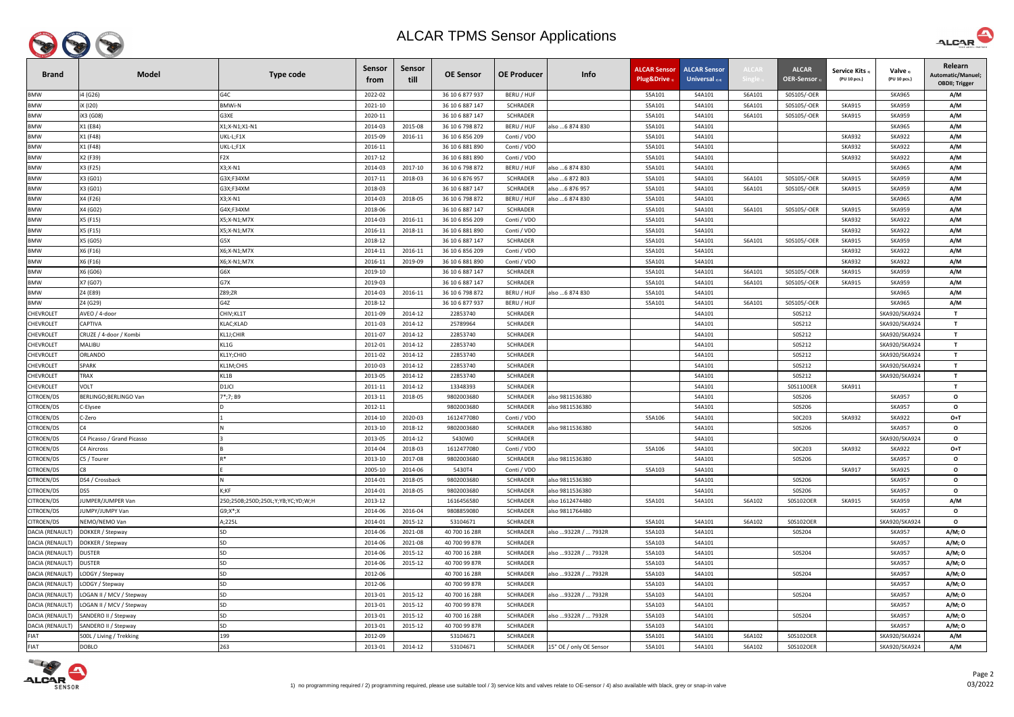

| <b>Brand</b>     | <b>Model</b>               | <b>Type code</b>                  | <b>Sensor</b><br>trom | Sensor<br>till | <b>OE Sensor</b> | <b>OE Producer</b> | Info                    | <b>ALCAR Sensor</b><br><b>Plug&amp;Drive</b> | <b>ALCAR Sensor</b><br>Universal $_{2/4}$ | <b>ALCAR</b> | <b>ALCAR</b><br>OER-Sensor | <b>Service Kits</b><br>(PU 10 pcs.) | Valve 3)<br>(PU 10 pcs.) | Relearn<br>Automatic/Manuel;<br><b>OBDII; Trigger</b> |
|------------------|----------------------------|-----------------------------------|-----------------------|----------------|------------------|--------------------|-------------------------|----------------------------------------------|-------------------------------------------|--------------|----------------------------|-------------------------------------|--------------------------|-------------------------------------------------------|
| <b>BMW</b>       | i4 (G26)                   | G4C                               | 2022-02               |                | 36 10 6 877 937  | BERU / HUF         |                         | S5A101                                       | S4A101                                    | S6A101       | S0S105/-OER                |                                     | <b>SKA965</b>            | A/M                                                   |
| <b>BMW</b>       | iX (120)                   | <b>BMWi-N</b>                     | 2021-10               |                | 36 10 6 887 147  | <b>SCHRADER</b>    |                         | S5A101                                       | S4A101                                    | S6A101       | S0S105/-OER                | <b>SKA915</b>                       | <b>SKA959</b>            | A/M                                                   |
| <b>BMW</b>       | iX3 (G08)                  | G3XE                              | 2020-11               |                | 36 10 6 887 147  | SCHRADER           |                         | S5A101                                       | S4A101                                    | S6A101       | S0S105/-OER                | <b>SKA915</b>                       | <b>SKA959</b>            | A/M                                                   |
| <b>BMW</b>       | X1 (E84)                   | X1;X-N1;X1-N1                     | 2014-03               | 2015-08        | 36 10 6 798 872  | BERU / HUF         | also 6 874 830          | S5A101                                       | S4A101                                    |              |                            |                                     | <b>SKA965</b>            | A/M                                                   |
| <b>BMW</b>       | X1 (F48)                   | UKL-L;F1X                         | 2015-09               | 2016-11        | 36 10 6 856 209  | Conti / VDO        |                         | S5A101                                       | S4A101                                    |              |                            | <b>SKA932</b>                       | <b>SKA922</b>            | A/M                                                   |
| <b>BMW</b>       | X1 (F48)                   | UKL-L;F1X                         | 2016-11               |                | 36 10 6 881 890  | Conti / VDO        |                         | S5A101                                       | S4A101                                    |              |                            | <b>SKA932</b>                       | <b>SKA922</b>            | A/M                                                   |
| <b>BMW</b>       | X2 (F39)                   | F <sub>2</sub> X                  | 2017-12               |                | 36 10 6 881 890  | Conti / VDO        |                         | S5A101                                       | S4A101                                    |              |                            | <b>SKA932</b>                       | <b>SKA922</b>            | A/M                                                   |
| <b>BMW</b>       | X3 (F25)                   | X3;X-N1                           | 2014-03               | 2017-10        | 36 10 6 798 872  | BERU / HUF         | also  6 874 830         | S5A101                                       | S4A101                                    |              |                            |                                     | <b>SKA965</b>            | A/M                                                   |
| <b>BMW</b>       | X3 (G01)                   | G3X;F34XM                         | 2017-11               | 2018-03        | 36 10 6 876 957  | <b>SCHRADER</b>    | also 6 872 803          | S5A101                                       | S4A101                                    | S6A101       | S0S105/-OER                | <b>SKA915</b>                       | <b>SKA959</b>            | A/M                                                   |
| <b>BMW</b>       | X3 (G01)                   | G3X;F34XM                         | 2018-03               |                | 36 10 6 887 147  | <b>SCHRADER</b>    | also  6 876 957         | S5A101                                       | S4A101                                    | S6A101       | S0S105/-OER                | <b>SKA915</b>                       | <b>SKA959</b>            | A/M                                                   |
| <b>BMW</b>       | X4 (F26)                   | X3;X-N1                           | 2014-03               | 2018-05        | 36 10 6 798 872  | BERU / HUF         | also 6 874 830          | S5A101                                       | S4A101                                    |              |                            |                                     | <b>SKA965</b>            | A/M                                                   |
| <b>BMW</b>       | X4 (G02)                   | G4X;F34XM                         | 2018-06               |                | 36 10 6 887 147  | SCHRADER           |                         | S5A101                                       | S4A101                                    | S6A101       | S0S105/-OER                | <b>SKA915</b>                       | <b>SKA959</b>            | A/M                                                   |
| <b>BMW</b>       | X5 (F15)                   | X5;X-N1;M7X                       | 2014-03               | 2016-11        | 36 10 6 856 209  | Conti / VDO        |                         | S5A101                                       | S4A101                                    |              |                            | <b>SKA932</b>                       | <b>SKA922</b>            | A/M                                                   |
| <b>BMW</b>       | X5 (F15)                   | X5;X-N1;M7X                       | 2016-11               | 2018-11        | 36 10 6 881 890  | Conti / VDO        |                         | S5A101                                       | S4A101                                    |              |                            | <b>SKA932</b>                       | <b>SKA922</b>            | A/M                                                   |
| <b>BMW</b>       | X5 (G05)                   | G5X                               | 2018-12               |                | 36 10 6 887 147  | <b>SCHRADER</b>    |                         | S5A101                                       | S4A101                                    | S6A101       | S0S105/-OER                | <b>SKA915</b>                       | <b>SKA959</b>            | A/M                                                   |
| <b>BMW</b>       | X6 (F16)                   | X6;X-N1;M7X                       | 2014-11               | 2016-11        | 36 10 6 856 209  | Conti / VDO        |                         | S5A101                                       | S4A101                                    |              |                            | <b>SKA932</b>                       | <b>SKA922</b>            | A/M                                                   |
| <b>BMW</b>       | X6 (F16)                   | X6;X-N1;M7X                       | 2016-11               | 2019-09        | 36 10 6 881 890  | Conti / VDO        |                         | S5A101                                       | S4A101                                    |              |                            | <b>SKA932</b>                       | <b>SKA922</b>            | A/M                                                   |
| <b>BMW</b>       | X6 (G06)                   | G6X                               | 2019-10               |                | 36 10 6 887 147  | <b>SCHRADER</b>    |                         | S5A101                                       | S4A101                                    | S6A101       | S0S105/-OER                | <b>SKA915</b>                       | <b>SKA959</b>            | A/M                                                   |
| <b>BMW</b>       | X7 (G07)                   | G7X                               | 2019-03               |                | 36 10 6 887 147  | <b>SCHRADER</b>    |                         | S5A101                                       | S4A101                                    | S6A101       | S0S105/-OER                | <b>SKA915</b>                       | <b>SKA959</b>            | A/M                                                   |
| <b>BMW</b>       | Z4 (E89)                   | Z89;ZR                            | 2014-03               | 2016-11        | 36 10 6 798 872  | BERU / HUF         | also 6 874 830          | S5A101                                       | S4A101                                    |              |                            |                                     | <b>SKA965</b>            | A/M                                                   |
| <b>BMW</b>       | Z4 (G29)                   | G4Z                               | 2018-12               |                | 36 10 6 877 937  | BERU / HUF         |                         | S5A101                                       | S4A101                                    | S6A101       | S0S105/-OER                |                                     | <b>SKA965</b>            | A/M                                                   |
| <b>CHEVROLET</b> | AVEO / 4-door              | CHIV; KL1T                        | 2011-09               | 2014-12        | 22853740         | <b>SCHRADER</b>    |                         |                                              | S4A101                                    |              | S0S212                     |                                     | SKA920/SKA924            | $\mathbf{T}$                                          |
| <b>CHEVROLET</b> | <b>CAPTIVA</b>             | KLAC; KLAD                        | 2011-03               | 2014-12        | 25789964         | <b>SCHRADER</b>    |                         |                                              | S4A101                                    |              | S0S212                     |                                     | SKA920/SKA924            | $\mathsf{T}$                                          |
| <b>CHEVROLET</b> | CRUZE / 4-door / Kombi     | KL1J;CHIR                         | 2011-07               | 2014-12        | 22853740         | <b>SCHRADER</b>    |                         |                                              | S4A101                                    |              | S0S212                     |                                     | SKA920/SKA924            | $\mathbf{T}$                                          |
| <b>CHEVROLET</b> | <b>MALIBU</b>              | KL1G                              | 2012-01               | 2014-12        | 22853740         | <b>SCHRADER</b>    |                         |                                              | S4A101                                    |              | S0S212                     |                                     | SKA920/SKA924            | $\mathbf{T}$                                          |
| <b>CHEVROLET</b> | <b>ORLANDO</b>             | KL1Y;CHIO                         | 2011-02               | 2014-12        | 22853740         | <b>SCHRADER</b>    |                         |                                              | S4A101                                    |              | S0S212                     |                                     | SKA920/SKA924            | $\mathbf{T}$                                          |
| <b>CHEVROLET</b> | <b>SPARK</b>               | KL1M;CHIS                         | 2010-03               | 2014-12        | 22853740         | <b>SCHRADER</b>    |                         |                                              | S4A101                                    |              | S0S212                     |                                     | SKA920/SKA924            | $\mathbf{T}$                                          |
| <b>CHEVROLET</b> | <b>TRAX</b>                | KL1B                              | 2013-05               | 2014-12        | 22853740         | <b>SCHRADER</b>    |                         |                                              | S4A101                                    |              | S0S212                     |                                     | SKA920/SKA924            | $\mathbf{T}$                                          |
| <b>CHEVROLET</b> | <b>VOLT</b>                | D1JCI                             | 2011-11               | 2014-12        | 13348393         | <b>SCHRADER</b>    |                         |                                              | S4A101                                    |              | S0S110OER                  | <b>SKA911</b>                       |                          | $\mathbf{T}$                                          |
| CITROEN/DS       | BERLINGO; BERLINGO Van     | 7*;7; B9                          | 2013-11               | 2018-05        | 9802003680       | <b>SCHRADER</b>    | also 9811536380         |                                              | S4A101                                    |              | S0S206                     |                                     | <b>SKA957</b>            | $\mathbf{o}$                                          |
| CITROEN/DS       | C-Elysee                   |                                   | 2012-11               |                | 9802003680       | <b>SCHRADER</b>    | also 9811536380         |                                              | S4A101                                    |              | S0S206                     |                                     | <b>SKA957</b>            | $\mathbf{o}$                                          |
| CITROEN/DS       | C-Zero                     |                                   | 2014-10               | 2020-03        | 1612477080       | Conti / VDO        |                         | S5A106                                       | S4A101                                    |              | SOC203                     | <b>SKA932</b>                       | <b>SKA922</b>            | O+T                                                   |
| CITROEN/DS       | C <sub>4</sub>             |                                   | 2013-10               | 2018-12        | 9802003680       | <b>SCHRADER</b>    | also 9811536380         |                                              | S4A101                                    |              | S0S206                     |                                     | <b>SKA957</b>            | $\mathbf{o}$                                          |
| CITROEN/DS       | C4 Picasso / Grand Picasso |                                   | 2013-05               | 2014-12        | 5430W0           | <b>SCHRADER</b>    |                         |                                              | S4A101                                    |              |                            |                                     | SKA920/SKA924            | $\mathbf{o}$                                          |
| CITROEN/DS       | C4 Aircross                |                                   | 2014-04               | 2018-03        | 1612477080       | Conti / VDO        |                         | S5A106                                       | S4A101                                    |              | S0C203                     | <b>SKA932</b>                       | <b>SKA922</b>            | $O+T$                                                 |
| CITROEN/DS       | C5 / Tourer                |                                   | 2013-10               | 2017-08        | 9802003680       | <b>SCHRADER</b>    | also 9811536380         |                                              | S4A101                                    |              | S0S206                     |                                     | <b>SKA957</b>            | $\mathbf{o}$                                          |
| CITROEN/DS       |                            |                                   | 2005-10               | 2014-06        | 5430T4           | Conti / VDO        |                         | S5A103                                       | S4A101                                    |              |                            | <b>SKA917</b>                       | <b>SKA925</b>            | $\mathbf{o}$                                          |
| CITROEN/DS       | DS4 / Crossback            |                                   | 2014-01               | 2018-05        | 9802003680       | <b>SCHRADER</b>    | also 9811536380         |                                              | S4A101                                    |              | S0S206                     |                                     | <b>SKA957</b>            | $\mathbf{o}$                                          |
| CITROEN/DS       | DS5                        | K;KF                              | 2014-01               | 2018-05        | 9802003680       | <b>SCHRADER</b>    | also 9811536380         |                                              | S4A101                                    |              | S0S206                     |                                     | <b>SKA957</b>            | $\mathbf{o}$                                          |
| CITROEN/DS       | JUMPER/JUMPER Van          | 250;250B;250D;250L;Y;YB;YC;YD;W;H | 2013-12               |                | 1616456580       | SCHRADER           | also 1612474480         | S5A101                                       | S4A101                                    | S6A102       | S0S102OER                  | <b>SKA915</b>                       | <b>SKA959</b>            | A/M                                                   |
| CITROEN/DS       | JUMPY/JUMPY Van            | $G9; X^*; X$                      | 2014-06               | 2016-04        | 9808859080       | <b>SCHRADER</b>    | also 9811764480         |                                              |                                           |              |                            |                                     | <b>SKA957</b>            | $\mathbf{o}$                                          |
| CITROEN/DS       | NEMO/NEMO Van              | A;225L                            | 2014-01               | 2015-12        | 53104671         | <b>SCHRADER</b>    |                         | S5A101                                       | S4A101                                    | S6A102       | S0S102OER                  |                                     | SKA920/SKA924            | $\mathbf{o}$                                          |
| DACIA (RENAULT)  | DOKKER / Stepway           | SD                                | 2014-06               | 2021-08        | 40 700 16 28R    | <b>SCHRADER</b>    | also 9322R /  7932R     | S5A103                                       | S4A101                                    |              | S0S204                     |                                     | <b>SKA957</b>            | A/M; 0                                                |
| DACIA (RENAULT)  | DOKKER / Stepway           | SD                                | 2014-06               | 2021-08        | 40 700 99 87R    | <b>SCHRADER</b>    |                         | S5A103                                       | S4A101                                    |              |                            |                                     | <b>SKA957</b>            | A/M; 0                                                |
| DACIA (RENAULT)  | <b>DUSTER</b>              | SD                                | 2014-06               | 2015-12        | 40 700 16 28R    | <b>SCHRADER</b>    | also  9322R /  7932R    | S5A103                                       | S4A101                                    |              | S0S204                     |                                     | <b>SKA957</b>            | A/M; 0                                                |
| DACIA (RENAULT)  | <b>DUSTER</b>              | SD                                | 2014-06               | 2015-12        | 40 700 99 87R    | <b>SCHRADER</b>    |                         | S5A103                                       | S4A101                                    |              |                            |                                     | <b>SKA957</b>            | A/M; 0                                                |
| DACIA (RENAULT)  | LODGY / Stepway            | SD                                | 2012-06               |                | 40 700 16 28R    | <b>SCHRADER</b>    | also 9322R /  7932R     | S5A103                                       | S4A101                                    |              | S0S204                     |                                     | <b>SKA957</b>            | A/M; 0                                                |
| DACIA (RENAULT)  | LODGY / Stepway            | SD                                | 2012-06               |                | 40 700 99 87R    | <b>SCHRADER</b>    |                         | S5A103                                       | S4A101                                    |              |                            |                                     | <b>SKA957</b>            | A/M; 0                                                |
| DACIA (RENAULT)  | LOGAN II / MCV / Stepway   | SD                                | 2013-01               | 2015-12        | 40 700 16 28R    | <b>SCHRADER</b>    | also 9322R /  7932R     | S5A103                                       | S4A101                                    |              | S0S204                     |                                     | <b>SKA957</b>            | A/M; 0                                                |
| DACIA (RENAULT)  | LOGAN II / MCV / Stepway   | SD                                | 2013-01               | 2015-12        | 40 700 99 87R    | <b>SCHRADER</b>    |                         | S5A103                                       | S4A101                                    |              |                            |                                     | <b>SKA957</b>            | A/M; 0                                                |
| DACIA (RENAULT)  | SANDERO II / Stepway       | SD                                | 2013-01               | 2015-12        | 40 700 16 28R    | <b>SCHRADER</b>    | also …9322R / … 7932R   | S5A103                                       | S4A101                                    |              | S0S204                     |                                     | <b>SKA957</b>            | A/M; 0                                                |
| DACIA (RENAULT)  | SANDERO II / Stepway       | SD                                | 2013-01               | 2015-12        | 40 700 99 87R    | <b>SCHRADER</b>    |                         | S5A103                                       | S4A101                                    |              |                            |                                     | <b>SKA957</b>            | A/M; 0                                                |
| <b>FIAT</b>      | 500L / Living / Trekking   | 199                               | 2012-09               |                | 53104671         | <b>SCHRADER</b>    |                         | S5A101                                       | S4A101                                    | S6A102       | S0S102OER                  |                                     | SKA920/SKA924            | A/M                                                   |
| <b>FIAT</b>      | <b>DOBLO</b>               | 263                               | 2013-01               | 2014-12        | 53104671         | <b>SCHRADER</b>    | 15" OE / only OE Sensor | S5A101                                       | S4A101                                    | S6A102       | S0S102OER                  |                                     | SKA920/SKA924            | A/M                                                   |



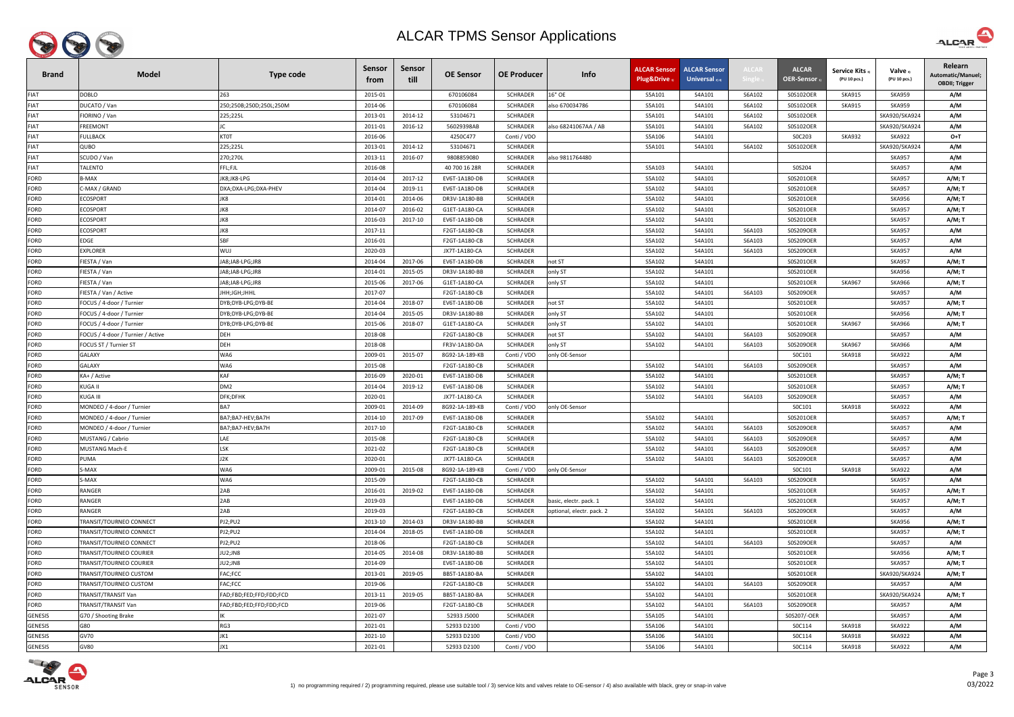

| <b>Brand</b>   | <b>Model</b>                                  | Type code               | Sensor<br>trom | Sensor<br>till | <b>OE Sensor</b> | <b>OE Producer</b> | Info                      | ALCAR Sensor<br><b>Plug&amp;Drive</b> | ALCAR Sensor<br>Universal $_{2/4}$ | <b>ALCA</b> | <b>ALCAR</b><br><b>OER-Sensor</b> | <b>Service Kits</b> 3<br>(PU 10 pcs.) | Valve 3<br>(PU 10 pcs.) | Relearn<br>Automatic/Manuel;<br><b>OBDII; Trigger</b> |
|----------------|-----------------------------------------------|-------------------------|----------------|----------------|------------------|--------------------|---------------------------|---------------------------------------|------------------------------------|-------------|-----------------------------------|---------------------------------------|-------------------------|-------------------------------------------------------|
| <b>FIAT</b>    | <b>DOBLO</b>                                  | 263                     | 2015-01        |                | 670106084        | <b>SCHRADER</b>    | L6" OE                    | S5A101                                | S4A101                             | S6A102      | S0S102OER                         | <b>SKA915</b>                         | <b>SKA959</b>           | A/M                                                   |
| <b>FIAT</b>    | DUCATO / Van                                  | 250;250B;250D;250L;250M | 2014-06        |                | 670106084        | <b>SCHRADER</b>    | also 670034786            | S5A101                                | S4A101                             | S6A102      | S0S102OER                         | <b>SKA915</b>                         | <b>SKA959</b>           | A/M                                                   |
| <b>FIAT</b>    | IORINO / Van                                  | 225;225L                | 2013-01        | 2014-12        | 53104671         | <b>SCHRADER</b>    |                           | S5A101                                | S4A101                             | S6A102      | S0S102OER                         |                                       | SKA920/SKA924           | A/M                                                   |
| <b>FIAT</b>    | <b>REEMONT</b>                                |                         | 2011-01        | 2016-12        | 56029398AB       | <b>SCHRADER</b>    | also 68241067AA / AB      | S5A101                                | S4A101                             | S6A102      | S0S102OER                         |                                       | SKA920/SKA924           | A/M                                                   |
| <b>FIAT</b>    | ULLBACK                                       | <b>KTOT</b>             | 2016-06        |                | 4250C477         | Conti / VDO        |                           | S5A106                                | S4A101                             |             | SOC203                            | <b>SKA932</b>                         | <b>SKA922</b>           | $O+T$                                                 |
| <b>FIAT</b>    | QUBO                                          | 225;225L                | 2013-01        | 2014-12        | 53104671         | <b>SCHRADER</b>    |                           | S5A101                                | S4A101                             | S6A102      | S0S102OER                         |                                       | SKA920/SKA924           | A/M                                                   |
| <b>FIAT</b>    | SCUDO / Van                                   | 270;270L                | 2013-11        | 2016-07        | 9808859080       | <b>SCHRADER</b>    | also 9811764480           |                                       |                                    |             |                                   |                                       | <b>SKA957</b>           | A/M                                                   |
| <b>FIAT</b>    | ALENTO                                        | FFL;FJL                 | 2016-08        |                | 40 700 16 28R    | <b>SCHRADER</b>    |                           | S5A103                                | S4A101                             |             | S0S204                            |                                       | <b>SKA957</b>           | A/M                                                   |
| <b>FORD</b>    | 3-MAX                                         | JK8;JK8-LPG             | 2014-04        | 2017-12        | EV6T-1A180-DB    | <b>SCHRADER</b>    |                           | S5A102                                | S4A101                             |             | S0S201OER                         |                                       | <b>SKA957</b>           | A/M; T                                                |
| <b>FORD</b>    | -MAX / GRAND                                  | DXA;DXA-LPG;DXA-PHEV    | 2014-04        | 2019-11        | EV6T-1A180-DB    | <b>SCHRADER</b>    |                           | S5A102                                | S4A101                             |             | S0S201OER                         |                                       | <b>SKA957</b>           | A/M; T                                                |
| <b>FORD</b>    | <b>ECOSPORT</b>                               | JK8                     | 2014-01        | 2014-06        | DR3V-1A180-BB    | <b>SCHRADER</b>    |                           | S5A102                                | S4A101                             |             | S0S201OER                         |                                       | <b>SKA956</b>           | A/M; T                                                |
| <b>FORD</b>    | <b>COSPORT</b>                                | JK8                     | 2014-07        | 2016-02        | G1ET-1A180-CA    | <b>SCHRADER</b>    |                           | S5A102                                | S4A101                             |             | S0S201OER                         |                                       | <b>SKA957</b>           | A/M; T                                                |
| <b>FORD</b>    | <b>COSPORT</b>                                | JK8                     | 2016-03        | 2017-10        | EV6T-1A180-DB    | <b>SCHRADER</b>    |                           | S5A102                                | S4A101                             |             | S0S201OER                         |                                       | <b>SKA957</b>           | A/M; T                                                |
| <b>FORD</b>    | <b>COSPORT</b>                                | JK8                     | 2017-11        |                | F2GT-1A180-CB    | <b>SCHRADER</b>    |                           | S5A102                                | S4A101                             | S6A103      | S0S209OER                         |                                       | <b>SKA957</b>           | A/M                                                   |
| <b>FORD</b>    | EDGE                                          | SBF                     | 2016-01        |                | F2GT-1A180-CB    | <b>SCHRADER</b>    |                           | S5A102                                | S4A101                             | S6A103      | S0S209OER                         |                                       | <b>SKA957</b>           | A/M                                                   |
| <b>FORD</b>    | <b>EXPLORER</b>                               | <b>WUJ</b>              | 2020-03        |                | JX7T-1A180-CA    | <b>SCHRADER</b>    |                           | S5A102                                | S4A101                             | S6A103      | S0S209OER                         |                                       | <b>SKA957</b>           | A/M                                                   |
| <b>FORD</b>    | IESTA / Van                                   | JA8;JA8-LPG;JR8         | 2014-04        | 2017-06        | EV6T-1A180-DB    | <b>SCHRADER</b>    | not ST                    | S5A102                                | S4A101                             |             | S0S201OER                         |                                       | <b>SKA957</b>           | A/M; T                                                |
| <b>FORD</b>    | IESTA / Van                                   | JA8;JA8-LPG;JR8         | 2014-01        | 2015-05        | DR3V-1A180-BB    | <b>SCHRADER</b>    | only ST                   | S5A102                                | S4A101                             |             | S0S201OER                         |                                       | <b>SKA956</b>           | A/M; T                                                |
| <b>FORD</b>    | IESTA / Van                                   | A8;JA8-LPG;JR8          | 2015-06        | 2017-06        | G1ET-1A180-CA    | <b>SCHRADER</b>    | only ST                   | S5A102                                | S4A101                             |             | S0S201OER                         | <b>SKA967</b>                         | <b>SKA966</b>           | A/M; T                                                |
| <b>FORD</b>    | IESTA / Van / Active                          | JHH;JGH;JHHL            | 2017-07        |                | F2GT-1A180-CB    | SCHRADER           |                           | S5A102                                | S4A101                             | S6A103      | S0S209OER                         |                                       | <b>SKA957</b>           | A/M                                                   |
| <b>FORD</b>    | OCUS / 4-door / Turnier                       | DYB;DYB-LPG;DYB-BE      | 2014-04        | 2018-07        | EV6T-1A180-DB    | <b>SCHRADER</b>    | not ST                    | S5A102                                | S4A101                             |             | S0S201OER                         |                                       | <b>SKA957</b>           | A/M; T                                                |
| <b>FORD</b>    | OCUS / 4-door / Turnier                       | DYB;DYB-LPG;DYB-BE      | 2014-04        | 2015-05        | DR3V-1A180-BB    | <b>SCHRADER</b>    | only ST                   | S5A102                                | S4A101                             |             | S0S201OER                         |                                       | <b>SKA956</b>           | A/M; T                                                |
| <b>FORD</b>    | OCUS / 4-door / Turnier <sup>:</sup>          | DYB;DYB-LPG;DYB-BE      | 2015-06        | 2018-07        | G1ET-1A180-CA    | <b>SCHRADER</b>    | only ST                   | S5A102                                | S4A101                             |             | S0S201OER                         | <b>SKA967</b>                         | <b>SKA966</b>           | A/M; T                                                |
| <b>FORD</b>    | OCUS / 4-door / Turnier / Active <sup>:</sup> | <b>DEH</b>              | 2018-08        |                | F2GT-1A180-CB    | <b>SCHRADER</b>    | not ST                    | S5A102                                | S4A101                             | S6A103      | S0S209OER                         |                                       | <b>SKA957</b>           | A/M                                                   |
| <b>FORD</b>    | FOCUS ST / Turnier ST                         | <b>DEH</b>              | 2018-08        |                | FR3V-1A180-DA    | <b>SCHRADER</b>    | only ST                   | S5A102                                | S4A101                             | S6A103      | S0S209OER                         | <b>SKA967</b>                         | <b>SKA966</b>           | A/M                                                   |
| <b>FORD</b>    | GALAXY                                        | WA6                     | 2009-01        | 2015-07        | 8G92-1A-189-KB   | Conti / VDO        | only OE-Sensor            |                                       |                                    |             | SOC101                            | <b>SKA918</b>                         | <b>SKA922</b>           | A/M                                                   |
| FORD           | GALAXY                                        | WA6                     | 2015-08        |                | F2GT-1A180-CB    | <b>SCHRADER</b>    |                           | S5A102                                | S4A101                             | S6A103      | S0S209OER                         |                                       | <b>SKA957</b>           | A/M                                                   |
| <b>FORD</b>    | KA+ / Active                                  | <b>KAF</b>              | 2016-09        | 2020-01        | EV6T-1A180-DB    | <b>SCHRADER</b>    |                           | S5A102                                | S4A101                             |             | S0S201OER                         |                                       | <b>SKA957</b>           | A/M; T                                                |
| FORD           | (UGA II                                       | DM <sub>2</sub>         | 2014-04        | 2019-12        | EV6T-1A180-DB    | <b>SCHRADER</b>    |                           | S5A102                                | S4A101                             |             | S0S201OER                         |                                       | <b>SKA957</b>           | A/M; T                                                |
| <b>FORD</b>    | (UGA III                                      | DFK;DFHK                | 2020-01        |                | JX7T-1A180-CA    | <b>SCHRADER</b>    |                           | S5A102                                | S4A101                             | S6A103      | S0S209OER                         |                                       | <b>SKA957</b>           | A/M                                                   |
| <b>FORD</b>    | MONDEO / 4-door / Turnier                     | BA7                     | 2009-01        | 2014-09        | 8G92-1A-189-KB   | Conti / VDO        | only OE-Sensor            |                                       |                                    |             | SOC101                            | <b>SKA918</b>                         | <b>SKA922</b>           | A/M                                                   |
| FORD           | MONDEO / 4-door / Turnier                     | BA7;BA7-HEV;BA7H        | 2014-10        | 2017-09        | EV6T-1A180-DB    | <b>SCHRADER</b>    |                           | S5A102                                | S4A101                             |             | S0S201OER                         |                                       | <b>SKA957</b>           | A/M;T                                                 |
| <b>FORD</b>    | MONDEO / 4-door / Turnier                     | BA7;BA7-HEV;BA7H        | 2017-10        |                | F2GT-1A180-CB    | <b>SCHRADER</b>    |                           | S5A102                                | S4A101                             | S6A103      | S0S209OER                         |                                       | <b>SKA957</b>           | A/M                                                   |
| FORD           | MUSTANG / Cabrio                              | LAE                     | 2015-08        |                | F2GT-1A180-CB    | SCHRADER           |                           | S5A102                                | S4A101                             | S6A103      | S0S209OER                         |                                       | <b>SKA957</b>           | A/M                                                   |
| <b>FORD</b>    | MUSTANG Mach-E                                | LSK                     | 2021-02        |                | F2GT-1A180-CB    | <b>SCHRADER</b>    |                           | S5A102                                | S4A101                             | S6A103      | S0S209OER                         |                                       | <b>SKA957</b>           | A/M                                                   |
| FORD           | PUMA                                          | J2K                     | 2020-01        |                | JX7T-1A180-CA    | <b>SCHRADER</b>    |                           | S5A102                                | S4A101                             | S6A103      | S0S209OER                         |                                       | <b>SKA957</b>           | A/M                                                   |
| <b>FORD</b>    | S-MAX                                         | WA6                     | 2009-01        | 2015-08        | 8G92-1A-189-KB   | Conti / VDO        | only OE-Sensor            |                                       |                                    |             | S0C101                            | <b>SKA918</b>                         | <b>SKA922</b>           | A/M                                                   |
| <b>FORD</b>    | S-MAX                                         | WA6                     | 2015-09        |                | F2GT-1A180-CB    | <b>SCHRADER</b>    |                           | S5A102                                | S4A101                             | S6A103      | S0S209OER                         |                                       | <b>SKA957</b>           | A/M                                                   |
| <b>FORD</b>    | <b>RANGER</b>                                 | 2AB                     | 2016-01        | 2019-02        | EV6T-1A180-DB    | <b>SCHRADER</b>    |                           | S5A102                                | S4A101                             |             | S0S201OER                         |                                       | <b>SKA957</b>           | A/M; T                                                |
| <b>FORD</b>    | RANGER                                        | 2AB                     | 2019-03        |                | EV6T-1A180-DB    | <b>SCHRADER</b>    | basic, electr. pack. 1    | S5A102                                | S4A101                             |             | S0S201OER                         |                                       | <b>SKA957</b>           | A/M; T                                                |
| FORD           | RANGER                                        | 2AB                     | 2019-03        |                | F2GT-1A180-CB    | <b>SCHRADER</b>    | optional, electr. pack. 2 | S5A102                                | S4A101                             | S6A103      | S0S209OER                         |                                       | <b>SKA957</b>           | A/M                                                   |
| FORD           | TRANSIT/TOURNEO CONNECT                       | PJ2;PU2                 | 2013-10        | 2014-03        | DR3V-1A180-BB    | <b>SCHRADER</b>    |                           | S5A102                                | S4A101                             |             | S0S201OER                         |                                       | <b>SKA956</b>           | A/M; T                                                |
| FORD           | FRANSIT/TOURNEO CONNECT                       | PJ2;PU2                 | 2014-04        | 2018-05        | EV6T-1A180-DB    | SCHRADER           |                           | S5A102                                | S4A101                             |             | S0S201OER                         |                                       | <b>SKA957</b>           | A/M; T                                                |
| <b>FORD</b>    | TRANSIT/TOURNEO CONNECT                       | PJ2;PU2                 | 2018-06        |                | F2GT-1A180-CB    | <b>SCHRADER</b>    |                           | S5A102                                | S4A101                             | S6A103      | S0S209OER                         |                                       | <b>SKA957</b>           | A/M                                                   |
| <b>FORD</b>    | <b>FRANSIT/TOURNEO COURIER</b>                | JU2;JN8                 | 2014-05        | 2014-08        | DR3V-1A180-BB    | <b>SCHRADER</b>    |                           | S5A102                                | S4A101                             |             | S0S201OER                         |                                       | <b>SKA956</b>           | A/M; T                                                |
| <b>FORD</b>    | TRANSIT/TOURNEO COURIER                       | JU2;JN8                 | 2014-09        |                | EV6T-1A180-DB    | <b>SCHRADER</b>    |                           | S5A102                                | S4A101                             |             | S0S201OER                         |                                       | <b>SKA957</b>           | A/M; T                                                |
| <b>FORD</b>    | <b>FRANSIT/TOURNEO CUSTOM</b>                 | FAC;FCC                 | 2013-01        | 2019-05        | BB5T-1A180-BA    | <b>SCHRADER</b>    |                           | S5A102                                | S4A101                             |             | S0S201OER                         |                                       | SKA920/SKA924           | A/M; T                                                |
| <b>FORD</b>    | <b>FRANSIT/TOURNEO CUSTOM</b>                 | FAC;FCC                 | 2019-06        |                | F2GT-1A180-CB    | <b>SCHRADER</b>    |                           | S5A102                                | S4A101                             | S6A103      | S0S209OER                         |                                       | <b>SKA957</b>           | A/M                                                   |
| FORD           | <b>FRANSIT/TRANSIT Van</b>                    | FAD;FBD;FED;FFD;FDD;FCD | 2013-11        | 2019-05        | BB5T-1A180-BA    | <b>SCHRADER</b>    |                           | S5A102                                | S4A101                             |             | S0S201OER                         |                                       | SKA920/SKA924           | A/M; T                                                |
| FORD           | RANSIT/TRANSIT Van                            | FAD;FBD;FED;FFD;FDD;FCD | 2019-06        |                | F2GT-1A180-CB    | <b>SCHRADER</b>    |                           | S5A102                                | S4A101                             | S6A103      | S0S209OER                         |                                       | <b>SKA957</b>           | A/M                                                   |
| <b>GENESIS</b> | G70 / Shooting Brake                          |                         | 2021-07        |                | 52933 J5000      | <b>SCHRADER</b>    |                           | S5A105                                | S4A101                             |             | S0S207/-OER                       |                                       | <b>SKA957</b>           | A/M                                                   |
| <b>GENESIS</b> | G80                                           | RG3                     | 2021-01        |                | 52933 D2100      | Conti / VDO        |                           | S5A106                                | S4A101                             |             | S0C114                            | <b>SKA918</b>                         | <b>SKA922</b>           | A/M                                                   |
| <b>GENESIS</b> | <b>GV70</b>                                   | JK1                     | 2021-10        |                | 52933 D2100      | Conti / VDO        |                           | S5A106                                | S4A101                             |             | SOC114                            | <b>SKA918</b>                         | <b>SKA922</b>           | A/M                                                   |
| <b>GENESIS</b> | GV80                                          | JX1                     | 2021-01        |                | 52933 D2100      | Conti / VDO        |                           | S5A106                                | S4A101                             |             | S0C114                            | <b>SKA918</b>                         | <b>SKA922</b>           | A/M                                                   |



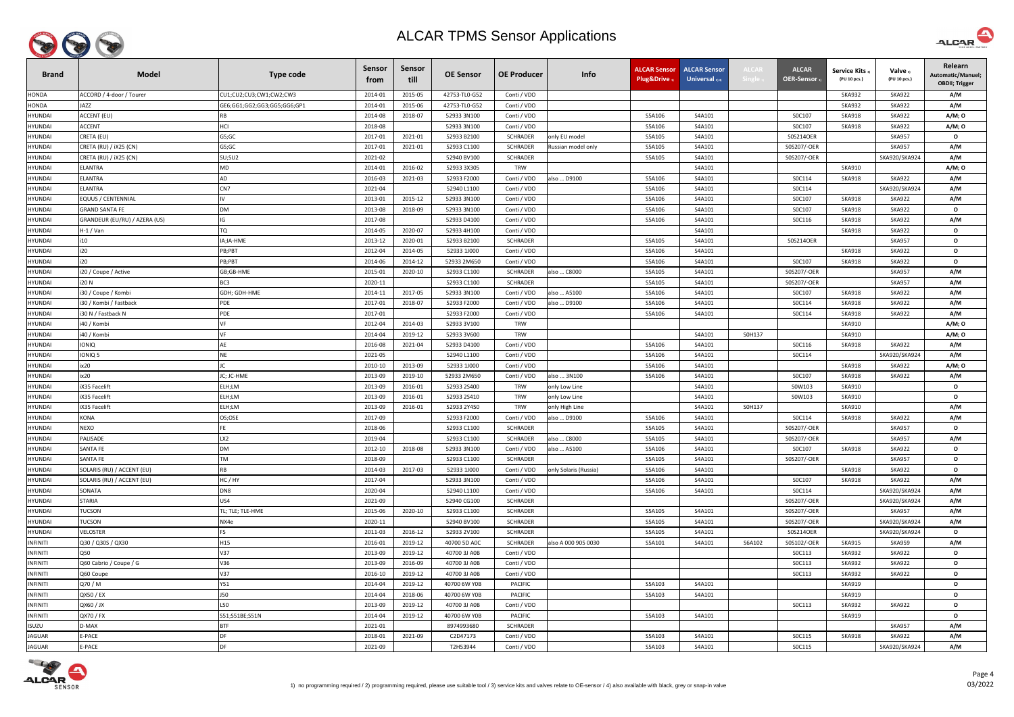

| <b>Brand</b>    | <b>Model</b>                  | <b>Type code</b>            | <b>Sensor</b><br>trom | Sensor<br>till | <b>OE Sensor</b> | <b>OE Producer</b> | Info                  | <b>ALCAR Sensor</b><br>Plug&Drive 1 | <b>ALCAR Sensor</b><br>Universal $_{2/4}$ | <b>ALCAI</b> | <b>ALCAR</b><br>OER-Sensor | <b>Service Kits</b><br>(PU 10 pcs.) | Valve 3)<br>(PU 10 pcs.) | Relearn<br>Automatic/Manuel;<br><b>OBDII</b> ; Trigger |
|-----------------|-------------------------------|-----------------------------|-----------------------|----------------|------------------|--------------------|-----------------------|-------------------------------------|-------------------------------------------|--------------|----------------------------|-------------------------------------|--------------------------|--------------------------------------------------------|
| <b>HONDA</b>    | ACCORD / 4-door / Tourer      | CU1;CU2;CU3;CW1;CW2;CW3     | 2014-01               | 2015-05        | 42753-TL0-G52    | Conti / VDO        |                       |                                     |                                           |              |                            | <b>SKA932</b>                       | <b>SKA922</b>            | A/M                                                    |
| <b>HONDA</b>    | <b>IAZZ</b>                   | GE6;GG1;GG2;GG3;GG5;GG6;GP1 | 2014-01               | 2015-06        | 42753-TL0-G52    | Conti / VDO        |                       |                                     |                                           |              |                            | <b>SKA932</b>                       | <b>SKA922</b>            | A/M                                                    |
| <b>HYUNDAI</b>  | ACCENT (EU)                   | <b>RB</b>                   | 2014-08               | 2018-07        | 52933 3N100      | Conti / VDO        |                       | S5A106                              | S4A101                                    |              | S0C107                     | <b>SKA918</b>                       | <b>SKA922</b>            | A/M; 0                                                 |
| HYUNDAI         | <b>ACCENT</b>                 | HCI                         | 2018-08               |                | 52933 3N100      | Conti / VDO        |                       | S5A106                              | S4A101                                    |              | S0C107                     | <b>SKA918</b>                       | <b>SKA922</b>            | A/M; 0                                                 |
| <b>HYUNDAI</b>  | CRETA (EU)                    | GS;GC                       | 2017-01               | 2021-01        | 52933 B2100      | <b>SCHRADER</b>    | only EU model         | S5A105                              | S4A101                                    |              | S0S214OER                  |                                     | <b>SKA957</b>            | $\mathbf{o}$                                           |
| <b>HYUNDAI</b>  | CRETA (RU) / iX25 (CN)        | GS;GC                       | 2017-01               | 2021-01        | 52933 C1100      | <b>SCHRADER</b>    | Russian model only    | S5A105                              | S4A101                                    |              | S0S207/-OER                |                                     | <b>SKA957</b>            | A/M                                                    |
| <b>HYUNDAI</b>  | CRETA (RU) / iX25 (CN)        | SU;SU2                      | 2021-02               |                | 52940 BV100      | SCHRADER           |                       | S5A105                              | S4A101                                    |              | S0S207/-OER                |                                     | SKA920/SKA924            | A/M                                                    |
| <b>HYUNDAI</b>  | ELANTRA                       | MD                          | 2014-01               | 2016-02        | 52933 3X305      | <b>TRW</b>         |                       |                                     | S4A101                                    |              |                            | <b>SKA910</b>                       |                          | A/M; 0                                                 |
| <b>HYUNDAI</b>  | ELANTRA                       | AD                          | 2016-03               | 2021-03        | 52933 F2000      | Conti / VDO        | also  D9100           | S5A106                              | S4A101                                    |              | SOC114                     | <b>SKA918</b>                       | <b>SKA922</b>            | A/M                                                    |
| <b>HYUNDAI</b>  | ELANTRA                       | CN7                         | 2021-04               |                | 52940 L1100      | Conti / VDO        |                       | S5A106                              | S4A101                                    |              | SOC114                     |                                     | SKA920/SKA924            | A/M                                                    |
| HYUNDAI         | EQUUS / CENTENNIAL            |                             | 2013-01               | 2015-12        | 52933 3N100      | Conti / VDO        |                       | S5A106                              | S4A101                                    |              | S0C107                     | <b>SKA918</b>                       | <b>SKA922</b>            | A/M                                                    |
| <b>HYUNDAI</b>  | <b>GRAND SANTA FE</b>         | <b>DM</b>                   | 2013-08               | 2018-09        | 52933 3N100      | Conti / VDO        |                       | S5A106                              | S4A101                                    |              | S0C107                     | <b>SKA918</b>                       | <b>SKA922</b>            | $\mathbf{o}$                                           |
| <b>HYUNDAI</b>  | GRANDEUR (EU/RU) / AZERA (US) | IG                          | 2017-08               |                | 52933 D4100      | Conti / VDO        |                       | S5A106                              | S4A101                                    |              | SOC116                     | <b>SKA918</b>                       | <b>SKA922</b>            | A/M                                                    |
| <b>HYUNDAI</b>  | $H-1$ / Van                   | TQ                          | 2014-05               | 2020-07        | 52933 4H100      | Conti / VDO        |                       |                                     | S4A101                                    |              |                            | <b>SKA918</b>                       | <b>SKA922</b>            | $\mathbf{o}$                                           |
| <b>HYUNDAI</b>  | i10                           | IA;IA-HME                   | 2013-12               | 2020-01        | 52933 B2100      | <b>SCHRADER</b>    |                       | S5A105                              | S4A101                                    |              | S0S214OER                  |                                     | <b>SKA957</b>            | $\mathbf{o}$                                           |
| <b>HYUNDAI</b>  | i20                           | PB;PBT                      | 2012-04               | 2014-05        | 52933 1J000      | Conti / VDO        |                       | S5A106                              | S4A101                                    |              |                            | <b>SKA918</b>                       | <b>SKA922</b>            | $\mathbf{o}$                                           |
| <b>HYUNDAI</b>  | i20                           | PB;PBT                      | 2014-06               | 2014-12        | 52933 2M650      | Conti / VDO        |                       | S5A106                              | S4A101                                    |              | S0C107                     | <b>SKA918</b>                       | <b>SKA922</b>            | $\mathbf{o}$                                           |
| HYUNDAI         | i20 / Coupe / Active          | GB;GB-HME                   | 2015-01               | 2020-10        | 52933 C1100      | SCHRADER           | also  C8000           | S5A105                              | S4A101                                    |              | S0S207/-OER                |                                     | <b>SKA957</b>            | A/M                                                    |
| <b>HYUNDAI</b>  | i20 N                         | BC <sub>3</sub>             | 2020-11               |                | 52933 C1100      | <b>SCHRADER</b>    |                       | S5A105                              | S4A101                                    |              | S0S207/-OER                |                                     | <b>SKA957</b>            | A/M                                                    |
| <b>HYUNDAI</b>  | i30 / Coupe / Kombi           | GDH; GDH-HME                | 2014-11               | 2017-05        | 52933 3N100      | Conti / VDO        | also  A5100           | S5A106                              | S4A101                                    |              | S0C107                     | <b>SKA918</b>                       | <b>SKA922</b>            | A/M                                                    |
| <b>HYUNDAI</b>  | i30 / Kombi / Fastback        | PDE                         | 2017-01               | 2018-07        | 52933 F2000      | Conti / VDO        | also  D9100           | S5A106                              | S4A101                                    |              | SOC114                     | <b>SKA918</b>                       | <b>SKA922</b>            | A/M                                                    |
| <b>HYUNDAI</b>  | 30 N / Fastback N             | PDE                         | 2017-01               |                | 52933 F2000      | Conti / VDO        |                       | S5A106                              | S4A101                                    |              | S0C114                     | <b>SKA918</b>                       | <b>SKA922</b>            | A/M                                                    |
| <b>HYUNDAI</b>  | i40 / Kombi                   |                             | 2012-04               | 2014-03        | 52933 3V100      | <b>TRW</b>         |                       |                                     |                                           |              |                            | <b>SKA910</b>                       |                          | A/M; 0                                                 |
| HYUNDAI         | i40 / Kombi                   |                             | 2014-04               | 2019-12        | 52933 3V600      | <b>TRW</b>         |                       |                                     | S4A101                                    | S0H137       |                            | <b>SKA910</b>                       |                          | A/M; 0                                                 |
| <b>HYUNDAI</b>  | <b>IONIQ</b>                  | AF                          | 2016-08               | 2021-04        | 52933 D4100      | Conti / VDO        |                       | S5A106                              | S4A101                                    |              | SOC116                     | <b>SKA918</b>                       | <b>SKA922</b>            | A/M                                                    |
| HYUNDAI         | IONIQ 5                       | <b>NE</b>                   | 2021-05               |                | 52940 L1100      | Conti / VDO        |                       | S5A106                              | S4A101                                    |              | S0C114                     |                                     | SKA920/SKA924            | A/M                                                    |
| <b>HYUNDAI</b>  | ix20                          |                             | 2010-10               | 2013-09        | 52933 1J000      | Conti / VDO        |                       | S5A106                              | S4A101                                    |              |                            | <b>SKA918</b>                       | <b>SKA922</b>            | A/M; 0                                                 |
| <b>HYUNDAI</b>  | ix20                          | JC; JC-HME                  | 2013-09               | 2019-10        | 52933 2M650      | Conti / VDO        | also  3N100           | S5A106                              | S4A101                                    |              | S0C107                     | <b>SKA918</b>                       | <b>SKA922</b>            | A/M                                                    |
| <b>HYUNDAI</b>  | iX35 Facelift                 | ELH;LM                      | 2013-09               | 2016-01        | 52933 2S400      | <b>TRW</b>         | only Low Line         |                                     | S4A101                                    |              | S0W103                     | <b>SKA910</b>                       |                          | $\mathbf{o}$                                           |
| <b>HYUNDAI</b>  | <b>iX35 Facelift</b>          | ELH;LM                      | 2013-09               | 2016-01        | 52933 2S410      | <b>TRW</b>         | only Low Line         |                                     | S4A101                                    |              | S0W103                     | <b>SKA910</b>                       |                          | $\mathbf{o}$                                           |
| <b>HYUNDAI</b>  | iX35 Facelift                 | ELH;LM                      | 2013-09               | 2016-01        | 52933 2Y450      | <b>TRW</b>         | only High Line        |                                     | S4A101                                    | S0H137       |                            | <b>SKA910</b>                       |                          | A/M                                                    |
| <b>HYUNDAI</b>  | <b>KONA</b>                   | OS;OSE                      | 2017-09               |                | 52933 F2000      | Conti / VDO        | also  D9100           | S5A106                              | S4A101                                    |              | S0C114                     | SKA918                              | <b>SKA922</b>            | A/M                                                    |
| HYUNDAI         | NEXO                          | FE                          | 2018-06               |                | 52933 C1100      | <b>SCHRADER</b>    |                       | S5A105                              | S4A101                                    |              | S0S207/-OER                |                                     | <b>SKA957</b>            | $\mathbf{o}$                                           |
| <b>HYUNDAI</b>  | PALISADE                      | LX2                         | 2019-04               |                | 52933 C1100      | <b>SCHRADER</b>    | also  C8000           | S5A105                              | S4A101                                    |              | S0S207/-OER                |                                     | <b>SKA957</b>            | A/M                                                    |
| HYUNDAI         | <b>SANTA FE</b>               | <b>DM</b>                   | 2012-10               | 2018-08        | 52933 3N100      | Conti / VDO        | also  A5100           | S5A106                              | S4A101                                    |              | S0C107                     | <b>SKA918</b>                       | <b>SKA922</b>            | $\mathbf{o}$                                           |
| <b>HYUNDAI</b>  | SANTA FE                      | <b>TM</b>                   | 2018-09               |                | 52933 C1100      | <b>SCHRADER</b>    |                       | S5A105                              | S4A101                                    |              | S0S207/-OER                |                                     | <b>SKA957</b>            | $\mathbf{o}$                                           |
| <b>HYUNDAI</b>  | SOLARIS (RU) / ACCENT (EU)    | <b>RB</b>                   | 2014-03               | 2017-03        | 52933 1J000      | Conti / VDO        | only Solaris (Russia) | S5A106                              | S4A101                                    |              |                            | <b>SKA918</b>                       | <b>SKA922</b>            | $\mathbf{o}$                                           |
| <b>HYUNDAI</b>  | SOLARIS (RU) / ACCENT (EU)    | HC/HY                       | 2017-04               |                | 52933 3N100      | Conti / VDO        |                       | S5A106                              | S4A101                                    |              | S0C107                     | <b>SKA918</b>                       | <b>SKA922</b>            | A/M                                                    |
| <b>HYUNDAI</b>  | SONATA                        | DN <sub>8</sub>             | 2020-04               |                | 52940 L1100      | Conti / VDO        |                       | S5A106                              | S4A101                                    |              | S0C114                     |                                     | SKA920/SKA924            | A/M                                                    |
| <b>HYUNDAI</b>  | STARIA                        | US4                         | 2021-09               |                | 52940 CG100      | <b>SCHRADER</b>    |                       |                                     |                                           |              | S0S207/-OER                |                                     | SKA920/SKA924            | A/M                                                    |
| HYUNDAI         | TUCSON                        | TL; TLE; TLE-HME            | 2015-06               | 2020-10        | 52933 C1100      | <b>SCHRADER</b>    |                       | S5A105                              | S4A101                                    |              | S0S207/-OER                |                                     | <b>SKA957</b>            | A/M                                                    |
| HYUNDAI         | <b>TUCSON</b>                 | NX4e                        | 2020-11               |                | 52940 BV100      | SCHRADER           |                       | S5A105                              | S4A101                                    |              | S0S207/-OER                |                                     | SKA920/SKA924            | A/M                                                    |
| <b>HYUNDAI</b>  | VELOSTER                      | FS                          | 2011-03               | 2016-12        | 52933 2V100      | <b>SCHRADER</b>    |                       | S5A105                              | S4A101                                    |              | S0S214OER                  |                                     | SKA920/SKA924            | $\mathbf{o}$                                           |
| <b>INFINITI</b> | Q30 / Q30S / QX30             | H15                         | 2016-01               | 2019-12        | 40700 5D AOC     | SCHRADER           | also A 000 905 0030   | S5A101                              | S4A101                                    | S6A102       | S0S102/-OER                | SKA915                              | <b>SKA959</b>            | A/M                                                    |
| <b>INFINITI</b> | Q50                           | V37                         | 2013-09               | 2019-12        | 40700 3J A0B     | Conti / VDO        |                       |                                     |                                           |              | SOC113                     | <b>SKA932</b>                       | <b>SKA922</b>            | $\mathbf{o}$                                           |
| <b>INFINITI</b> | Q60 Cabrio / Coupe / G        | V36                         | 2013-09               | 2016-09        | 40700 3J A0B     | Conti / VDO        |                       |                                     |                                           |              | SOC113                     | <b>SKA932</b>                       | <b>SKA922</b>            | $\mathbf{o}$                                           |
| <b>INFINITI</b> | Q60 Coupe                     | V37                         | 2016-10               | 2019-12        | 40700 3J AOB     | Conti / VDO        |                       |                                     |                                           |              | SOC113                     | <b>SKA932</b>                       | <b>SKA922</b>            | $\mathbf{o}$                                           |
| <b>INFINITI</b> | Q70 / M                       | Y51                         | 2014-04               | 2019-12        | 40700 6W Y0B     | <b>PACIFIC</b>     |                       | S5A103                              | S4A101                                    |              |                            | <b>SKA919</b>                       |                          | $\mathbf{o}$                                           |
| <b>INFINITI</b> | QX50 / EX                     | <b>J50</b>                  | 2014-04               | 2018-06        | 40700 6W Y0B     | <b>PACIFIC</b>     |                       | S5A103                              | S4A101                                    |              |                            | <b>SKA919</b>                       |                          | $\mathbf{o}$                                           |
| <b>INFINITI</b> | XL / 03XQ                     | L50                         | 2013-09               | 2019-12        | 40700 3J A0B     | Conti / VDO        |                       |                                     |                                           |              | SOC113                     | <b>SKA932</b>                       | <b>SKA922</b>            | $\mathbf{o}$                                           |
| <b>INFINITI</b> | QX70 / FX                     | S51;S51BE;S51N              | 2014-04               | 2019-12        | 40700 6W Y0B     | <b>PACIFIC</b>     |                       | S5A103                              | S4A101                                    |              |                            | SKA919                              |                          | $\mathbf{o}$                                           |
| <b>ISUZU</b>    | D-MAX                         | <b>BTF</b><br><b>DF</b>     | 2021-01               |                | 8974993680       | <b>SCHRADER</b>    |                       |                                     |                                           |              |                            |                                     | <b>SKA957</b>            | A/M                                                    |
| <b>JAGUAR</b>   | E-PACE                        | DF                          | 2018-01               | 2021-09        | C2D47173         | Conti / VDO        |                       | S5A103                              | S4A101                                    |              | SOC115                     | SKA918                              | <b>SKA922</b>            | A/M                                                    |
| JAGUAR          | E-PACE                        |                             | 2021-09               |                | T2H53944         | Conti / VDO        |                       | S5A103                              | S4A101                                    |              | SOC115                     |                                     | SKA920/SKA924            | A/M                                                    |



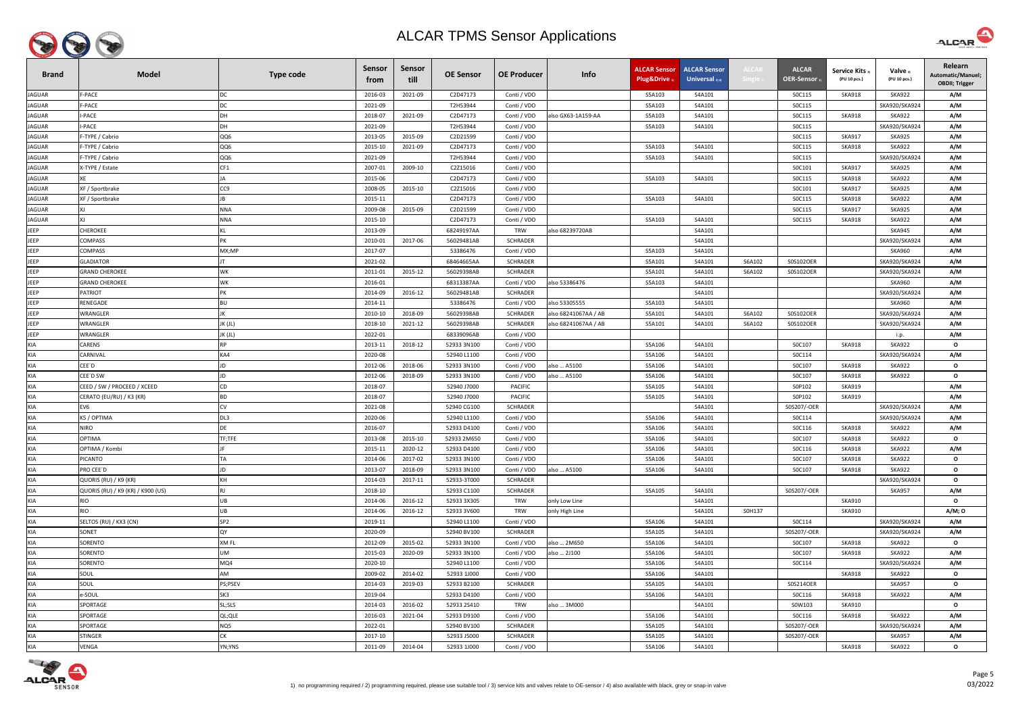

| <b>Brand</b>  | <b>Model</b>                      | <b>Type code</b> | <b>Sensor</b><br>trom | Sensor<br>till | <b>OE Sensor</b> | <b>OE Producer</b> | Info                 | <b>ALCAR Sensor</b><br>Plug&Drive | <b>ALCAR Sensor</b><br>Universal 2) 4) | <b>ALCAI</b><br>Single 1 | <b>ALCAR</b><br><b>OER-Sensor</b> | Service Kits 3)<br>(PU 10 pcs.) | Valve 3)<br>(PU 10 pcs.) | Relearn<br>Automatic/Manuel;<br><b>OBDII</b> ; Trigger |
|---------------|-----------------------------------|------------------|-----------------------|----------------|------------------|--------------------|----------------------|-----------------------------------|----------------------------------------|--------------------------|-----------------------------------|---------------------------------|--------------------------|--------------------------------------------------------|
| JAGUAR        | F-PACE                            | DC               | 2016-03               | 2021-09        | C2D47173         | Conti / VDO        |                      | S5A103                            | S4A101                                 |                          | SOC115                            | <b>SKA918</b>                   | <b>SKA922</b>            | A/M                                                    |
| <b>JAGUAR</b> | F-PACE                            | <b>DC</b>        | 2021-09               |                | T2H53944         | Conti / VDO        |                      | S5A103                            | S4A101                                 |                          | SOC115                            |                                 | SKA920/SKA924            | A/M                                                    |
| <b>JAGUAR</b> | -PACE                             | <b>DH</b>        | 2018-07               | 2021-09        | C2D47173         | Conti / VDO        | also GX63-1A159-AA   | S5A103                            | S4A101                                 |                          | SOC115                            | <b>SKA918</b>                   | <b>SKA922</b>            | A/M                                                    |
| <b>JAGUAR</b> | I-PACE                            | DH               | 2021-09               |                | T2H53944         | Conti / VDO        |                      | S5A103                            | S4A101                                 |                          | SOC115                            |                                 | SKA920/SKA924            | A/M                                                    |
| <b>JAGUAR</b> | -TYPE / Cabrio                    | QQ6              | 2013-05               | 2015-09        | C2D21599         | Conti / VDO        |                      |                                   |                                        |                          | SOC115                            | <b>SKA917</b>                   | <b>SKA925</b>            | A/M                                                    |
| <b>JAGUAR</b> | -TYPE / Cabrio                    | QQ6              | 2015-10               | 2021-09        | C2D47173         | Conti / VDO        |                      | S5A103                            | S4A101                                 |                          | SOC115                            | <b>SKA918</b>                   | <b>SKA922</b>            | A/M                                                    |
| <b>JAGUAR</b> | -TYPE / Cabrio                    | QQ6              | 2021-09               |                | T2H53944         | Conti / VDO        |                      | S5A103                            | S4A101                                 |                          | SOC115                            |                                 | SKA920/SKA924            | A/M                                                    |
| <b>JAGUAR</b> | <-TYPE / Estate                   | CF1              | 2007-01               | 2009-10        | C2Z15016         | Conti / VDO        |                      |                                   |                                        |                          | SOC101                            | <b>SKA917</b>                   | <b>SKA925</b>            | A/M                                                    |
| <b>JAGUAR</b> |                                   | IΔ               | 2015-06               |                | C2D47173         | Conti / VDO        |                      | S5A103                            | S4A101                                 |                          | SOC115                            | <b>SKA918</b>                   | <b>SKA922</b>            | A/M                                                    |
| <b>JAGUAR</b> | XF / Sportbrake                   | CC <sub>9</sub>  | 2008-05               | 2015-10        | C2Z15016         | Conti / VDO        |                      |                                   |                                        |                          | SOC101                            | <b>SKA917</b>                   | <b>SKA925</b>            | A/M                                                    |
| <b>JAGUAR</b> | XF / Sportbrake                   | <b>IB</b>        | 2015-11               |                | C2D47173         | Conti / VDO        |                      | S5A103                            | S4A101                                 |                          | SOC115                            | <b>SKA918</b>                   | <b>SKA922</b>            | A/M                                                    |
| <b>JAGUAR</b> |                                   | <b>NNA</b>       | 2009-08               | 2015-09        | C2D21599         | Conti / VDO        |                      |                                   |                                        |                          | SOC115                            | <b>SKA917</b>                   | <b>SKA925</b>            | A/M                                                    |
| <b>JAGUAR</b> | ΧI                                | <b>NNA</b>       | 2015-10               |                | C2D47173         | Conti / VDO        |                      | S5A103                            | S4A101                                 |                          | SOC115                            | <b>SKA918</b>                   | <b>SKA922</b>            | A/M                                                    |
| <b>JEEP</b>   | CHEROKEE                          | KL               | 2013-09               |                | 68249197AA       | TRW                | also 68239720AB      |                                   | S4A101                                 |                          |                                   |                                 | <b>SKA945</b>            | A/M                                                    |
| <b>JEEP</b>   | COMPASS                           | PK               | 2010-01               | 2017-06        | 56029481AB       | SCHRADER           |                      |                                   | S4A101                                 |                          |                                   |                                 | SKA920/SKA924            | A/M                                                    |
| JEEP          | COMPASS                           | MX;MP            | 2017-07               |                | 53386476         | Conti / VDO        |                      | S5A103                            | S4A101                                 |                          |                                   |                                 | <b>SKA960</b>            | A/M                                                    |
| <b>JEEP</b>   | <b>LADIATOR</b>                   |                  | 2021-02               |                | 68464665AA       | <b>SCHRADER</b>    |                      | S5A101                            | S4A101                                 | S6A102                   | S0S102OER                         |                                 | SKA920/SKA924            | A/M                                                    |
| JEEP          | <b>GRAND CHEROKEE</b>             | <b>WK</b>        | 2011-01               | 2015-12        | 56029398AB       | <b>SCHRADER</b>    |                      | S5A101                            | S4A101                                 | S6A102                   | S0S102OER                         |                                 | SKA920/SKA924            | A/M                                                    |
| JEEP          | <b>GRAND CHEROKEE</b>             | <b>WK</b>        | 2016-01               |                | 68313387AA       | Conti / VDO        | also 53386476        | S5A103                            | S4A101                                 |                          |                                   |                                 | <b>SKA960</b>            | A/M                                                    |
| <b>JEEP</b>   | <b>PATRIOT</b>                    | <b>PK</b>        | 2014-09               | 2016-12        | 56029481AB       | <b>SCHRADER</b>    |                      |                                   | S4A101                                 |                          |                                   |                                 | SKA920/SKA924            | A/M                                                    |
| JEEP          | RENEGADE                          | <b>BU</b>        | 2014-11               |                | 53386476         | Conti / VDO        | also 53305555        | S5A103                            | S4A101                                 |                          |                                   |                                 | <b>SKA960</b>            | A/M                                                    |
| <b>JEEP</b>   | VRANGLER                          | JK               | 2010-10               | 2018-09        | 56029398AB       | <b>SCHRADER</b>    | also 68241067AA / AB | S5A101                            | S4A101                                 | S6A102                   | S0S102OER                         |                                 | SKA920/SKA924            | A/M                                                    |
| <b>JEEP</b>   | WRANGLER                          | JK (JL)          | 2018-10               | 2021-12        | 56029398AB       | <b>SCHRADER</b>    | also 68241067AA / AB | S5A101                            | S4A101                                 | S6A102                   | S0S102OER                         |                                 | SKA920/SKA924            | A/M                                                    |
| JEEP          | WRANGLER                          | JK (JL)          | 2022-01               |                | 68339096AB       | Conti / VDO        |                      |                                   |                                        |                          |                                   |                                 | i.p.                     | A/M                                                    |
| <b>KIA</b>    | CARENS                            | <b>RP</b>        | 2013-11               | 2018-12        | 52933 3N100      | Conti / VDO        |                      | S5A106                            | S4A101                                 |                          | S0C107                            | <b>SKA918</b>                   | <b>SKA922</b>            | $\mathbf{o}$                                           |
| <b>KIA</b>    | <b>ARNIVAL</b>                    | KA4              | 2020-08               |                | 52940 L1100      | Conti / VDO        |                      | S5A106                            | S4A101                                 |                          | SOC114                            |                                 | SKA920/SKA924            | A/M                                                    |
| <b>KIA</b>    | CEE'D                             | JD               | 2012-06               | 2018-06        | 52933 3N100      | Conti / VDO        | also  A5100          | S5A106                            | S4A101                                 |                          | SOC107                            | <b>SKA918</b>                   | <b>SKA922</b>            | $\mathbf{o}$                                           |
| <b>KIA</b>    | CEE'D SW                          | JD               | 2012-06               | 2018-09        | 52933 3N100      | Conti / VDO        | also  A5100          | S5A106                            | S4A101                                 |                          | S0C107                            | <b>SKA918</b>                   | <b>SKA922</b>            | $\mathbf{o}$                                           |
| <b>KIA</b>    | CEED / SW / PROCEED / XCEED       | CD               | 2018-07               |                | 52940 J7000      | <b>PACIFIC</b>     |                      | S5A105                            | S4A101                                 |                          | S0P102                            | <b>SKA919</b>                   |                          | A/M                                                    |
| <b>KIA</b>    | CERATO (EU/RU) / K3 (KR)          | <b>BD</b>        | 2018-07               |                | 52940 J7000      | <b>PACIFIC</b>     |                      | S5A105                            | S4A101                                 |                          | S0P102                            | <b>SKA919</b>                   |                          | A/M                                                    |
| KIA           | EV6                               | <b>CV</b>        | 2021-08               |                | 52940 CG100      | <b>SCHRADER</b>    |                      |                                   | S4A101                                 |                          | S0S207/-OER                       |                                 | SKA920/SKA924            | A/M                                                    |
| <b>KIA</b>    | K5 / OPTIMA                       | DL3              | 2020-06               |                | 52940 L1100      | Conti / VDO        |                      | S5A106                            | S4A101                                 |                          | SOC114                            |                                 | SKA920/SKA924            | A/M                                                    |
| <b>KIA</b>    | NIRO                              | DE               | 2016-07               |                | 52933 D4100      | Conti / VDO        |                      | S5A106                            | S4A101                                 |                          | SOC116                            | <b>SKA918</b>                   | <b>SKA922</b>            | A/M                                                    |
| <b>KIA</b>    | <b>OPTIMA</b>                     | TF;TFE           | 2013-08               | 2015-10        | 52933 2M650      | Conti / VDO        |                      | S5A106                            | S4A101                                 |                          | SOC107                            | <b>SKA918</b>                   | <b>SKA922</b>            | $\mathbf{o}$                                           |
| <b>KIA</b>    | OPTIMA / Kombi                    |                  | 2015-11               | 2020-12        | 52933 D4100      | Conti / VDO        |                      | S5A106                            | S4A101                                 |                          | SOC116                            | <b>SKA918</b>                   | <b>SKA922</b>            | A/M                                                    |
| <b>KIA</b>    | <b>ICANTO</b>                     | TA               | 2014-06               | 2017-02        | 52933 3N100      | Conti / VDO        |                      | S5A106                            | S4A101                                 |                          | S0C107                            | <b>SKA918</b>                   | <b>SKA922</b>            | $\mathbf{o}$                                           |
| <b>KIA</b>    | RO CEE´D                          | JD               | 2013-07               | 2018-09        | 52933 3N100      | Conti / VDO        | also  A5100          | S5A106                            | S4A101                                 |                          | S0C107                            | <b>SKA918</b>                   | <b>SKA922</b>            | $\mathbf{o}$                                           |
| <b>KIA</b>    | QUORIS (RU) / K9 (KR)             | KH               | 2014-03               | 2017-11        | 52933-3T000      | <b>SCHRADER</b>    |                      |                                   |                                        |                          |                                   |                                 | SKA920/SKA924            | $\mathbf{o}$                                           |
| <b>KIA</b>    | QUORIS (RU) / K9 (KR) / K900 (US) | RJ               | 2018-10               |                | 52933 C1100      | <b>SCHRADER</b>    |                      | S5A105                            | S4A101                                 |                          | S0S207/-OER                       |                                 | <b>SKA957</b>            | A/M                                                    |
| <b>KIA</b>    | RIO                               | UB               | 2014-06               | 2016-12        | 52933 3X305      | <b>TRW</b>         | only Low Line        |                                   | S4A101                                 |                          |                                   | SKA910                          |                          | $\mathbf{o}$                                           |
| <b>KIA</b>    | rio                               | UB               | 2014-06               | 2016-12        | 52933 3V600      | <b>TRW</b>         | only High Line       |                                   | S4A101                                 | S0H137                   |                                   | SKA910                          |                          | A/M; 0                                                 |
| <b>KIA</b>    | SELTOS (RU) / KX3 (CN)            | SP <sub>2</sub>  | 2019-11               |                | 52940 L1100      | Conti / VDO        |                      | S5A106                            | S4A101                                 |                          | SOC114                            |                                 | SKA920/SKA924            | A/M                                                    |
| <b>KIA</b>    | SONET                             | QY               | 2020-09               |                | 52940 BV100      | <b>SCHRADER</b>    |                      | S5A105                            | S4A101                                 |                          | S0S207/-OER                       |                                 | SKA920/SKA924            | A/M                                                    |
| <b>KIA</b>    | SORENTO                           | XM FL            | 2012-09               | 2015-02        | 52933 3N100      | Conti / VDO        | also  2M650          | S5A106                            | S4A101                                 |                          | S0C107                            | <b>SKA918</b>                   | <b>SKA922</b>            | $\mathbf{o}$                                           |
| <b>KIA</b>    | ORENTO                            | UM               | 2015-03               | 2020-09        | 52933 3N100      | Conti / VDO        | also  2J100          | S5A106                            | S4A101                                 |                          | S0C107                            | <b>SKA918</b>                   | <b>SKA922</b>            | A/M                                                    |
| <b>KIA</b>    | ORENTO                            | MQ4              | 2020-10               |                | 52940 L1100      | Conti / VDO        |                      | S5A106                            | S4A101                                 |                          | SOC114                            |                                 | SKA920/SKA924            | A/M                                                    |
| <b>KIA</b>    | SOUL                              | AM               | 2009-02               | 2014-02        | 52933 1J000      | Conti / VDO        |                      | S5A106                            | S4A101                                 |                          |                                   | <b>SKA918</b>                   | <b>SKA922</b>            | $\mathbf{o}$                                           |
| <b>KIA</b>    | SOUL                              | PS;PSEV          | 2014-03               | 2019-03        | 52933 B2100      | <b>SCHRADER</b>    |                      | S5A105                            | S4A101                                 |                          | S0S214OER                         |                                 | <b>SKA957</b>            | $\mathbf{o}$                                           |
| <b>KIA</b>    | e-SOUL                            | SK3              | 2019-04               |                | 52933 D4100      | Conti / VDO        |                      | S5A106                            | S4A101                                 |                          | SOC116                            | <b>SKA918</b>                   | <b>SKA922</b>            | A/M                                                    |
| <b>KIA</b>    | SPORTAGE                          | SL;SLS           | 2014-03               | 2016-02        | 52933 2S410      | TRW                | also  3M000          |                                   | S4A101                                 |                          | S0W103                            | <b>SKA910</b>                   |                          | $\mathbf{o}$                                           |
| <b>KIA</b>    | SPORTAGE                          | QL; QLE          | 2016-03               | 2021-04        | 52933 D9100      | Conti / VDO        |                      | S5A106                            | S4A101                                 |                          | SOC116                            | <b>SKA918</b>                   | <b>SKA922</b>            | A/M                                                    |
| <b>KIA</b>    | SPORTAGE                          | NQ5              | 2022-01               |                | 52940 BV100      | <b>SCHRADER</b>    |                      | S5A105                            | S4A101                                 |                          | S0S207/-OER                       |                                 | SKA920/SKA924            | A/M                                                    |
| <b>KIA</b>    | <b>STINGER</b>                    | СK               | 2017-10               |                | 52933 J5000      | <b>SCHRADER</b>    |                      | S5A105                            | S4A101                                 |                          | S0S207/-OER                       |                                 | <b>SKA957</b>            | A/M                                                    |
| KIA           | VENGA                             | YN;YNS           | 2011-09               | 2014-04        | 52933 1J000      | Conti / VDO        |                      | S5A106                            | S4A101                                 |                          |                                   | <b>SKA918</b>                   | <b>SKA922</b>            | $\mathbf{o}$                                           |



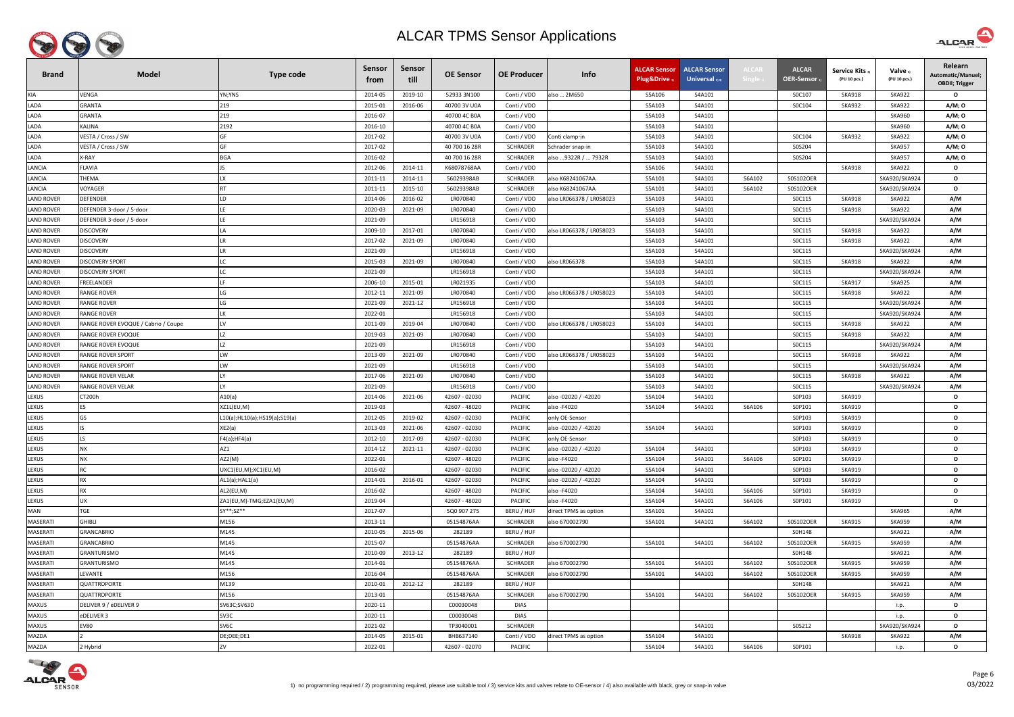

| <b>Brand</b>      | <b>Model</b>                        | <b>Type code</b>              | <b>Sensor</b><br>trom | Sensor<br>till | <b>OE Sensor</b>         | <b>OE Producer</b>                 | Info                             | <b>ALCAR Sensor</b><br>Plug&Drive | <b>ALCAR Sensor</b><br>Universal $_{2(4)}$ | <b>ALCAI</b>     | <b>ALCAR</b><br><b>OER-Sensor</b> | <b>Service Kits</b><br>(PU 10 pcs.) | Valve <sub>3</sub><br>(PU 10 pcs.) | Relearn<br>Automatic/Manuel;<br><b>OBDII; Trigger</b> |
|-------------------|-------------------------------------|-------------------------------|-----------------------|----------------|--------------------------|------------------------------------|----------------------------------|-----------------------------------|--------------------------------------------|------------------|-----------------------------------|-------------------------------------|------------------------------------|-------------------------------------------------------|
| KIA               | VENGA                               | YN;YNS                        | 2014-05               | 2019-10        | 52933 3N100              | Conti / VDO                        | also  2M650                      | S5A106                            | S4A101                                     |                  | S0C107                            | <b>SKA918</b>                       | <b>SKA922</b>                      | $\mathbf{o}$                                          |
| LADA              | GRANTA                              | 219                           | 2015-01               | 2016-06        | 40700 3V U0A             | Conti / VDO                        |                                  | S5A103                            | S4A101                                     |                  | S0C104                            | <b>SKA932</b>                       | <b>SKA922</b>                      | A/M; 0                                                |
| LADA              | GRANTA                              | 219                           | 2016-07               |                | 40700 4C B0A             | Conti / VDO                        |                                  | S5A103                            | S4A101                                     |                  |                                   |                                     | <b>SKA960</b>                      | A/M; 0                                                |
| LADA              | <b>(ALINA</b>                       | 2192                          | 2016-10               |                | 40700 4C B0A             | Conti / VDO                        |                                  | S5A103                            | S4A101                                     |                  |                                   |                                     | <b>SKA960</b>                      | A/M; O                                                |
| LADA              | VESTA / Cross / SW                  | GF                            | 2017-02               |                | 40700 3V U0A             | Conti / VDO                        | Conti clamp-in                   | S5A103                            | S4A101                                     |                  | S0C104                            | <b>SKA932</b>                       | <b>SKA922</b>                      | A/M; 0                                                |
| LADA              | VESTA / Cross / SW                  | GF                            | 2017-02               |                | 40 700 16 28R            | <b>SCHRADER</b>                    | Schrader snap-in                 | S5A103                            | S4A101                                     |                  | S0S204                            |                                     | <b>SKA957</b>                      | A/M; 0                                                |
| LADA              | K-RAY                               | <b>BGA</b>                    | 2016-02               |                | 40 700 16 28R            | SCHRADER                           | also 9322R /  7932R              | S5A103                            | S4A101                                     |                  | S0S204                            |                                     | <b>SKA957</b>                      | A/M; 0                                                |
| LANCIA            | FLAVIA                              |                               | 2012-06               | 2014-11        | K68078768AA              | Conti / VDO                        |                                  | S5A106                            | S4A101                                     |                  |                                   | <b>SKA918</b>                       | <b>SKA922</b>                      | $\mathbf{o}$                                          |
| LANCIA            | THEMA                               | <b>LX</b>                     | 2011-11               | 2014-11        | 56029398AB               | SCHRADER                           | also K68241067AA                 | S5A101                            | S4A101                                     | S6A102           | S0S102OER                         |                                     | SKA920/SKA924                      | $\mathbf{o}$                                          |
| LANCIA            | VOYAGER                             | <b>RT</b>                     | 2011-11               | 2015-10        | 56029398AB               | <b>SCHRADER</b>                    | also K68241067AA                 | S5A101                            | S4A101                                     | S6A102           | S0S102OER                         |                                     | SKA920/SKA924                      | $\mathbf{o}$                                          |
| <b>LAND ROVER</b> | DEFENDER                            | LD                            | 2014-06               | 2016-02        | LR070840                 | Conti / VDO                        | also LR066378 / LR058023         | S5A103                            | S4A101                                     |                  | SOC115                            | <b>SKA918</b>                       | <b>SKA922</b>                      | A/M                                                   |
| <b>LAND ROVER</b> | DEFENDER 3-door / 5-door            |                               | 2020-03               | 2021-09        | LR070840                 | Conti / VDO                        |                                  | S5A103                            | S4A101                                     |                  | SOC115                            | <b>SKA918</b>                       | <b>SKA922</b>                      | A/M                                                   |
| <b>LAND ROVER</b> | DEFENDER 3-door / 5-door            |                               | 2021-09               |                | LR156918                 | Conti / VDO                        |                                  | S5A103                            | S4A101                                     |                  | SOC115                            |                                     | SKA920/SKA924                      | A/M                                                   |
| <b>LAND ROVER</b> | DISCOVERY                           |                               | 2009-10               | 2017-01        | LR070840                 | Conti / VDO                        | also LR066378 / LR058023         | S5A103                            | S4A101                                     |                  | SOC115                            | <b>SKA918</b>                       | <b>SKA922</b>                      | A/M                                                   |
| <b>LAND ROVER</b> | <b>DISCOVERY</b>                    |                               | 2017-02               | 2021-09        | LR070840                 | Conti / VDO                        |                                  | S5A103                            | S4A101                                     |                  | SOC115                            | <b>SKA918</b>                       | <b>SKA922</b>                      | A/M                                                   |
| <b>LAND ROVER</b> | <b>DISCOVERY</b>                    |                               | 2021-09               |                | LR156918                 | Conti / VDO                        |                                  | S5A103                            | S4A101                                     |                  | SOC115                            |                                     | SKA920/SKA924                      | A/M                                                   |
| <b>LAND ROVER</b> | <b>DISCOVERY SPORT</b>              |                               | 2015-03               | 2021-09        | LR070840                 | Conti / VDO                        | also LR066378                    | S5A103                            | S4A101                                     |                  | SOC115                            | <b>SKA918</b>                       | <b>SKA922</b>                      | A/M                                                   |
| <b>LAND ROVER</b> | DISCOVERY SPORT                     |                               | 2021-09               |                | LR156918                 | Conti / VDO                        |                                  | S5A103                            | S4A101                                     |                  | SOC115                            |                                     | SKA920/SKA924                      | A/M                                                   |
| <b>LAND ROVER</b> | FREELANDER                          |                               | 2006-10               | 2015-01        | LR021935                 | Conti / VDO                        |                                  | S5A103                            | S4A101                                     |                  | SOC115                            | <b>SKA917</b>                       | <b>SKA925</b>                      | A/M                                                   |
| <b>LAND ROVER</b> | <b>RANGE ROVER</b>                  |                               | 2012-11               | 2021-09        | LR070840                 | Conti / VDO                        | also LR066378 / LR058023         | S5A103                            | S4A101                                     |                  | SOC115                            | <b>SKA918</b>                       | <b>SKA922</b>                      | A/M                                                   |
| <b>LAND ROVER</b> | RANGE ROVER                         | LG                            | 2021-09               | 2021-12        | LR156918                 | Conti / VDO                        |                                  | S5A103                            | S4A101                                     |                  | SOC115                            |                                     | SKA920/SKA924                      | A/M                                                   |
| <b>LAND ROVER</b> | RANGE ROVER                         | LK                            | 2022-01               |                | LR156918                 | Conti / VDO                        |                                  | S5A103                            | S4A101                                     |                  | SOC115                            |                                     | SKA920/SKA924                      | A/M                                                   |
| LAND ROVER        | RANGE ROVER EVOQUE / Cabrio / Coupe | LV                            | 2011-09               | 2019-04        | LR070840                 | Conti / VDO                        | also LR066378 / LR058023         | S5A103                            | S4A101                                     |                  | SOC115                            | SKA918                              | <b>SKA922</b>                      | A/M                                                   |
| <b>LAND ROVER</b> | RANGE ROVER EVOQUE                  | 17                            | 2019-03               | 2021-09        | LR070840                 | Conti / VDO                        |                                  | S5A103                            | S4A101                                     |                  | SOC115                            | <b>SKA918</b>                       | <b>SKA922</b>                      | A/M                                                   |
| <b>LAND ROVER</b> | RANGE ROVER EVOQUE                  |                               | 2021-09               |                | LR156918                 | Conti / VDO                        |                                  | S5A103                            | S4A101                                     |                  | SOC115                            |                                     | SKA920/SKA924                      | A/M                                                   |
| <b>LAND ROVER</b> | RANGE ROVER SPORT                   | LW                            | 2013-09               | 2021-09        | LR070840                 | Conti / VDO                        | also LR066378 / LR058023         | S5A103                            | S4A101                                     |                  | SOC115                            | <b>SKA918</b>                       | <b>SKA922</b>                      | A/M                                                   |
| <b>LAND ROVER</b> | RANGE ROVER SPORT                   | LW                            | 2021-09               |                | LR156918                 | Conti / VDO                        |                                  | S5A103                            | S4A101                                     |                  | SOC115                            |                                     | SKA920/SKA924                      | A/M                                                   |
| <b>LAND ROVER</b> | RANGE ROVER VELAR                   |                               | 2017-06               | 2021-09        | LR070840                 | Conti / VDO                        |                                  | S5A103                            | S4A101                                     |                  | SOC115                            | <b>SKA918</b>                       | <b>SKA922</b>                      | A/M                                                   |
| <b>LAND ROVER</b> | RANGE ROVER VELAR                   | IY                            | 2021-09               |                | LR156918                 | Conti / VDO                        |                                  | S5A103                            | S4A101                                     |                  | S0C115                            |                                     | SKA920/SKA924                      | A/M                                                   |
| LEXUS             | CT200h                              | A10(a)                        | 2014-06               | 2021-06        | 42607 - 02030            | <b>PACIFIC</b>                     | also -02020 / -42020             | S5A104                            | S4A101                                     |                  | S0P103                            | <b>SKA919</b>                       |                                    | $\mathbf{o}$                                          |
| LEXUS             | <b>ES</b>                           | XZ1L(EU,M)                    | 2019-03               |                | 42607 - 48020            | <b>PACIFIC</b>                     | also - F4020                     | S5A104                            | S4A101                                     | S6A106           | S0P101                            | <b>SKA919</b>                       |                                    | $\mathbf{o}$                                          |
| LEXUS             | GS                                  | L10(a);HL10(a);HS19(a);S19(a) | 2012-05               | 2019-02        | 42607 - 02030            | <b>PACIFIC</b>                     | only OE-Sensor                   |                                   |                                            |                  | S0P103                            | <b>SKA919</b>                       |                                    | $\mathbf{o}$                                          |
| LEXUS             | <b>IS</b>                           | XE2(a)                        | 2013-03               | 2021-06        | 42607 - 02030            | <b>PACIFIC</b>                     | also -02020 / -42020             | S5A104                            | S4A101                                     |                  | S0P103                            | <b>SKA919</b>                       |                                    | $\mathbf{o}$                                          |
| LEXUS             | ١S.                                 | F4(a); HF4(a)                 | 2012-10               | 2017-09        | 42607 - 02030            | <b>PACIFIC</b>                     | only OE-Sensor                   |                                   |                                            |                  | S0P103                            | <b>SKA919</b>                       |                                    | $\mathbf{o}$                                          |
| LEXUS             | <b>NX</b>                           | AZ1                           | 2014-12               | 2021-11        | 42607 - 02030            | <b>PACIFIC</b>                     | also -02020 / -42020             | S5A104                            | S4A101                                     |                  | S0P103                            | SKA919                              |                                    | $\mathbf{o}$                                          |
| LEXUS             | <b>NX</b>                           | AZ2(M)                        | 2022-01               |                | 42607 - 48020            | <b>PACIFIC</b>                     | also - F4020                     | S5A104                            | S4A101                                     | S6A106           | S0P101                            | <b>SKA919</b>                       |                                    | $\mathbf{o}$                                          |
| LEXUS             | <b>RC</b>                           | UXC1(EU,M);XC1(EU,M)          | 2016-02               |                | 42607 - 02030            | <b>PACIFIC</b>                     | also -02020 / -42020             | S5A104                            | S4A101                                     |                  | S0P103                            | <b>SKA919</b>                       |                                    | $\mathbf{o}$                                          |
| LEXUS             | <b>RX</b>                           | AL1(a); HAL1(a)               | 2014-01               | 2016-01        | 42607 - 02030            | PACIFIC                            | also -02020 / -42020             | S5A104                            | S4A101                                     |                  | S0P103                            | <b>SKA919</b>                       |                                    | $\mathbf{o}$                                          |
| LEXUS             | <b>RX</b>                           | AL2(EU,M)                     | 2016-02               |                | 42607 - 48020            | <b>PACIFIC</b>                     | also - F4020                     | S5A104                            | S4A101                                     | S6A106           | S0P101                            | <b>SKA919</b>                       |                                    | $\mathbf{o}$                                          |
| LEXUS             | UX                                  | ZA1(EU,M)-TMG;EZA1(EU,M)      | 2019-04               |                | 42607 - 48020            | PACIFIC                            | also - F4020                     | S5A104                            | S4A101                                     | S6A106           | S0P101                            | <b>SKA919</b>                       |                                    | $\mathbf{o}$                                          |
| MAN               | TGE                                 | SY**;SZ**                     | 2017-07               |                | 5Q0 907 275              | BERU / HUF                         | direct TPMS as option            | S5A101                            | S4A101                                     |                  |                                   |                                     | <b>SKA965</b>                      | A/M                                                   |
| MASERATI          | <b>GHIBLI</b>                       | M156                          | 2013-11               |                | 05154876AA               | <b>SCHRADER</b>                    | also 670002790                   | S5A101                            | S4A101                                     | S6A102           | S0S102OER                         | <b>SKA915</b>                       | <b>SKA959</b>                      | A/M                                                   |
| MASERATI          | <b>GRANCABRIO</b>                   | M145                          | 2010-05               | 2015-06        | 282189                   | BERU / HUF                         |                                  |                                   |                                            |                  | S0H148                            |                                     | <b>SKA921</b>                      | A/M                                                   |
| MASERATI          | <b>GRANCABRIO</b>                   | M145                          | 2015-07               |                | 05154876AA               | SCHRADER                           | also 670002790                   | S5A101                            | S4A101                                     | S6A102           | S0S102OER                         | SKA915                              | <b>SKA959</b>                      | A/M                                                   |
| MASERATI          | <b>GRANTURISMO</b>                  | M145                          | 2010-09               | 2013-12        | 282189                   | BERU / HUF                         |                                  |                                   |                                            |                  | S0H148                            |                                     | <b>SKA921</b>                      | A/M                                                   |
|                   |                                     |                               |                       |                |                          |                                    |                                  |                                   |                                            |                  |                                   |                                     |                                    |                                                       |
| MASERATI          | GRANTURISMO<br>LEVANTE              | M145<br>M156                  | 2014-01<br>2016-04    |                | 05154876AA<br>05154876AA | <b>SCHRADER</b><br><b>SCHRADER</b> | also 670002790<br>also 670002790 | S5A101<br>S5A101                  | S4A101<br>S4A101                           | S6A102<br>S6A102 | S0S102OER<br>S0S102OER            | <b>SKA915</b><br><b>SKA915</b>      | <b>SKA959</b><br><b>SKA959</b>     | A/M                                                   |
| MASERATI          |                                     |                               |                       |                |                          |                                    |                                  |                                   |                                            |                  |                                   |                                     |                                    | A/M                                                   |
| MASERATI          | QUATTROPORTE                        | M139                          | 2010-01               | 2012-12        | 282189                   | BERU / HUF                         |                                  |                                   |                                            |                  | S0H148                            |                                     | <b>SKA921</b>                      | A/M                                                   |
| MASERATI          | QUATTROPORTE                        | M156                          | 2013-01               |                | 05154876AA               | <b>SCHRADER</b>                    | also 670002790                   | S5A101                            | S4A101                                     | S6A102           | S0S102OER                         | <b>SKA915</b>                       | <b>SKA959</b>                      | A/M                                                   |
| <b>MAXUS</b>      | DELIVER 9 / eDELIVER 9              | SV63C;SV63D                   | 2020-11               |                | C00030048                | <b>DIAS</b>                        |                                  |                                   |                                            |                  |                                   |                                     | i.p.                               | $\mathbf{o}$                                          |
| <b>MAXUS</b>      | eDELIVER 3                          | SV3C                          | 2020-11               |                | C00030048                | <b>DIAS</b>                        |                                  |                                   |                                            |                  |                                   |                                     | i.p.                               | $\mathbf{o}$                                          |
| <b>MAXUS</b>      | <b>EV80</b>                         | SV6C                          | 2021-02               |                | TP3040001                | <b>SCHRADER</b>                    |                                  |                                   | S4A101                                     |                  | S0S212                            |                                     | SKA920/SKA924                      | $\mathbf{o}$                                          |
| MAZDA             |                                     | DE;DEE;DE1                    | 2014-05               | 2015-01        | BHB637140                | Conti / VDO                        | direct TPMS as option            | S5A104                            | S4A101                                     |                  |                                   | <b>SKA918</b>                       | <b>SKA922</b>                      | A/M                                                   |
| MAZDA             | 2 Hybrid                            | ZV                            | 2022-01               |                | 42607 - 02070            | <b>PACIFIC</b>                     |                                  | S5A104                            | S4A101                                     | S6A106           | S0P101                            |                                     | i.p.                               | $\mathbf{o}$                                          |



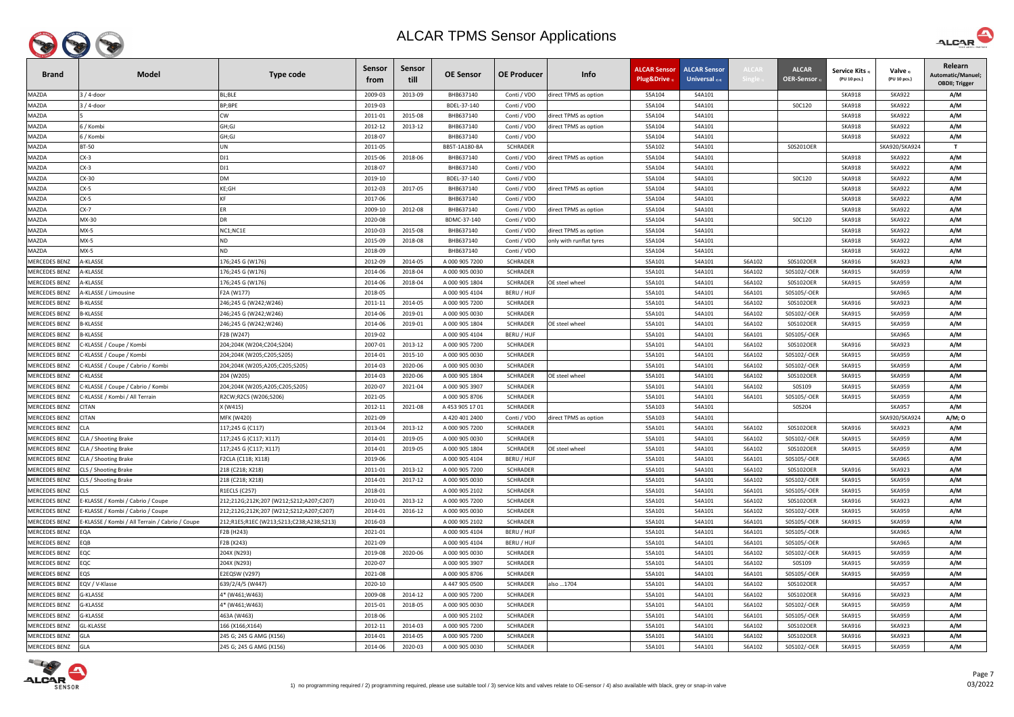

| <b>Brand</b>         | <b>Model</b>                                   | Type code                                | <b>Sensor</b><br>trom | <b>Sensor</b><br>till | <b>OE Sensor</b> | <b>OE Producer</b> | Info                    | <b>ALCAR Sensor</b><br>Plug&Drive | <b>ALCAR Sensor</b><br>Universal $_{2/4}$ | <b>ALCA</b>      | <b>ALCAR</b><br><b>OER-Sensor</b> | <b>Service Kits</b><br>(PU 10 pcs.) | Valve 3)<br>(PU 10 pcs.) | Relearn<br>Automatic/Manuel;<br><b>OBDII; Trigger</b> |
|----------------------|------------------------------------------------|------------------------------------------|-----------------------|-----------------------|------------------|--------------------|-------------------------|-----------------------------------|-------------------------------------------|------------------|-----------------------------------|-------------------------------------|--------------------------|-------------------------------------------------------|
| MAZDA                | 3 / 4-door                                     | BL;BLE                                   | 2009-03               | 2013-09               | BHB637140        | Conti / VDO        | direct TPMS as option   | S5A104                            | S4A101                                    |                  |                                   | <b>SKA918</b>                       | <b>SKA922</b>            | A/M                                                   |
| MAZDA                | 3 / 4-door                                     | BP;BPE                                   | 2019-03               |                       | BDEL-37-140      | Conti / VDO        |                         | S5A104                            | S4A101                                    |                  | SOC120                            | <b>SKA918</b>                       | <b>SKA922</b>            | A/M                                                   |
| MAZDA                |                                                | CW                                       | 2011-01               | 2015-08               | BHB637140        | Conti / VDO        | direct TPMS as option   | S5A104                            | S4A101                                    |                  |                                   | <b>SKA918</b>                       | <b>SKA922</b>            | A/M                                                   |
| MAZDA                | ნ / Kombi                                      | GH;GJ                                    | 2012-12               | 2013-12               | BHB637140        | Conti / VDO        | direct TPMS as option   | S5A104                            | S4A101                                    |                  |                                   | <b>SKA918</b>                       | <b>SKA922</b>            | A/M                                                   |
| <b>MAZDA</b>         | 5 / Kombi                                      | GH;GJ                                    | 2018-07               |                       | BHB637140        | Conti / VDO        |                         | S5A104                            | S4A101                                    |                  |                                   | <b>SKA918</b>                       | <b>SKA922</b>            | A/M                                                   |
| MAZDA                | <b>BT-50</b>                                   | UN                                       | 2011-05               |                       | BB5T-1A180-BA    | <b>SCHRADER</b>    |                         | S5A102                            | S4A101                                    |                  | S0S201OER                         |                                     | SKA920/SKA924            | $\mathbf{T}$                                          |
| <b>MAZDA</b>         | $CX-3$                                         | DJ1                                      | 2015-06               | 2018-06               | BHB637140        | Conti / VDO        | direct TPMS as option   | S5A104                            | S4A101                                    |                  |                                   | <b>SKA918</b>                       | <b>SKA922</b>            | A/M                                                   |
| <b>MAZDA</b>         | CX-3                                           | DJ1                                      | 2018-07               |                       | BHB637140        | Conti / VDO        |                         | S5A104                            | S4A101                                    |                  |                                   | <b>SKA918</b>                       | <b>SKA922</b>            | A/M                                                   |
| MAZDA                | CX-30                                          | <b>DM</b>                                | 2019-10               |                       | BDEL-37-140      | Conti / VDO        |                         | S5A104                            | S4A101                                    |                  | SOC120                            | <b>SKA918</b>                       | <b>SKA922</b>            | A/M                                                   |
| MAZDA                | CX-5                                           | KE;GH                                    | 2012-03               | 2017-05               | BHB637140        | Conti / VDO        | direct TPMS as option   | S5A104                            | S4A101                                    |                  |                                   | <b>SKA918</b>                       | <b>SKA922</b>            | A/M                                                   |
| MAZDA                | CX-5                                           | KF                                       | 2017-06               |                       | BHB637140        | Conti / VDO        |                         | S5A104                            | S4A101                                    |                  |                                   | <b>SKA918</b>                       | <b>SKA922</b>            | A/M                                                   |
| <b>MAZDA</b>         | $CX-7$                                         |                                          | 2009-10               | 2012-08               | BHB637140        | Conti / VDO        | direct TPMS as option   | S5A104                            | S4A101                                    |                  |                                   | <b>SKA918</b>                       | <b>SKA922</b>            | A/M                                                   |
| MAZDA                | MX-30                                          | DR                                       | 2020-08               |                       | BDMC-37-140      | Conti / VDO        |                         | S5A104                            | S4A101                                    |                  | SOC120                            | <b>SKA918</b>                       | <b>SKA922</b>            | A/M                                                   |
| MAZDA                | $MX-5$                                         | NC1;NC1E                                 | 2010-03               | 2015-08               | BHB637140        | Conti / VDO        | direct TPMS as option   | S5A104                            | S4A101                                    |                  |                                   | <b>SKA918</b>                       | <b>SKA922</b>            | A/M                                                   |
| MAZDA                | $MX-5$                                         | ND.                                      | 2015-09               | 2018-08               | BHB637140        | Conti / VDO        | only with runflat tyres | S5A104                            | S4A101                                    |                  |                                   | <b>SKA918</b>                       | <b>SKA922</b>            | A/M                                                   |
| MAZDA                | $MX-5$                                         | ND                                       | 2018-09               |                       | BHB637140        | Conti / VDO        |                         | S5A104                            | S4A101                                    |                  |                                   | <b>SKA918</b>                       | <b>SKA922</b>            | A/M                                                   |
| MERCEDES BENZ        | <b>A-KLASSE</b>                                | 176;245 G (W176)                         | 2012-09               | 2014-05               | A 000 905 7200   | SCHRADER           |                         | S5A101                            | S4A101                                    | S6A102           | S0S102OER                         | <b>SKA916</b>                       | <b>SKA923</b>            | A/M                                                   |
| <b>MERCEDES BENZ</b> | <b><i>N-KLASSE</i></b>                         | .76;245 G (W176)                         | 2014-06               | 2018-04               | A 000 905 0030   | <b>SCHRADER</b>    |                         | S5A101                            | S4A101                                    | S6A102           | S0S102/-OER                       | <b>SKA915</b>                       | <b>SKA959</b>            | A/M                                                   |
| <b>MERCEDES BENZ</b> | <b>A-KLASSE</b>                                | 176;245 G (W176)                         | 2014-06               | 2018-04               | A 000 905 1804   | <b>SCHRADER</b>    | <b>OE steel wheel</b>   | S5A101                            | S4A101                                    | S6A102           | S0S102OER                         | <b>SKA915</b>                       | <b>SKA959</b>            | A/M                                                   |
| <b>MERCEDES BENZ</b> | <b>A-KLASSE / Limousine</b>                    | F2A (W177)                               | 2018-05               |                       | A 000 905 4104   | BERU / HUF         |                         | S5A101                            | S4A101                                    | S6A101           | S0S105/-OER                       |                                     | <b>SKA965</b>            | A/M                                                   |
| <b>MERCEDES BENZ</b> | <b>B-KLASSE</b>                                | 246;245 G (W242;W246)                    | 2011-11               | 2014-05               | A 000 905 7200   | <b>SCHRADER</b>    |                         | S5A101                            | S4A101                                    | S6A102           | S0S102OER                         | <b>SKA916</b>                       | <b>SKA923</b>            | A/M                                                   |
| <b>MERCEDES BENZ</b> | 3-KLASSE                                       | !46;245 G (W242;W246)                    | 2014-06               | 2019-01               | A 000 905 0030   | <b>SCHRADER</b>    |                         | S5A101                            | S4A101                                    | S6A102           | S0S102/-OER                       | <b>SKA915</b>                       | <b>SKA959</b>            | A/M                                                   |
| MERCEDES BENZ        | 3-KLASSE                                       | 246;245 G (W242;W246)                    | 2014-06               | 2019-01               | A 000 905 1804   | <b>SCHRADER</b>    | OE steel wheel          | S5A101                            | S4A101                                    | S6A102           | S0S102OER                         | <b>SKA915</b>                       | <b>SKA959</b>            | A/M                                                   |
| <b>MERCEDES BENZ</b> | 3-KLASSE                                       | F2B (W247)                               | 2019-02               |                       | A 000 905 4104   | BERU / HUF         |                         | S5A101                            | S4A101                                    | S6A101           | S0S105/-OER                       |                                     | <b>SKA965</b>            | A/M                                                   |
| <b>MERCEDES BENZ</b> | C-KLASSE / Coupe / Kombi                       | 204;204K (W204;C204;S204)                | 2007-01               | 2013-12               | A 000 905 7200   | <b>SCHRADER</b>    |                         | S5A101                            | S4A101                                    | S6A102           | S0S102OER                         | <b>SKA916</b>                       | <b>SKA923</b>            | A/M                                                   |
| <b>MERCEDES BENZ</b> | :-KLASSE / Coupe / Kombi                       | 204;204K (W205;C205;S205)                | 2014-01               | 2015-10               | A 000 905 0030   | <b>SCHRADER</b>    |                         | S5A101                            | S4A101                                    | S6A102           | S0S102/-OER                       | <b>SKA915</b>                       | <b>SKA959</b>            | A/M                                                   |
| MERCEDES BENZ        | :-KLASSE / Coupe / Cabrio / Kombi              | 204;204K (W205;A205;C205;S205)           | 2014-03               | 2020-06               | A 000 905 0030   | <b>SCHRADER</b>    |                         | S5A101                            | S4A101                                    | S6A102           | S0S102/-OER                       | <b>SKA915</b>                       | <b>SKA959</b>            | A/M                                                   |
| <b>MERCEDES BENZ</b> | -KLASSE                                        | 204 (W205)                               | 2014-03               | 2020-06               | A 000 905 1804   | <b>SCHRADER</b>    | <b>OE steel wheel</b>   | S5A101                            | S4A101                                    | S6A102           | S0S102OER                         | <b>SKA915</b>                       | <b>SKA959</b>            | A/M                                                   |
| <b>MERCEDES BENZ</b> | C-KLASSE / Coupe / Cabrio / Kombi              | 204;204K (W205;A205;C205;S205)           | 2020-07               | 2021-04               | A 000 905 3907   | SCHRADER           |                         | S5A101                            | S4A101                                    | S6A102           | S0S109                            | <b>SKA915</b>                       | <b>SKA959</b>            | A/M                                                   |
| <b>MERCEDES BENZ</b> | :-KLASSE / Kombi / All Terrain                 | R2CW;R2CS (W206;S206)                    | 2021-05               |                       | A 000 905 8706   | <b>SCHRADER</b>    |                         | S5A101                            | S4A101                                    | S6A101           | S0S105/-OER                       | <b>SKA915</b>                       | <b>SKA959</b>            | A/M                                                   |
| MERCEDES BENZ        | <b>CITAN</b>                                   | X (W415)                                 | 2012-11               | 2021-08               | A 453 905 17 01  | <b>SCHRADER</b>    |                         | S5A103                            | S4A101                                    |                  | S0S204                            |                                     | <b>SKA957</b>            | A/M                                                   |
| MERCEDES BENZ        | <b>CITAN</b>                                   | MFK (W420)                               | 2021-09               |                       | A 420 401 2400   | Conti / VDO        | direct TPMS as option   | S5A103                            | S4A101                                    |                  |                                   |                                     | SKA920/SKA924            | A/M; O                                                |
| <b>MERCEDES BENZ</b> | <b>CLA</b>                                     | 117;245 G (C117)                         | 2013-04               | 2013-12               | A 000 905 7200   | <b>SCHRADER</b>    |                         | S5A101                            | S4A101                                    | S6A102           | S0S102OER                         | <b>SKA916</b>                       | <b>SKA923</b>            | A/M                                                   |
| <b>MERCEDES BENZ</b> | CLA / Shooting Brake                           | 117;245 G (C117; X117)                   | 2014-01               | 2019-05               | A 000 905 0030   | <b>SCHRADER</b>    |                         | S5A101                            | S4A101                                    | S6A102           | S0S102/-OER                       | <b>SKA915</b>                       | <b>SKA959</b>            | A/M                                                   |
| <b>MERCEDES BENZ</b> | CLA / Shooting Brake                           | 117;245 G (C117; X117)                   | 2014-01               | 2019-05               | A 000 905 1804   | <b>SCHRADER</b>    | OE steel wheel          | S5A101                            | S4A101                                    | S6A102           | S0S102OER                         | <b>SKA915</b>                       | <b>SKA959</b>            | A/M                                                   |
| MERCEDES BENZ        | CLA / Shooting Brake                           | <sup>2</sup> 2CLA (C118; X118)           | 2019-06               |                       | A 000 905 4104   | BERU / HUF         |                         | S5A101                            | S4A101                                    | S6A101           | S0S105/-OER                       |                                     | <b>SKA965</b>            | A/M                                                   |
| MERCEDES BENZ        | CLS / Shooting Brake                           | 218 (C218; X218)                         | 2011-01               | 2013-12               | A 000 905 7200   | <b>SCHRADER</b>    |                         | S5A101                            | S4A101                                    | S6A102           | S0S102OER                         | <b>SKA916</b>                       | <b>SKA923</b>            | A/M                                                   |
| <b>MERCEDES BENZ</b> | CLS / Shooting Brake                           | 218 (C218; X218)                         | 2014-01               | 2017-12               | A 000 905 0030   | <b>SCHRADER</b>    |                         | S5A101                            | S4A101                                    | S6A102           | S0S102/-OER                       | <b>SKA915</b>                       | <b>SKA959</b>            | A/M                                                   |
| <b>MERCEDES BENZ</b> | <b>CLS</b>                                     | R1ECLS (C257)                            | 2018-01               |                       | A 000 905 2102   | <b>SCHRADER</b>    |                         | S5A101                            | S4A101                                    | S6A101           | S0S105/-OER                       | <b>SKA915</b>                       | <b>SKA959</b>            | A/M                                                   |
| <b>MERCEDES BENZ</b> | E-KLASSE / Kombi / Cabrio / Coupe              | 212;212G;212K;207 (W212;S212;A207;C207)  | 2010-01               | 2013-12               | A 000 905 7200   | <b>SCHRADER</b>    |                         | S5A101                            | S4A101                                    | S6A102           | S0S102OER                         | <b>SKA916</b>                       | <b>SKA923</b>            | A/M                                                   |
| MERCEDES BENZ        | -KLASSE / Kombi / Cabrio / Coupe               | 212;212G;212K;207 (W212;S212;A207;C207)  | 2014-01               | 2016-12               | A 000 905 0030   | <b>SCHRADER</b>    |                         | S5A101                            | S4A101                                    | S6A102           | S0S102/-OER                       | <b>SKA915</b>                       | <b>SKA959</b>            | A/M                                                   |
| <b>MERCEDES BENZ</b> | -KLASSE / Kombi / All Terrain / Cabrio / Coupe | 212;R1ES;R1EC (W213;S213;C238;A238;S213) | 2016-03               |                       | A 000 905 2102   | <b>SCHRADER</b>    |                         | S5A101                            | S4A101                                    | S6A101           | S0S105/-OER                       | <b>SKA915</b>                       | <b>SKA959</b>            | A/M                                                   |
| <b>MERCEDES BENZ</b> | <b>EQA</b>                                     | F2B (H243)                               | 2021-01               |                       | A 000 905 4104   | BERU / HUF         |                         | S5A101                            | S4A101                                    | S6A101           | S0S105/-OER                       |                                     | <b>SKA965</b>            | A/M                                                   |
| MERCEDES BENZ        | EQB                                            | F2B (X243)                               | 2021-09               |                       | A 000 905 4104   | BERU / HUF         |                         | S5A101                            | S4A101                                    | S6A101           | S0S105/-OER                       |                                     | <b>SKA965</b>            | A/M                                                   |
| MERCEDES BENZ        | EQC                                            | 204X (N293)                              | 2019-08               | 2020-06               | A 000 905 0030   | <b>SCHRADER</b>    |                         | S5A101                            | S4A101                                    | S6A102           | S0S102/-OER                       | <b>SKA915</b>                       | <b>SKA959</b>            | A/M                                                   |
| <b>MERCEDES BENZ</b> | EQC                                            | 204X (N293)                              | 2020-07               |                       | A 000 905 3907   | <b>SCHRADER</b>    |                         | S5A101                            | S4A101                                    | S6A102           | S0S109                            | <b>SKA915</b>                       | <b>SKA959</b>            | A/M                                                   |
| <b>MERCEDES BENZ</b> | EQS                                            | E2EQSW (V297)                            | 2021-08               |                       | A 000 905 8706   | <b>SCHRADER</b>    |                         | S5A101                            | S4A101                                    | S6A101           | S0S105/-OER                       | <b>SKA915</b>                       | <b>SKA959</b>            | A/M                                                   |
| <b>MERCEDES BENZ</b> | EQV / V-Klasse                                 | 639/2/4/5 (W447)                         | 2020-10               |                       | A 447 905 0500   | <b>SCHRADER</b>    | also  1704              | S5A101                            | S4A101                                    | S6A102           | S0S102OER                         |                                     | <b>SKA957</b>            | A/M                                                   |
| <b>MERCEDES BENZ</b> | G-KLASSE                                       | 4* (W461;W463)                           | 2009-08               | 2014-12               | A 000 905 7200   | <b>SCHRADER</b>    |                         | S5A101                            | S4A101                                    | S6A102           | S0S102OER                         | <b>SKA916</b>                       | <b>SKA923</b>            | A/M                                                   |
| <b>MERCEDES BENZ</b> | G-KLASSE                                       | 4* (W461;W463)                           | 2015-01               | 2018-05               | A 000 905 0030   | <b>SCHRADER</b>    |                         | S5A101                            | S4A101                                    | S6A102           | S0S102/-OER                       | <b>SKA915</b>                       | <b>SKA959</b>            | A/M                                                   |
| <b>MERCEDES BENZ</b> | G-KLASSE                                       | 463A (W463)                              | 2018-06               |                       | A 000 905 2102   | <b>SCHRADER</b>    |                         | S5A101                            | S4A101                                    | S6A101           | S0S105/-OER                       | <b>SKA915</b>                       | <b>SKA959</b>            | A/M                                                   |
| <b>MERCEDES BENZ</b> | GL-KLASSE                                      | 166 (X166;X164)                          | 2012-11               | 2014-03               | A 000 905 7200   | <b>SCHRADER</b>    |                         | S5A101                            | S4A101                                    | S6A102           | S0S102OER                         | <b>SKA916</b>                       | <b>SKA923</b>            | A/M                                                   |
| <b>MERCEDES BENZ</b> | <b>GLA</b>                                     | 245 G; 245 G AMG (X156)                  | 2014-01               | 2014-05               | A 000 905 7200   | <b>SCHRADER</b>    |                         | S5A101                            | S4A101                                    | S6A102<br>S6A102 | S0S102OER                         | SKA916                              | <b>SKA923</b>            | A/M                                                   |
| MERCEDES BENZ        | GLA                                            | 245 G; 245 G AMG (X156)                  | 2014-06               | 2020-03               | A 000 905 0030   | <b>SCHRADER</b>    |                         | S5A101                            | S4A101                                    |                  | S0S102/-OER                       | <b>SKA915</b>                       | <b>SKA959</b>            | A/M                                                   |



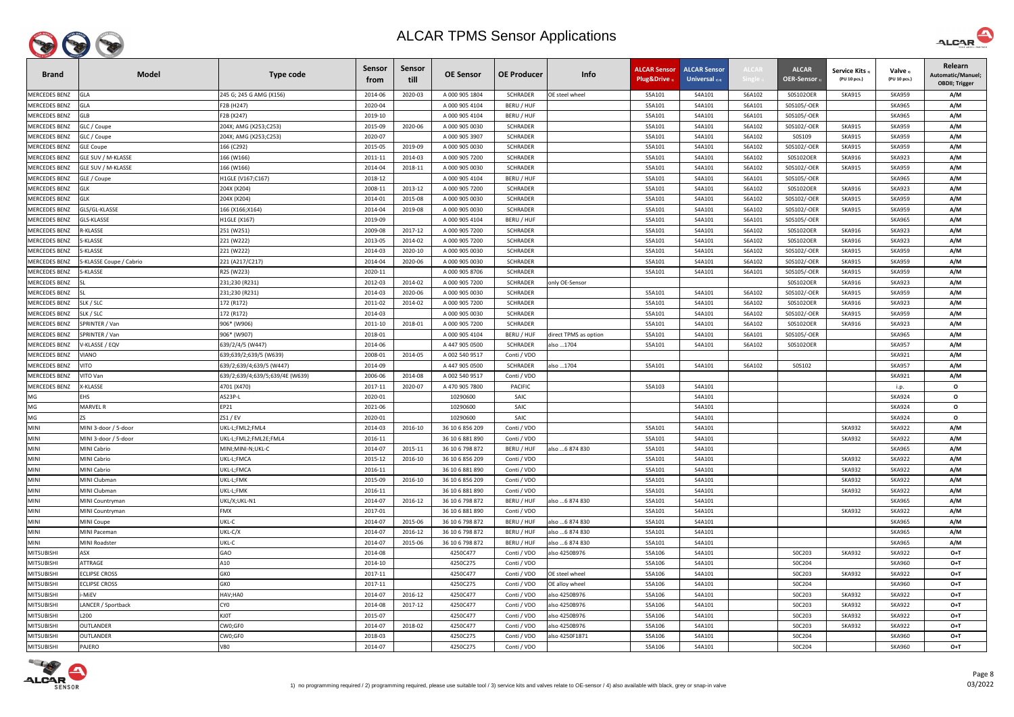

| <b>Brand</b>               | <b>Model</b>                       | <b>Type code</b>                | <b>Sensor</b><br>trom | <b>Sensor</b><br>till | <b>OE Sensor</b>                   | <b>OE Producer</b>         | Info                  | <b>ALCAR Sensor</b><br>Plug&Drive 1 | <b>ALCAR Sensor</b><br>Universal $_{2/4}$ | <b>LCA</b> | <b>ALCAR</b><br><b>OER-Sensor</b> | Service Kits 3)<br>(PU 10 pcs.) | Valve 3)<br>(PU 10 pcs.)       | Relearn<br>Automatic/Manuel;<br><b>OBDII</b> ; Trigger |
|----------------------------|------------------------------------|---------------------------------|-----------------------|-----------------------|------------------------------------|----------------------------|-----------------------|-------------------------------------|-------------------------------------------|------------|-----------------------------------|---------------------------------|--------------------------------|--------------------------------------------------------|
| <b>MERCEDES BENZ</b>       | <b>GLA</b>                         | 245 G; 245 G AMG (X156)         | 2014-06               | 2020-03               | A 000 905 1804                     | <b>SCHRADER</b>            | OE steel wheel        | S5A101                              | S4A101                                    | S6A102     | S0S102OER                         | <b>SKA915</b>                   | <b>SKA959</b>                  | A/M                                                    |
| <b>MERCEDES BENZ</b>       | <b>GLA</b>                         | F2B (H247)                      | 2020-04               |                       | A 000 905 4104                     | BERU / HUF                 |                       | S5A101                              | S4A101                                    | S6A101     | S0S105/-OER                       |                                 | <b>SKA965</b>                  | A/M                                                    |
| MERCEDES BENZ              | <b>GLB</b>                         | F2B (X247)                      | 2019-10               |                       | A 000 905 4104                     | BERU / HUF                 |                       | S5A101                              | S4A101                                    | S6A101     | S0S105/-OER                       |                                 | <b>SKA965</b>                  | A/M                                                    |
| <b>MERCEDES BENZ</b>       | GLC / Coupe                        | 204X; AMG (X253;C253)           | 2015-09               | 2020-06               | A 000 905 0030                     | <b>SCHRADER</b>            |                       | S5A101                              | S4A101                                    | S6A102     | S0S102/-OER                       | <b>SKA915</b>                   | <b>SKA959</b>                  | A/M                                                    |
| <b>MERCEDES BENZ</b>       | GLC / Coupe                        | 204X; AMG (X253;C253)           | 2020-07               |                       | A 000 905 3907                     | <b>SCHRADER</b>            |                       | S5A101                              | S4A101                                    | S6A102     | S0S109                            | <b>SKA915</b>                   | <b>SKA959</b>                  | A/M                                                    |
| <b>MERCEDES BENZ</b>       | <b>GLE Coupe</b>                   | 166 (C292)                      | 2015-05               | 2019-09               | A 000 905 0030                     | <b>SCHRADER</b>            |                       | S5A101                              | S4A101                                    | S6A102     | S0S102/-OER                       | <b>SKA915</b>                   | <b>SKA959</b>                  | A/M                                                    |
| <b>MERCEDES BENZ</b>       | GLE SUV / M-KLASSE                 | 166 (W166)                      | 2011-11               | 2014-03               | A 000 905 7200                     | <b>SCHRADER</b>            |                       | S5A101                              | S4A101                                    | S6A102     | S0S102OER                         | <b>SKA916</b>                   | <b>SKA923</b>                  | A/M                                                    |
| <b>MERCEDES BENZ</b>       | <b>GLE SUV / M-KLASSE</b>          | 166 (W166)                      | 2014-04               | 2018-11               | A 000 905 0030                     | <b>SCHRADER</b>            |                       | S5A101                              | S4A101                                    | S6A102     | S0S102/-OER                       | <b>SKA915</b>                   | <b>SKA959</b>                  | A/M                                                    |
| <b>MERCEDES BENZ</b>       | GLE / Coupe                        | H1GLE (V167;C167)               | 2018-12               |                       | A 000 905 4104                     | BERU / HUF                 |                       | S5A101                              | S4A101                                    | S6A101     | S0S105/-OER                       |                                 | <b>SKA965</b>                  | A/M                                                    |
| <b>MERCEDES BENZ</b>       | GLK                                | 204X (X204)                     | 2008-11               | 2013-12               | A 000 905 7200                     | <b>SCHRADER</b>            |                       | S5A101                              | S4A101                                    | S6A102     | S0S102OER                         | <b>SKA916</b>                   | <b>SKA923</b>                  | A/M                                                    |
| <b>MERCEDES BENZ</b>       | <b>GLK</b>                         | 204X (X204)                     | 2014-01               | 2015-08               | A 000 905 0030                     | <b>SCHRADER</b>            |                       | S5A101                              | S4A101                                    | S6A102     | S0S102/-OER                       | <b>SKA915</b>                   | <b>SKA959</b>                  | A/M                                                    |
| <b>MERCEDES BENZ</b>       | GLS/GL-KLASSE                      | 166 (X166;X164)                 | 2014-04               | 2019-08               | A 000 905 0030                     | <b>SCHRADER</b>            |                       | S5A101                              | S4A101                                    | S6A102     | S0S102/-OER                       | <b>SKA915</b>                   | <b>SKA959</b>                  | A/M                                                    |
| <b>MERCEDES BENZ</b>       | GLS-KLASSE                         | H1GLE (X167)                    | 2019-09               |                       | A 000 905 4104                     | BERU / HUF                 |                       | S5A101                              | S4A101                                    | S6A101     | S0S105/-OER                       |                                 | <b>SKA965</b>                  | A/M                                                    |
| <b>MERCEDES BENZ</b>       | <b>EKLASSE</b>                     | 251 (W251)                      | 2009-08               | 2017-12               | A 000 905 7200                     | <b>SCHRADER</b>            |                       | S5A101                              | S4A101                                    | S6A102     | S0S102OER                         | <b>SKA916</b>                   | <b>SKA923</b>                  | A/M                                                    |
| <b>MERCEDES BENZ</b>       | -KLASSE                            | 221 (W222)                      | 2013-05               | 2014-02               | A 000 905 7200                     | <b>SCHRADER</b>            |                       | S5A101                              | S4A101                                    | S6A102     | S0S102OER                         | SKA916                          | <b>SKA923</b>                  | A/M                                                    |
| <b>MERCEDES BENZ</b>       | -KLASSE                            | 221 (W222)                      | 2014-03               | 2020-10               | A 000 905 0030                     | <b>SCHRADER</b>            |                       | S5A101                              | S4A101                                    | S6A102     | S0S102/-OER                       | <b>SKA915</b>                   | <b>SKA959</b>                  | A/M                                                    |
| MERCEDES BENZ              | -KLASSE Coupe / Cabrio             | 221 (A217/C217)                 | 2014-04               | 2020-06               | A 000 905 0030                     | <b>SCHRADER</b>            |                       | S5A101                              | S4A101                                    | S6A102     | S0S102/-OER                       | <b>SKA915</b>                   | <b>SKA959</b>                  | A/M                                                    |
| <b>MERCEDES BENZ</b>       | -KLASSE                            | R2S (W223)                      | 2020-11               |                       | A 000 905 8706                     | <b>SCHRADER</b>            |                       | S5A101                              | S4A101                                    | S6A101     | S0S105/-OER                       | <b>SKA915</b>                   | <b>SKA959</b>                  | A/M                                                    |
| <b>MERCEDES BENZ</b>       |                                    | 231;230 (R231)                  | 2012-03               | 2014-02               | A 000 905 7200                     | <b>SCHRADER</b>            | only OE-Sensor        |                                     |                                           |            | S0S102OER                         | <b>SKA916</b>                   | <b>SKA923</b>                  | A/M                                                    |
| <b>MERCEDES BENZ</b>       |                                    | 231;230 (R231)                  | 2014-03               | 2020-06               | A 000 905 0030                     | <b>SCHRADER</b>            |                       | S5A101                              | S4A101                                    | S6A102     | S0S102/-OER                       | <b>SKA915</b>                   | <b>SKA959</b>                  | A/M                                                    |
| <b>MERCEDES BENZ</b>       | SLK / SLC                          | 172 (R172)                      | 2011-02               | 2014-02               | A 000 905 7200                     | <b>SCHRADER</b>            |                       | S5A101                              | S4A101                                    | S6A102     | S0S102OER                         | <b>SKA916</b>                   | <b>SKA923</b>                  | A/M                                                    |
| <b>MERCEDES BENZ</b>       | SLK / SLC                          | 172 (R172)                      | 2014-03               |                       | A 000 905 0030                     | <b>SCHRADER</b>            |                       | S5A101                              | S4A101                                    | S6A102     | S0S102/-OER                       | <b>SKA915</b>                   | <b>SKA959</b>                  | A/M                                                    |
| <b>MERCEDES BENZ</b>       | SPRINTER / Van                     | 906* (W906)                     | 2011-10               | 2018-01               | A 000 905 7200                     | <b>SCHRADER</b>            |                       | S5A101                              | S4A101                                    | S6A102     | S0S102OER                         | <b>SKA916</b>                   | <b>SKA923</b>                  | A/M                                                    |
| <b>MERCEDES BENZ</b>       | SPRINTER / Van                     | 906* (W907)                     | 2018-01               |                       | A 000 905 4104                     | BERU / HUF                 | direct TPMS as option | S5A101                              | S4A101                                    | S6A101     | S0S105/-OER                       |                                 | <b>SKA965</b>                  | A/M                                                    |
| <b>MERCEDES BENZ</b>       | V-KLASSE / EQV                     | 639/2/4/5 (W447)                | 2014-06               |                       | A 447 905 0500                     | <b>SCHRADER</b>            | also 1704             | S5A101                              | S4A101                                    | S6A102     | S0S102OER                         |                                 | <b>SKA957</b>                  | A/M                                                    |
| MERCEDES BENZ              | ONAIV                              | 639;639/2;639/5 (W639)          | 2008-01               | 2014-05               | A 002 540 9517                     | Conti / VDO                |                       |                                     |                                           |            |                                   |                                 | <b>SKA921</b>                  | A/M                                                    |
| <b>MERCEDES BENZ</b>       | VITO                               | 639/2;639/4;639/5 (W447)        | 2014-09               |                       | A 447 905 0500                     | <b>SCHRADER</b>            | also 1704             | S5A101                              | S4A101                                    | S6A102     | S0S102                            |                                 | <b>SKA957</b>                  | A/M                                                    |
| <b>MERCEDES BENZ</b>       | VITO Van                           | 639/2;639/4;639/5;639/4E (W639) | 2006-06               | 2014-08               | A 002 540 9517                     | Conti / VDO                |                       |                                     |                                           |            |                                   |                                 | <b>SKA921</b>                  | A/M                                                    |
| <b>MERCEDES BENZ</b>       | <b>-KLASSE</b>                     | 4701 (X470)                     | 2017-11               | 2020-07               | A 470 905 7800                     | <b>PACIFIC</b>             |                       | S5A103                              | S4A101                                    |            |                                   |                                 | i.p.                           | $\mathbf{o}$                                           |
| MG                         | EHS                                | AS23P-L                         | 2020-01               |                       | 10290600                           | SAIC                       |                       |                                     | S4A101                                    |            |                                   |                                 | <b>SKA924</b>                  | $\mathbf{o}$                                           |
| MG                         | MARVEL R                           | EP21                            | 2021-06               |                       | 10290600                           | SAIC                       |                       |                                     | S4A101                                    |            |                                   |                                 | <b>SKA924</b>                  | $\mathbf{o}$                                           |
| MG                         | ZS                                 | ZS1 / EV                        | 2020-01               |                       | 10290600                           | SAIC                       |                       |                                     | S4A101                                    |            |                                   |                                 | <b>SKA924</b>                  | $\Omega$                                               |
| <b>MINI</b>                | MINI 3-door / 5-door               | UKL-L;FML2;FML4                 | 2014-03               | 2016-10               | 36 10 6 856 209                    | Conti / VDO                |                       | S5A101                              | S4A101                                    |            |                                   | <b>SKA932</b>                   | <b>SKA922</b>                  | A/M                                                    |
| <b>MINI</b>                | MINI 3-door / 5-door               | UKL-L;FML2;FML2E;FML4           | 2016-11               |                       | 36 10 6 881 890                    | Conti / VDO                |                       | S5A101                              | S4A101                                    |            |                                   | <b>SKA932</b>                   | <b>SKA922</b>                  | A/M                                                    |
| <b>MINI</b>                | <b>MINI Cabrio</b>                 | VIINI;MINI-N;UKL-C              | 2014-07               | 2015-11               | 36 10 6 798 872                    | BERU / HUF                 | also  6 874 830       | S5A101                              | S4A101                                    |            |                                   |                                 | <b>SKA965</b>                  | A/M                                                    |
| <b>MINI</b>                | <b>MINI Cabrio</b>                 | UKL-L;FMCA                      | 2015-12               | 2016-10               | 36 10 6 856 209                    | Conti / VDO                |                       | S5A101                              | S4A101                                    |            |                                   | <b>SKA932</b>                   | <b>SKA922</b>                  | A/M                                                    |
| <b>MINI</b><br><b>MINI</b> | <b>MINI Cabrio</b><br>MINI Clubman | UKL-L;FMCA                      | 2016-11               |                       | 36 10 6 881 890<br>36 10 6 856 209 | Conti / VDO                |                       | S5A101                              | S4A101                                    |            |                                   | <b>SKA932</b><br><b>SKA932</b>  | <b>SKA922</b>                  | A/M<br>A/M                                             |
| <b>MINI</b>                | MINI Clubman                       | UKL-L;FMK<br>UKL-L;FMK          | 2015-09<br>2016-11    | 2016-10               |                                    | Conti / VDO<br>Conti / VDO |                       | S5A101<br>S5A101                    | S4A101<br>S4A101                          |            |                                   | <b>SKA932</b>                   | <b>SKA922</b><br><b>SKA922</b> |                                                        |
| <b>MINI</b>                | MINI Countryman                    | UKL/X;UKL-N1                    | 2014-07               | 2016-12               | 36 10 6 881 890<br>36 10 6 798 872 | BERU / HUF                 | also  6 874 830       | S5A101                              | S4A101                                    |            |                                   |                                 | <b>SKA965</b>                  | A/M<br>A/M                                             |
| <b>MINI</b>                | MINI Countryman                    | <b>FMX</b>                      | 2017-01               |                       | 36 10 6 881 890                    | Conti / VDO                |                       | S5A101                              | S4A101                                    |            |                                   | <b>SKA932</b>                   | <b>SKA922</b>                  | A/M                                                    |
| <b>MINI</b>                | <b>MINI Coupe</b>                  | UKL-C                           | 2014-07               | 2015-06               | 36 10 6 798 872                    | BERU / HUF                 | also  6 874 830       | S5A101                              | S4A101                                    |            |                                   |                                 | <b>SKA965</b>                  | A/M                                                    |
| <b>MINI</b>                | MINI Paceman                       | UKL-C/X                         | 2014-07               | 2016-12               | 36 10 6 798 872                    | BERU / HUF                 | also  6 874 830       | S5A101                              | S4A101                                    |            |                                   |                                 | <b>SKA965</b>                  | A/M                                                    |
| <b>MINI</b>                | <b>MINI Roadster</b>               | UKL-C                           | 2014-07               | 2015-06               | 36 10 6 798 872                    | BERU / HUF                 | also  6 874 830       | S5A101                              | S4A101                                    |            |                                   |                                 | <b>SKA965</b>                  | A/M                                                    |
| <b>MITSUBISHI</b>          | ASX                                | GAO                             | 2014-08               |                       | 4250C477                           | Conti / VDO                | also 4250B976         | S5A106                              | S4A101                                    |            | SOC203                            | <b>SKA932</b>                   | <b>SKA922</b>                  | $O+T$                                                  |
| <b>MITSUBISHI</b>          | ATTRAGE                            | A10                             | 2014-10               |                       | 4250C275                           | Conti / VDO                |                       | S5A106                              | S4A101                                    |            | S0C204                            |                                 | <b>SKA960</b>                  | $O+T$                                                  |
| <b>MITSUBISHI</b>          | <b>ECLIPSE CROSS</b>               | GK0                             | 2017-11               |                       | 4250C477                           | Conti / VDO                | OE steel wheel        | S5A106                              | S4A101                                    |            | S0C203                            | <b>SKA932</b>                   | <b>SKA922</b>                  | $O+T$                                                  |
| <b>MITSUBISHI</b>          | <b>ECLIPSE CROSS</b>               | GK0                             | 2017-11               |                       | 4250C275                           | Conti / VDO                | OE alloy wheel        | S5A106                              | S4A101                                    |            | S0C204                            |                                 | <b>SKA960</b>                  | $O+T$                                                  |
| <b>MITSUBISHI</b>          | -MiEV                              | HAV;HA0                         | 2014-07               | 2016-12               | 4250C477                           | Conti / VDO                | also 4250B976         | S5A106                              | S4A101                                    |            | S0C203                            | <b>SKA932</b>                   | <b>SKA922</b>                  | $O+T$                                                  |
| <b>MITSUBISHI</b>          | LANCER / Sportback                 | CY <sub>0</sub>                 | 2014-08               | 2017-12               | 4250C477                           | Conti / VDO                | also 4250B976         | S5A106                              | S4A101                                    |            | SOC203                            | <b>SKA932</b>                   | SKA922                         | $O+T$                                                  |
| <b>MITSUBISHI</b>          | L200                               | KJOT                            | 2015-07               |                       | 4250C477                           | Conti / VDO                | also 4250B976         | S5A106                              | S4A101                                    |            | S0C203                            | <b>SKA932</b>                   | <b>SKA922</b>                  | $O+T$                                                  |
| <b>MITSUBISHI</b>          | OUTLANDER                          | CW0;GF0                         | 2014-07               | 2018-02               | 4250C477                           | Conti / VDO                | also 4250B976         | S5A106                              | S4A101                                    |            | SOC203                            | SKA932                          | <b>SKA922</b>                  | $O+T$                                                  |
| <b>MITSUBISHI</b>          | OUTLANDER                          | CW0;GF0                         | 2018-03               |                       | 4250C275                           | Conti / VDO                | also 4250F1871        | S5A106                              | S4A101                                    |            | S0C204                            |                                 | <b>SKA960</b>                  | $O+T$                                                  |
| <b>MITSUBISHI</b>          | PAJERO                             | <b>V80</b>                      | 2014-07               |                       | 4250C275                           | Conti / VDO                |                       | S5A106                              | S4A101                                    |            | S0C204                            |                                 | <b>SKA960</b>                  | $O+T$                                                  |
|                            |                                    |                                 |                       |                       |                                    |                            |                       |                                     |                                           |            |                                   |                                 |                                |                                                        |



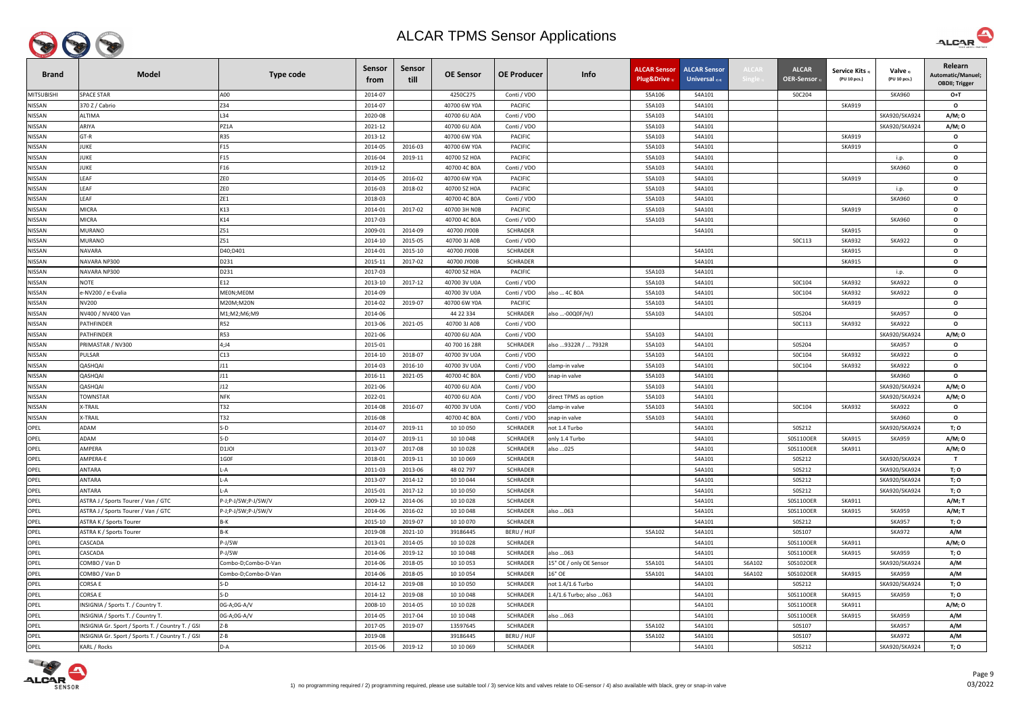

| <b>Brand</b>      | <b>Model</b>                                      | <b>Type code</b>    | <b>Sensor</b><br>trom | Sensor<br>till | <b>OE Sensor</b> | <b>OE Producer</b> | Info                     | <b>ALCAR Sensor</b><br>Plug&Drive | <b>ALCAR Sensor</b><br>Universal $_{2/4}$ | ALCAI  | <b>ALCAR</b><br>OER-Sensor | <b>Service Kits</b><br>(PU 10 pcs.) | Valve 3)<br>(PU 10 pcs.) | Relearn<br>Automatic/Manuel;<br><b>OBDII; Trigger</b> |
|-------------------|---------------------------------------------------|---------------------|-----------------------|----------------|------------------|--------------------|--------------------------|-----------------------------------|-------------------------------------------|--------|----------------------------|-------------------------------------|--------------------------|-------------------------------------------------------|
| <b>MITSUBISHI</b> | <b>SPACE STAR</b>                                 | A00                 | 2014-07               |                | 4250C275         | Conti / VDO        |                          | S5A106                            | S4A101                                    |        | S0C204                     |                                     | <b>SKA960</b>            | $O+T$                                                 |
| <b>NISSAN</b>     | 370 Z / Cabrio                                    | Z34                 | 2014-07               |                | 40700 6W Y0A     | <b>PACIFIC</b>     |                          | S5A103                            | S4A101                                    |        |                            | <b>SKA919</b>                       |                          | $\mathbf{o}$                                          |
| <b>NISSAN</b>     | ALTIMA                                            | L34                 | 2020-08               |                | 40700 6U A0A     | Conti / VDO        |                          | S5A103                            | S4A101                                    |        |                            |                                     | SKA920/SKA924            | A/M; 0                                                |
| <b>NISSAN</b>     | ARIYA                                             | PZ1A                | 2021-12               |                | 40700 6U A0A     | Conti / VDO        |                          | S5A103                            | S4A101                                    |        |                            |                                     | SKA920/SKA924            | A/M; 0                                                |
| <b>NISSAN</b>     | $GT-R$                                            | <b>R35</b>          | 2013-12               |                | 40700 6W Y0A     | <b>PACIFIC</b>     |                          | S5A103                            | S4A101                                    |        |                            | <b>SKA919</b>                       |                          | $\mathbf{o}$                                          |
| <b>NISSAN</b>     | JUKE                                              | F15                 | 2014-05               | 2016-03        | 40700 6W Y0A     | <b>PACIFIC</b>     |                          | S5A103                            | S4A101                                    |        |                            | <b>SKA919</b>                       |                          | $\mathbf{o}$                                          |
| <b>NISSAN</b>     | JUKE                                              | F15                 | 2016-04               | 2019-11        | 40700 5Z H0A     | PACIFIC            |                          | S5A103                            | S4A101                                    |        |                            |                                     | i.p.                     | $\mathbf{o}$                                          |
| <b>NISSAN</b>     | JUKE                                              | F16                 | 2019-12               |                | 40700 4C B0A     | Conti / VDO        |                          | S5A103                            | S4A101                                    |        |                            |                                     | <b>SKA960</b>            | $\mathbf{o}$                                          |
| <b>NISSAN</b>     | LEAF                                              | <b>ZEO</b>          | 2014-05               | 2016-02        | 40700 6W Y0A     | <b>PACIFIC</b>     |                          | S5A103                            | S4A101                                    |        |                            | <b>SKA919</b>                       |                          | $\mathbf{o}$                                          |
| <b>NISSAN</b>     | LEAF                                              | <b>ZEO</b>          | 2016-03               | 2018-02        | 40700 5Z H0A     | <b>PACIFIC</b>     |                          | S5A103                            | S4A101                                    |        |                            |                                     | i.p.                     | $\mathbf{o}$                                          |
| <b>NISSAN</b>     | LEAF                                              | ZE1                 | 2018-03               |                | 40700 4C B0A     | Conti / VDO        |                          | S5A103                            | S4A101                                    |        |                            |                                     | <b>SKA960</b>            | $\mathbf{o}$                                          |
| <b>NISSAN</b>     | <b>MICRA</b>                                      | K13                 | 2014-01               | 2017-02        | 40700 3H NOB     | PACIFIC            |                          | S5A103                            | S4A101                                    |        |                            | SKA919                              |                          | $\mathbf{o}$                                          |
| NISSAN            | MICRA                                             | K14                 | 2017-03               |                | 40700 4C B0A     | Conti / VDO        |                          | S5A103                            | S4A101                                    |        |                            |                                     | <b>SKA960</b>            | $\mathbf{o}$                                          |
| NISSAN            | MURANO                                            | Z51                 | 2009-01               | 2014-09        | 40700 JY00B      | SCHRADER           |                          |                                   | S4A101                                    |        |                            | <b>SKA915</b>                       |                          | $\mathbf{o}$                                          |
| <b>NISSAN</b>     | MURANO                                            | Z51                 | 2014-10               | 2015-05        | 40700 3J A0B     | Conti / VDO        |                          |                                   |                                           |        | SOC113                     | <b>SKA932</b>                       | <b>SKA922</b>            | $\mathbf{o}$                                          |
| <b>NISSAN</b>     | NAVARA                                            | D40;D401            | 2014-01               | 2015-10        | 40700 JY00B      | <b>SCHRADER</b>    |                          |                                   | S4A101                                    |        |                            | <b>SKA915</b>                       |                          | $\mathbf{o}$                                          |
| <b>NISSAN</b>     | NAVARA NP300                                      | D231                | 2015-11               | 2017-02        | 40700 JY00B      | <b>SCHRADER</b>    |                          |                                   | S4A101                                    |        |                            | <b>SKA915</b>                       |                          | $\mathbf{o}$                                          |
| <b>NISSAN</b>     | VAVARA NP300                                      | D231                | 2017-03               |                | 40700 5Z H0A     | <b>PACIFIC</b>     |                          | S5A103                            | S4A101                                    |        |                            |                                     | i.p.                     | $\mathbf{o}$                                          |
| <b>NISSAN</b>     | NOTE                                              | E12                 | 2013-10               | 2017-12        | 40700 3V U0A     | Conti / VDO        |                          | S5A103                            | S4A101                                    |        | SOC104                     | <b>SKA932</b>                       | <b>SKA922</b>            | $\mathbf{o}$                                          |
| <b>NISSAN</b>     | e-NV200 / e-Evalia                                | MEON;MEOM           | 2014-09               |                | 40700 3V U0A     | Conti / VDO        | also  4C B0A             | S5A103                            | S4A101                                    |        | SOC104                     | <b>SKA932</b>                       | <b>SKA922</b>            | $\mathbf{o}$                                          |
| NISSAN            | NV200                                             | M20M;M20N           | 2014-02               | 2019-07        | 40700 6W Y0A     | <b>PACIFIC</b>     |                          | S5A103                            | S4A101                                    |        |                            | <b>SKA919</b>                       |                          | $\mathbf{o}$                                          |
| <b>NISSAN</b>     | NV400 / NV400 Van                                 | M1;M2;M6;M9         | 2014-06               |                | 44 22 334        | <b>SCHRADER</b>    | also -00Q0F/H/J          | S5A103                            | S4A101                                    |        | S0S204                     |                                     | <b>SKA957</b>            | $\mathbf{o}$                                          |
| NISSAN            | PATHFINDER                                        | <b>R52</b>          | 2013-06               | 2021-05        | 40700 3J A0B     | Conti / VDO        |                          |                                   |                                           |        | SOC113                     | <b>SKA932</b>                       | <b>SKA922</b>            | $\mathbf{o}$                                          |
| <b>NISSAN</b>     | PATHFINDER                                        | <b>R53</b>          | 2021-06               |                | 40700 6U A0A     | Conti / VDO        |                          | S5A103                            | S4A101                                    |        |                            |                                     | SKA920/SKA924            | A/M; 0                                                |
| <b>NISSAN</b>     | PRIMASTAR / NV300                                 | 4;J4                | 2015-01               |                | 40 700 16 28R    | <b>SCHRADER</b>    | also  9322R /  7932R     | S5A103                            | S4A101                                    |        | S0S204                     |                                     | <b>SKA957</b>            | $\mathbf{o}$                                          |
| <b>NISSAN</b>     | PULSAR                                            | C13                 | 2014-10               | 2018-07        | 40700 3V U0A     | Conti / VDO        |                          | S5A103                            | S4A101                                    |        | S0C104                     | <b>SKA932</b>                       | <b>SKA922</b>            | $\mathbf{o}$                                          |
| <b>NISSAN</b>     | IADHZAL                                           | J11                 | 2014-03               | 2016-10        | 40700 3V U0A     | Conti / VDO        | clamp-in valve           | S5A103                            | S4A101                                    |        | S0C104                     | <b>SKA932</b>                       | <b>SKA922</b>            | $\mathbf{o}$                                          |
| NISSAN            | IADHZAL                                           | J11                 | 2016-11               | 2021-05        | 40700 4C B0A     | Conti / VDO        | snap-in valve            | S5A103                            | S4A101                                    |        |                            |                                     | <b>SKA960</b>            | $\mathbf{o}$                                          |
| NISSAN            | QASHQAI                                           | J12                 | 2021-06               |                | 40700 6U A0A     | Conti / VDO        |                          | S5A103                            | S4A101                                    |        |                            |                                     | SKA920/SKA924            | A/M; 0                                                |
| NISSAN            | <b>TOWNSTAR</b>                                   | <b>NFK</b>          | 2022-01               |                | 40700 6U A0A     | Conti / VDO        | direct TPMS as option    | S5A103                            | S4A101                                    |        |                            |                                     | SKA920/SKA924            | A/M; 0                                                |
| NISSAN            | X-TRAIL                                           | T32                 | 2014-08               | 2016-07        | 40700 3V U0A     | Conti / VDO        | clamp-in valve           | S5A103                            | S4A101                                    |        | S0C104                     | <b>SKA932</b>                       | <b>SKA922</b>            | $\mathbf{o}$                                          |
| NISSAN            | X-TRAIL                                           | T32                 | 2016-08               |                | 40700 4C B0A     | Conti / VDO        | snap-in valve            | S5A103                            | S4A101                                    |        |                            |                                     | <b>SKA960</b>            | $\mathbf{o}$                                          |
| OPEL              | ADAM                                              | $S-D$               | 2014-07               | 2019-11        | 10 10 050        | <b>SCHRADER</b>    | not 1.4 Turbo            |                                   | S4A101                                    |        | S0S212                     |                                     | SKA920/SKA924            | T; O                                                  |
| OPEL              | ADAM                                              | $S-D$               | 2014-07               | 2019-11        | 10 10 048        | <b>SCHRADER</b>    | only 1.4 Turbo           |                                   | S4A101                                    |        | S0S110OER                  | <b>SKA915</b>                       | <b>SKA959</b>            | A/M; 0                                                |
| OPEL              | AMPERA                                            | D <sub>1JOI</sub>   | 2013-07               | 2017-08        | 10 10 028        | <b>SCHRADER</b>    | also 025                 |                                   | S4A101                                    |        | S0S110OER                  | SKA911                              |                          | A/M; 0                                                |
| OPEL              | AMPERA-E                                          | 1G0F                | 2018-01               | 2019-11        | 10 10 069        | <b>SCHRADER</b>    |                          |                                   | S4A101                                    |        | S0S212                     |                                     | SKA920/SKA924            | $\mathbf{T}$                                          |
| OPEL              | ANTARA                                            | .-A                 | 2011-03               | 2013-06        | 48 02 797        | <b>SCHRADER</b>    |                          |                                   | S4A101                                    |        | S0S212                     |                                     | SKA920/SKA924            | T; O                                                  |
| OPEL              | ANTARA                                            | L-A                 | 2013-07               | 2014-12        | 10 10 044        | SCHRADER           |                          |                                   | S4A101                                    |        | S0S212                     |                                     | SKA920/SKA924            | T; O                                                  |
| OPEL              | ANTARA                                            | .-A                 | 2015-01               | 2017-12        | 10 10 050        | SCHRADER           |                          |                                   | S4A101                                    |        | S0S212                     |                                     | SKA920/SKA924            | T; O                                                  |
| OPEL              | ASTRA J / Sports Tourer / Van / GTC               | P-J;P-J/SW;P-J/SW/V | 2009-12               | 2014-06        | 10 10 028        | <b>SCHRADER</b>    |                          |                                   | S4A101                                    |        | S0S110OER                  | <b>SKA911</b>                       |                          | A/M; T                                                |
| OPEL              | ASTRA J / Sports Tourer / Van / GTC               | P-J;P-J/SW;P-J/SW/V | 2014-06               | 2016-02        | 10 10 048        | <b>SCHRADER</b>    | also  063                |                                   | S4A101                                    |        | S0S110OER                  | <b>SKA915</b>                       | <b>SKA959</b>            | A/M; T                                                |
| OPEL              | ASTRA K / Sports Tourer                           | B-K                 | 2015-10               | 2019-07        | 10 10 070        | SCHRADER           |                          |                                   | S4A101                                    |        | S0S212                     |                                     | <b>SKA957</b>            | T; O                                                  |
| OPEL              | ASTRA K / Sports Tourer                           | B-K                 | 2019-08               | 2021-10        | 39186445         | BERU / HUF         |                          | S5A102                            | S4A101                                    |        | S0S107                     |                                     | <b>SKA972</b>            | A/M                                                   |
| OPEL              | CASCADA                                           | P-J/SW              | 2013-01               | 2014-05        | 10 10 028        | SCHRADER           |                          |                                   | S4A101                                    |        | S0S110OER                  | <b>SKA911</b>                       |                          | A/M; 0                                                |
| OPEL              | CASCADA                                           | P-J/SW              | 2014-06               | 2019-12        | 10 10 048        | <b>SCHRADER</b>    | also  063                |                                   | S4A101                                    |        | S0S110OER                  | <b>SKA915</b>                       | <b>SKA959</b>            | T; O                                                  |
| OPEL              | COMBO / Van D                                     | Combo-D;Combo-D-Van | 2014-06               | 2018-05        | 10 10 053        | <b>SCHRADER</b>    | 15" OE / only OE Sensor  | S5A101                            | S4A101                                    | S6A102 | S0S102OER                  |                                     | SKA920/SKA924            | A/M                                                   |
| OPEL              | COMBO / Van D                                     | Combo-D;Combo-D-Van | 2014-06               | 2018-05        | 10 10 054        | <b>SCHRADER</b>    | 16" OE                   | S5A101                            | S4A101                                    | S6A102 | S0S102OER                  | SKA915                              | SKA959                   | A/M                                                   |
| OPEL              | Corsa e                                           | $S-D$               | 2014-12               | 2019-08        | 10 10 050        | <b>SCHRADER</b>    | not 1.4/1.6 Turbo        |                                   | S4A101                                    |        | S0S212                     |                                     | SKA920/SKA924            | T; O                                                  |
| OPEL              | CORSA E                                           | $S-D$               | 2014-12               | 2019-08        | 10 10 048        | SCHRADER           | 1.4/1.6 Turbo; also  063 |                                   | S4A101                                    |        | S0S110OER                  | SKA915                              | SKA959                   | T; O                                                  |
| OPEL              | INSIGNIA / Sports T. / Country T.                 | 0G-A;0G-A/V         | 2008-10               | 2014-05        | 10 10 028        | <b>SCHRADER</b>    |                          |                                   | S4A101                                    |        | S0S110OER                  | <b>SKA911</b>                       |                          | A/M; 0                                                |
| OPEL              | INSIGNIA / Sports T. / Country T.                 | 0G-A;0G-A/V         | 2014-05               | 2017-04        | 10 10 048        | <b>SCHRADER</b>    | also  063                |                                   | S4A101                                    |        | S0S110OER                  | <b>SKA915</b>                       | <b>SKA959</b>            | A/M                                                   |
| OPEL              | INSIGNIA Gr. Sport / Sports T. / Country T. / GSI | $Z - B$             | 2017-05               | 2019-07        | 13597645         | <b>SCHRADER</b>    |                          | S5A102                            | S4A101                                    |        | S0S107                     |                                     | <b>SKA957</b>            | A/M                                                   |
| OPEL              | INSIGNIA Gr. Sport / Sports T. / Country T. / GSI | $Z - B$             | 2019-08               |                | 39186445         | BERU / HUF         |                          | S5A102                            | S4A101                                    |        | S0S107                     |                                     | <b>SKA972</b>            | A/M                                                   |
| OPEL              | KARL / Rocks                                      | D-A                 | 2015-06               | 2019-12        | 10 10 069        | <b>SCHRADER</b>    |                          |                                   | S4A101                                    |        | S0S212                     |                                     | SKA920/SKA924            | T; O                                                  |



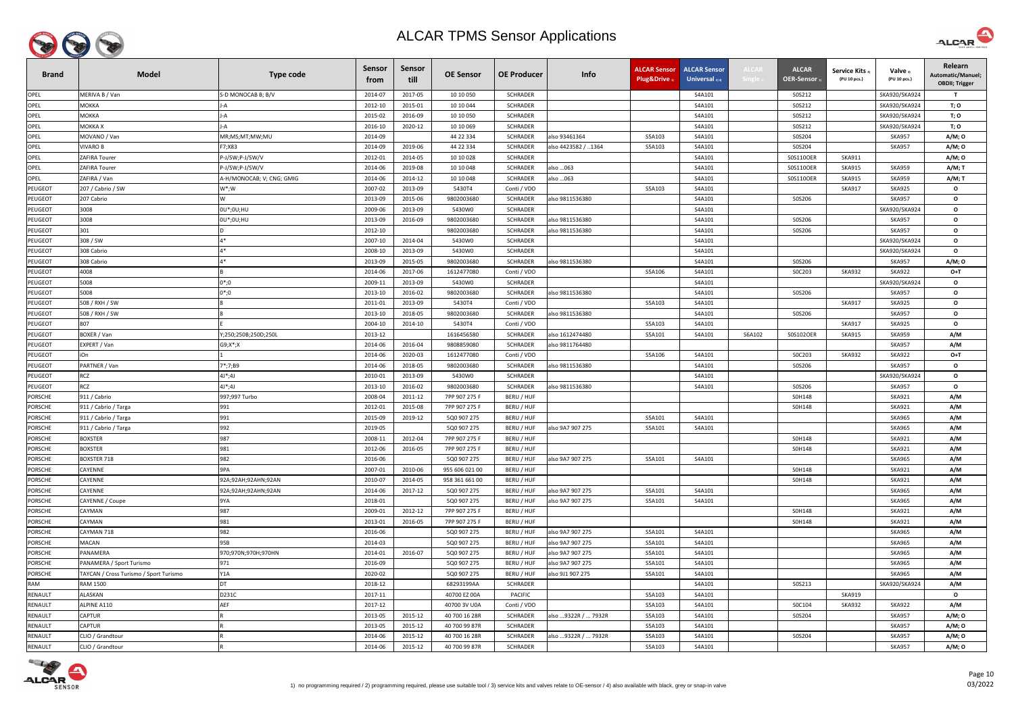

| <b>Brand</b>   | <b>Model</b>                           | <b>Type code</b>          | <b>Sensor</b><br>trom | Sensor<br>till | <b>OE Sensor</b> | <b>OE Producer</b> | Info                 | <b>ALCAR Sensor</b><br>Plug&Drive | <b>ALCAR Sensor</b><br>Universal $_{2/4}$ | <b>ALCAI</b> | <b>ALCAR</b><br><b>OER-Sensor</b> | <b>Service Kits</b><br>(PU 10 pcs.) | Valve 3)<br>(PU 10 pcs.) | Relearn<br>Automatic/Manuel;<br><b>OBDII</b> ; Trigger |
|----------------|----------------------------------------|---------------------------|-----------------------|----------------|------------------|--------------------|----------------------|-----------------------------------|-------------------------------------------|--------------|-----------------------------------|-------------------------------------|--------------------------|--------------------------------------------------------|
| OPEL           | MERIVA B / Van                         | S-D MONOCAB B; B/V        | 2014-07               | 2017-05        | 10 10 050        | <b>SCHRADER</b>    |                      |                                   | S4A101                                    |              | S0S212                            |                                     | SKA920/SKA924            | $\mathbf{T}$                                           |
| OPEL           | МОККА                                  |                           | 2012-10               | 2015-01        | 10 10 044        | <b>SCHRADER</b>    |                      |                                   | S4A101                                    |              | S0S212                            |                                     | SKA920/SKA924            | T; O                                                   |
| OPEL           | МОККА                                  |                           | 2015-02               | 2016-09        | 10 10 050        | <b>SCHRADER</b>    |                      |                                   | S4A101                                    |              | S0S212                            |                                     | SKA920/SKA924            | T; O                                                   |
| OPEL           | ИОККА Х                                |                           | 2016-10               | 2020-12        | 10 10 069        | <b>SCHRADER</b>    |                      |                                   | S4A101                                    |              | S0S212                            |                                     | SKA920/SKA924            | T; O                                                   |
| OPEL           | MOVANO / Van                           | MR;MS;MT;MW;MU            | 2014-09               |                | 44 22 334        | <b>SCHRADER</b>    | also 93461364        | S5A103                            | S4A101                                    |              | S0S204                            |                                     | <b>SKA957</b>            | A/M; 0                                                 |
| OPEL           | <b>VIVARO B</b>                        | F7;X83                    | 2014-09               | 2019-06        | 44 22 334        | <b>SCHRADER</b>    | also 4423582 / 1364  | S5A103                            | S4A101                                    |              | S0S204                            |                                     | <b>SKA957</b>            | A/M; 0                                                 |
| OPEL           | ZAFIRA Tourer                          | P-J/SW;P-J/SW/V           | 2012-01               | 2014-05        | 10 10 028        | SCHRADER           |                      |                                   | S4A101                                    |              | S0S110OER                         | <b>SKA911</b>                       |                          | A/M; 0                                                 |
| OPEL           | <b>ZAFIRA Tourer</b>                   | 2-J/SW;P-J/SW/V           | 2014-06               | 2019-08        | 10 10 048        | <b>SCHRADER</b>    | also  063            |                                   | S4A101                                    |              | S0S110OER                         | <b>SKA915</b>                       | <b>SKA959</b>            | A/M; T                                                 |
| OPEL           | ZAFIRA / Van                           | A-H/MONOCAB; V; CNG; GMIG | 2014-06               | 2014-12        | 10 10 048        | <b>SCHRADER</b>    | also …063            |                                   | S4A101                                    |              | S0S110OER                         | <b>SKA915</b>                       | <b>SKA959</b>            | A/M; T                                                 |
| <b>PEUGEOT</b> | 207 / Cabrio / SW                      | $\mathsf{W}^*;\mathsf{W}$ | 2007-02               | 2013-09        | 5430T4           | Conti / VDO        |                      | S5A103                            | S4A101                                    |              |                                   | <b>SKA917</b>                       | <b>SKA925</b>            | $\mathbf{o}$                                           |
| <b>PEUGEOT</b> | 207 Cabrio                             |                           | 2013-09               | 2015-06        | 9802003680       | <b>SCHRADER</b>    | also 9811536380      |                                   | S4A101                                    |              | S0S206                            |                                     | <b>SKA957</b>            | $\mathbf{o}$                                           |
| <b>PEUGEOT</b> | 3008                                   | 0U*;0U;HU                 | 2009-06               | 2013-09        | 5430W0           | <b>SCHRADER</b>    |                      |                                   | S4A101                                    |              |                                   |                                     | SKA920/SKA924            | $\mathbf{o}$                                           |
| <b>PEUGEOT</b> | 3008                                   | 0U*;0U;HU                 | 2013-09               | 2016-09        | 9802003680       | <b>SCHRADER</b>    | also 9811536380      |                                   | S4A101                                    |              | S0S206                            |                                     | <b>SKA957</b>            | $\mathbf{o}$                                           |
| <b>PEUGEOT</b> | 301                                    |                           | 2012-10               |                | 9802003680       | <b>SCHRADER</b>    | also 9811536380      |                                   | S4A101                                    |              | S0S206                            |                                     | <b>SKA957</b>            | $\mathbf{o}$                                           |
| <b>PEUGEOT</b> | 308 / SW                               | $A*$                      | 2007-10               | 2014-04        | 5430W0           | <b>SCHRADER</b>    |                      |                                   | S4A101                                    |              |                                   |                                     | SKA920/SKA924            | $\mathbf{o}$                                           |
| PEUGEOT        | 308 Cabrio                             | $A*$                      | 2008-10               | 2013-09        | 5430W0           | SCHRADER           |                      |                                   | S4A101                                    |              |                                   |                                     | SKA920/SKA924            | $\mathbf{o}$                                           |
| <b>PEUGEOT</b> | 308 Cabrio                             | $A*$                      | 2013-09               | 2015-05        | 9802003680       | <b>SCHRADER</b>    | also 9811536380      |                                   | S4A101                                    |              | S0S206                            |                                     | <b>SKA957</b>            | A/M; 0                                                 |
| PEUGEOT        | 4008                                   |                           | 2014-06               | 2017-06        | 1612477080       | Conti / VDO        |                      | S5A106                            | S4A101                                    |              | S0C203                            | <b>SKA932</b>                       | <b>SKA922</b>            | O+T                                                    |
| <b>PEUGEOT</b> | 5008                                   | 0*;0                      | 2009-11               | 2013-09        | 5430W0           | <b>SCHRADER</b>    |                      |                                   | S4A101                                    |              |                                   |                                     | SKA920/SKA924            | $\mathbf{o}$                                           |
| <b>PEUGEOT</b> | 5008                                   | $0^*;0$                   | 2013-10               | 2016-02        | 9802003680       | <b>SCHRADER</b>    | also 9811536380      |                                   | S4A101                                    |              | S0S206                            |                                     | <b>SKA957</b>            | $\mathbf{o}$                                           |
| PEUGEOT        | 508 / RXH / SW                         |                           | 2011-01               | 2013-09        | 5430T4           | Conti / VDO        |                      | S5A103                            | S4A101                                    |              |                                   | <b>SKA917</b>                       | <b>SKA925</b>            | $\mathbf{o}$                                           |
| <b>PEUGEOT</b> | 508 / RXH / SW                         |                           | 2013-10               | 2018-05        | 9802003680       | <b>SCHRADER</b>    | also 9811536380      |                                   | S4A101                                    |              | S0S206                            |                                     | <b>SKA957</b>            | $\mathbf{o}$                                           |
| PEUGEOT        | 807                                    |                           | 2004-10               | 2014-10        | 5430T4           | Conti / VDO        |                      | S5A103                            | S4A101                                    |              |                                   | <b>SKA917</b>                       | <b>SKA925</b>            | $\mathbf{o}$                                           |
| PEUGEOT        | BOXER / Van                            | Y;250;250B;250D;250L      | 2013-12               |                | 1616456580       | <b>SCHRADER</b>    | also 1612474480      | S5A101                            | S4A101                                    | S6A102       | S0S102OER                         | <b>SKA915</b>                       | <b>SKA959</b>            | A/M                                                    |
| PEUGEOT        | EXPERT / Van                           | $G9; X^*; X$              | 2014-06               | 2016-04        | 9808859080       | <b>SCHRADER</b>    | also 9811764480      |                                   |                                           |              |                                   |                                     | <b>SKA957</b>            | A/M                                                    |
| PEUGEOT        | iOn                                    |                           | 2014-06               | 2020-03        | 1612477080       | Conti / VDO        |                      | S5A106                            | S4A101                                    |              | S0C203                            | <b>SKA932</b>                       | <b>SKA922</b>            | $O+T$                                                  |
| PEUGEOT        | PARTNER / Van                          | 7*;7;B9                   | 2014-06               | 2018-05        | 9802003680       | <b>SCHRADER</b>    | also 9811536380      |                                   | S4A101                                    |              | S0S206                            |                                     | <b>SKA957</b>            | $\mathbf{o}$                                           |
| PEUGEOT        | RCZ                                    | $4J^*;4J$                 | 2010-01               | 2013-09        | 5430W0           | <b>SCHRADER</b>    |                      |                                   | S4A101                                    |              |                                   |                                     | SKA920/SKA924            | $\mathbf{o}$                                           |
| PEUGEOT        | RCZ                                    | $4J^*;4J$                 | 2013-10               | 2016-02        | 9802003680       | <b>SCHRADER</b>    | also 9811536380      |                                   | S4A101                                    |              | S0S206                            |                                     | <b>SKA957</b>            | $\mathbf{o}$                                           |
| <b>PORSCHE</b> | 911 / Cabrio                           | 997;997 Turbo             | 2008-04               | 2011-12        | 7PP 907 275 F    | BERU / HUF         |                      |                                   |                                           |              | S0H148                            |                                     | <b>SKA921</b>            | A/M                                                    |
| <b>PORSCHE</b> | 911 / Cabrio / Targa                   | 991                       | 2012-01               | 2015-08        | 7PP 907 275 F    | BERU / HUF         |                      |                                   |                                           |              | S0H148                            |                                     | <b>SKA921</b>            | A/M                                                    |
| <b>PORSCHE</b> | 911 / Cabrio / Targa                   | 991                       | 2015-09               | 2019-12        | 5Q0 907 275      | BERU / HUF         |                      | S5A101                            | S4A101                                    |              |                                   |                                     | <b>SKA965</b>            | A/M                                                    |
| <b>PORSCHE</b> | 911 / Cabrio / Targa                   | 992                       | 2019-05               |                | 5Q0 907 275      | BERU / HUF         | also 9A7 907 275     | S5A101                            | S4A101                                    |              |                                   |                                     | <b>SKA965</b>            | A/M                                                    |
| <b>PORSCHE</b> | <b>BOXSTER</b>                         | 987                       | 2008-11               | 2012-04        | 7PP 907 275 F    | BERU / HUF         |                      |                                   |                                           |              | S0H148                            |                                     | <b>SKA921</b>            | A/M                                                    |
| <b>PORSCHE</b> | <b>BOXSTER</b>                         | 981                       | 2012-06               | 2016-05        | 7PP 907 275 F    | BERU / HUF         |                      |                                   |                                           |              | S0H148                            |                                     | <b>SKA921</b>            | A/M                                                    |
| <b>PORSCHE</b> | BOXSTER 718                            | 982                       | 2016-06               |                | 5Q0 907 275      | BERU / HUF         | also 9A7 907 275     | S5A101                            | S4A101                                    |              |                                   |                                     | <b>SKA965</b>            | A/M                                                    |
| <b>PORSCHE</b> | CAYENNE                                | 9PA                       | 2007-01               | 2010-06        | 955 606 021 00   | BERU / HUF         |                      |                                   |                                           |              | S0H148                            |                                     | <b>SKA921</b>            | A/M                                                    |
| <b>PORSCHE</b> | CAYENNE                                | 92A;92AH;92AHN;92AN       | 2010-07               | 2014-05        | 958 361 661 00   | BERU / HUF         |                      |                                   |                                           |              | S0H148                            |                                     | <b>SKA921</b>            | A/M                                                    |
| <b>PORSCHE</b> | CAYENNE                                | 92A;92AH;92AHN;92AN       | 2014-06               | 2017-12        | 5Q0 907 275      | BERU / HUF         | also 9A7 907 275     | S5A101                            | S4A101                                    |              |                                   |                                     | <b>SKA965</b>            | A/M                                                    |
| <b>PORSCHE</b> | CAYENNE / Coupe                        | 9YA                       | 2018-01               |                | 5Q0 907 275      | BERU / HUF         | also 9A7 907 275     | S5A101                            | S4A101                                    |              |                                   |                                     | <b>SKA965</b>            | A/M                                                    |
| <b>PORSCHE</b> | CAYMAN                                 | 987                       | 2009-01               | 2012-12        | 7PP 907 275 F    | BERU / HUF         |                      |                                   |                                           |              | S0H148                            |                                     | <b>SKA921</b>            | A/M                                                    |
| <b>PORSCHE</b> | CAYMAN                                 | 981                       | 2013-01               | 2016-05        | 7PP 907 275 F    | BERU / HUF         |                      |                                   |                                           |              | S0H148                            |                                     | <b>SKA921</b>            | A/M                                                    |
| <b>PORSCHE</b> | CAYMAN 718                             | 982                       | 2016-06               |                | 5Q0 907 275      | BERU / HUF         | also 9A7 907 275     | S5A101                            | S4A101                                    |              |                                   |                                     | <b>SKA965</b>            | A/M                                                    |
| <b>PORSCHE</b> | <b>MACAN</b>                           | 95B                       | 2014-03               |                | 5Q0 907 275      | BERU / HUF         | also 9A7 907 275     | S5A101                            | S4A101                                    |              |                                   |                                     | <b>SKA965</b>            | A/M                                                    |
| <b>PORSCHE</b> | PANAMERA                               | 970;970N;970H;970HN       | 2014-01               | 2016-07        | 5Q0 907 275      | BERU / HUF         | also 9A7 907 275     | S5A101                            | S4A101                                    |              |                                   |                                     | <b>SKA965</b>            | A/M                                                    |
| <b>PORSCHE</b> | PANAMERA / Sport Turismo               | 971                       | 2016-09               |                | 5Q0 907 275      | BERU / HUF         | also 9A7 907 275     | S5A101                            | S4A101                                    |              |                                   |                                     | <b>SKA965</b>            | A/M                                                    |
| <b>PORSCHE</b> | TAYCAN / Cross Turismo / Sport Turismo | Y1A                       | 2020-02               |                | 5Q0 907 275      | BERU / HUF         | also 9J1 907 275     | S5A101                            | S4A101                                    |              |                                   |                                     | <b>SKA965</b>            | A/M                                                    |
| <b>RAM</b>     | <b>RAM 1500</b>                        | DT                        | 2018-12               |                | 68293199AA       | <b>SCHRADER</b>    |                      |                                   | S4A101                                    |              | S0S213                            |                                     | SKA920/SKA924            | A/M                                                    |
| RENAULT        | ALASKAN                                | D231C                     | 2017-11               |                | 40700 EZ 00A     | <b>PACIFIC</b>     |                      | S5A103                            | S4A101                                    |              |                                   | <b>SKA919</b>                       |                          | $\mathbf{o}$                                           |
| <b>RENAULT</b> | ALPINE A110                            | AEF                       | 2017-12               |                | 40700 3V U0A     | Conti / VDO        |                      | S5A103                            | S4A101                                    |              | S0C104                            | <b>SKA932</b>                       | <b>SKA922</b>            | A/M                                                    |
| RENAULT        | <b>CAPTUR</b>                          |                           | 2013-05               | 2015-12        | 40 700 16 28R    | SCHRADER           | also  9322R /  7932R | S5A103                            | S4A101                                    |              | S0S204                            |                                     | <b>SKA957</b>            | A/M; O                                                 |
| RENAULT        | CAPTUR                                 |                           | 2013-05               | 2015-12        | 40 700 99 87R    | <b>SCHRADER</b>    |                      | S5A103                            | S4A101                                    |              |                                   |                                     | <b>SKA957</b>            | A/M; 0                                                 |
| RENAULT        | CLIO / Grandtour                       |                           | 2014-06               | 2015-12        | 40 700 16 28R    | SCHRADER           | also 9322R /  7932R  | S5A103                            | S4A101                                    |              | S0S204                            |                                     | <b>SKA957</b>            | A/M; 0                                                 |
| RENAULT        | CLIO / Grandtour                       |                           | 2014-06               | 2015-12        | 40 700 99 87R    | SCHRADER           |                      | S5A103                            | S4A101                                    |              |                                   |                                     | <b>SKA957</b>            | A/M; 0                                                 |



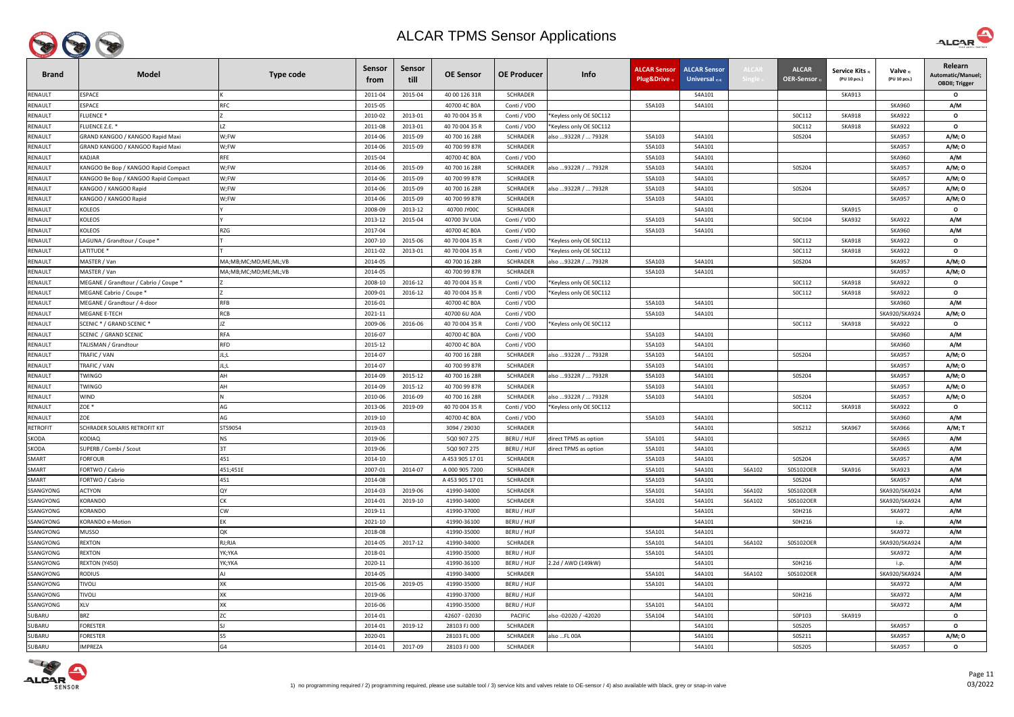

| <b>Brand</b>    | <b>Model</b>                          | <b>Type code</b>     | Sensor<br>from | Sensor<br>till | <b>OE Sensor</b> | <b>OE Producer</b> | Info                    | <b>ALCAR Sensor</b><br>Plug&Drive | <b>ALCAR Sensor</b><br>Universal $_{2/4}$ | <b>\LCAF</b> | <b>ALCAR</b><br><b>OER-Sensor</b> | Service Kits 3)<br>(PU 10 pcs.) | Valve 3)<br>(PU 10 pcs.) | Relearn<br>Automatic/Manuel;<br><b>OBDII; Trigger</b> |
|-----------------|---------------------------------------|----------------------|----------------|----------------|------------------|--------------------|-------------------------|-----------------------------------|-------------------------------------------|--------------|-----------------------------------|---------------------------------|--------------------------|-------------------------------------------------------|
| RENAULT         | <b>ESPACE</b>                         |                      | 2011-04        | 2015-04        | 40 00 126 31R    | <b>SCHRADER</b>    |                         |                                   | S4A101                                    |              |                                   | <b>SKA913</b>                   |                          | $\mathbf{o}$                                          |
| <b>RENAULT</b>  | <b>ESPACE</b>                         | <b>RFC</b>           | 2015-05        |                | 40700 4C B0A     | Conti / VDO        |                         | S5A103                            | S4A101                                    |              |                                   |                                 | <b>SKA960</b>            | A/M                                                   |
| <b>RENAULT</b>  | <b>FLUENCE*</b>                       |                      | 2010-02        | 2013-01        | 40 70 004 35 R   | Conti / VDO        | Keyless only OE SOC112* |                                   |                                           |              | SOC112                            | <b>SKA918</b>                   | <b>SKA922</b>            | $\mathbf{o}$                                          |
| <b>RENAULT</b>  | FLUENCE Z.E. *                        |                      | 2011-08        | 2013-01        | 40 70 004 35 R   | Conti / VDO        | Keyless only OE SOC112* |                                   |                                           |              | SOC112                            | <b>SKA918</b>                   | <b>SKA922</b>            | $\mathbf{o}$                                          |
| RENAULT         | GRAND KANGOO / KANGOO Rapid Maxi      | W;FW                 | 2014-06        | 2015-09        | 40 700 16 28R    | <b>SCHRADER</b>    | also 9322R /  7932R     | S5A103                            | S4A101                                    |              | S0S204                            |                                 | <b>SKA957</b>            | A/M; 0                                                |
| <b>RENAULT</b>  | GRAND KANGOO / KANGOO Rapid Maxi      | W;FW                 | 2014-06        | 2015-09        | 40 700 99 87R    | <b>SCHRADER</b>    |                         | S5A103                            | S4A101                                    |              |                                   |                                 | <b>SKA957</b>            | A/M; O                                                |
| <b>RENAULT</b>  | KADJAR                                | RFE                  | 2015-04        |                | 40700 4C B0A     | Conti / VDO        |                         | S5A103                            | S4A101                                    |              |                                   |                                 | <b>SKA960</b>            | A/M                                                   |
| <b>RENAULT</b>  | KANGOO Be Bop / KANGOO Rapid Compact  | W;FW                 | 2014-06        | 2015-09        | 40 700 16 28R    | <b>SCHRADER</b>    | also 9322R /  7932R     | S5A103                            | S4A101                                    |              | S0S204                            |                                 | <b>SKA957</b>            | A/M; O                                                |
| <b>RENAULT</b>  | KANGOO Be Bop / KANGOO Rapid Compact  | W;FW                 | 2014-06        | 2015-09        | 40 700 99 87R    | <b>SCHRADER</b>    |                         | S5A103                            | S4A101                                    |              |                                   |                                 | <b>SKA957</b>            | A/M; 0                                                |
| RENAULT         | KANGOO / KANGOO Rapid                 | W;FW                 | 2014-06        | 2015-09        | 40 700 16 28R    | <b>SCHRADER</b>    | also 9322R /  7932R     | S5A103                            | S4A101                                    |              | S0S204                            |                                 | <b>SKA957</b>            | A/M; O                                                |
| RENAULT         | KANGOO / KANGOO Rapid                 | W;FW                 | 2014-06        | 2015-09        | 40 700 99 87R    | <b>SCHRADER</b>    |                         | S5A103                            | S4A101                                    |              |                                   |                                 | <b>SKA957</b>            | A/M; O                                                |
| <b>RENAULT</b>  | <b>KOLEOS</b>                         |                      | 2008-09        | 2013-12        | 40700 JY00C      | <b>SCHRADER</b>    |                         |                                   | S4A101                                    |              |                                   | <b>SKA915</b>                   |                          | $\mathbf{o}$                                          |
| <b>RENAULT</b>  | KOLEOS                                |                      | 2013-12        | 2015-04        | 40700 3V U0A     | Conti / VDO        |                         | S5A103                            | S4A101                                    |              | S0C104                            | <b>SKA932</b>                   | <b>SKA922</b>            | A/M                                                   |
| <b>RENAULT</b>  | <b>KOLEOS</b>                         | RZG                  | 2017-04        |                | 40700 4C B0A     | Conti / VDO        |                         | S5A103                            | S4A101                                    |              |                                   |                                 | <b>SKA960</b>            | A/M                                                   |
| RENAULT         | LAGUNA / Grandtour / Coupe *          |                      | 2007-10        | 2015-06        | 40 70 004 35 R   | Conti / VDO        | Keyless only OE SOC112* |                                   |                                           |              | SOC112                            | <b>SKA918</b>                   | <b>SKA922</b>            | $\mathbf{o}$                                          |
| <b>RENAULT</b>  | LATITUDE *                            |                      | 2011-02        | 2013-01        | 40 70 004 35 R   | Conti / VDO        | Keyless only OE SOC112  |                                   |                                           |              | SOC112                            | <b>SKA918</b>                   | <b>SKA922</b>            | $\mathbf{o}$                                          |
| RENAULT         | MASTER / Van                          | MA;MB;MC;MD;ME;ML;VB | 2014-05        |                | 40 700 16 28R    | <b>SCHRADER</b>    | also 9322R /  7932R     | S5A103                            | S4A101                                    |              | S0S204                            |                                 | <b>SKA957</b>            | A/M; O                                                |
| <b>RENAULT</b>  | MASTER / Van                          | MA;MB;MC;MD;ME;ML;VB | 2014-05        |                | 40 700 99 87R    | <b>SCHRADER</b>    |                         | S5A103                            | S4A101                                    |              |                                   |                                 | <b>SKA957</b>            | A/M; O                                                |
| <b>RENAULT</b>  | MEGANE / Grandtour / Cabrio / Coupe * |                      | 2008-10        | 2016-12        | 40 70 004 35 R   | Conti / VDO        | Keyless only OE SOC112* |                                   |                                           |              | SOC112                            | <b>SKA918</b>                   | <b>SKA922</b>            | $\mathbf{o}$                                          |
| <b>RENAULT</b>  | MEGANE Cabrio / Coupe *               |                      | 2009-01        | 2016-12        | 40 70 004 35 R   | Conti / VDO        | Keyless only OE SOC112* |                                   |                                           |              | SOC112                            | <b>SKA918</b>                   | <b>SKA922</b>            | $\mathbf{o}$                                          |
| <b>RENAULT</b>  | MEGANE / Grandtour / 4-door           | <b>RFB</b>           | 2016-01        |                | 40700 4C B0A     | Conti / VDO        |                         | S5A103                            | S4A101                                    |              |                                   |                                 | <b>SKA960</b>            | A/M                                                   |
| <b>RENAULT</b>  | <b>MEGANE E-TECH</b>                  | <b>RCB</b>           | 2021-11        |                | 40700 6U A0A     | Conti / VDO        |                         | S5A103                            | S4A101                                    |              |                                   |                                 | SKA920/SKA924            | A/M; 0                                                |
| RENAULT         | SCENIC * / GRAND SCENIC *             |                      | 2009-06        | 2016-06        | 40 70 004 35 R   | Conti / VDO        | *Keyless only OE S0C112 |                                   |                                           |              | SOC112                            | <b>SKA918</b>                   | <b>SKA922</b>            | $\mathbf{o}$                                          |
| RENAULT         | <b>SCENIC / GRAND SCENIC</b>          | <b>RFA</b>           | 2016-07        |                | 40700 4C B0A     | Conti / VDO        |                         | S5A103                            | S4A101                                    |              |                                   |                                 | <b>SKA960</b>            | A/M                                                   |
| RENAULT         | TALISMAN / Grandtour                  | <b>RFD</b>           | 2015-12        |                | 40700 4C B0A     | Conti / VDO        |                         | S5A103                            | S4A101                                    |              |                                   |                                 | <b>SKA960</b>            | A/M                                                   |
| <b>RENAULT</b>  | TRAFIC / VAN                          | JL;L                 | 2014-07        |                | 40 700 16 28R    | <b>SCHRADER</b>    | also 9322R /  7932R     | S5A103                            | S4A101                                    |              | S0S204                            |                                 | <b>SKA957</b>            | A/M; O                                                |
| <b>RENAULT</b>  | TRAFIC / VAN                          | JL;L                 | 2014-07        |                | 40 700 99 87R    | <b>SCHRADER</b>    |                         | S5A103                            | S4A101                                    |              |                                   |                                 | <b>SKA957</b>            | A/M; O                                                |
| <b>RENAULT</b>  | <b>TWINGO</b>                         | AH                   | 2014-09        | 2015-12        | 40 700 16 28R    | <b>SCHRADER</b>    | also 9322R /  7932R     | S5A103                            | S4A101                                    |              | S0S204                            |                                 | <b>SKA957</b>            | A/M; 0                                                |
| <b>RENAULT</b>  | <b>TWINGO</b>                         | AH                   | 2014-09        | 2015-12        | 40 700 99 87R    | SCHRADER           |                         | S5A103                            | S4A101                                    |              |                                   |                                 | <b>SKA957</b>            | A/M; O                                                |
| <b>RENAULT</b>  | <b>WIND</b>                           |                      | 2010-06        | 2016-09        | 40 700 16 28R    | <b>SCHRADER</b>    | also 9322R /  7932R     | S5A103                            | S4A101                                    |              | S0S204                            |                                 | <b>SKA957</b>            | A/M; O                                                |
| RENAULT         | ZOE *                                 | AG                   | 2013-06        | 2019-09        | 40 70 004 35 R   | Conti / VDO        | Keyless only OE SOC112* |                                   |                                           |              | SOC112                            | <b>SKA918</b>                   | <b>SKA922</b>            | $\mathbf{o}$                                          |
| RENAULT         | ZOE                                   | AG                   | 2019-10        |                | 40700 4C B0A     | Conti / VDO        |                         | S5A103                            | S4A101                                    |              |                                   |                                 | <b>SKA960</b>            | A/M                                                   |
| <b>RETROFIT</b> | SCHRADER SOLARIS RETROFIT KIT         | STS9054              | 2019-03        |                | 3094 / 29030     | <b>SCHRADER</b>    |                         |                                   | S4A101                                    |              | S0S212                            | <b>SKA967</b>                   | <b>SKA966</b>            | A/M; T                                                |
| <b>SKODA</b>    | <b>KODIAQ</b>                         | <b>NS</b>            | 2019-06        |                | 5Q0 907 275      | BERU / HUF         | direct TPMS as option   | S5A101                            | S4A101                                    |              |                                   |                                 | <b>SKA965</b>            | A/M                                                   |
| <b>SKODA</b>    | SUPERB / Combi / Scout                | 3T                   | 2019-06        |                | 5Q0 907 275      | BERU / HUF         | direct TPMS as option   | S5A101                            | S4A101                                    |              |                                   |                                 | <b>SKA965</b>            | A/M                                                   |
| SMART           | FORFOUR                               | 451                  | 2014-10        |                | A 453 905 17 01  | <b>SCHRADER</b>    |                         | S5A103                            | S4A101                                    |              | S0S204                            |                                 | <b>SKA957</b>            | A/M                                                   |
| SMART           | FORTWO / Cabrio                       | 451;451E             | 2007-01        | 2014-07        | A 000 905 7200   | <b>SCHRADER</b>    |                         | S5A101                            | S4A101                                    | S6A102       | S0S102OER                         | <b>SKA916</b>                   | <b>SKA923</b>            | A/M                                                   |
| SMART           | FORTWO / Cabrio                       | 451                  | 2014-08        |                | A 453 905 17 01  | <b>SCHRADER</b>    |                         | S5A103                            | S4A101                                    |              | S0S204                            |                                 | <b>SKA957</b>            | A/M                                                   |
| SSANGYONG       | <b>ACTYON</b>                         | QY                   | 2014-03        | 2019-06        | 41990-34000      | <b>SCHRADER</b>    |                         | S5A101                            | S4A101                                    | S6A102       | S0S102OER                         |                                 | SKA920/SKA924            | A/M                                                   |
| SSANGYONG       | KORANDO                               | CК                   | 2014-01        | 2019-10        | 41990-34000      | <b>SCHRADER</b>    |                         | S5A101                            | S4A101                                    | S6A102       | S0S102OER                         |                                 | SKA920/SKA924            | A/M                                                   |
| SSANGYONG       | KORANDO                               | <b>CW</b>            | 2019-11        |                | 41990-37000      | BERU / HUF         |                         |                                   | S4A101                                    |              | S0H216                            |                                 | <b>SKA972</b>            | A/M                                                   |
| SSANGYONG       | <b>KORANDO e-Motion</b>               | EK                   | 2021-10        |                | 41990-36100      | BERU / HUF         |                         |                                   | S4A101                                    |              | S0H216                            |                                 | i.p.                     | A/M                                                   |
| SSANGYONG       | <b>MUSSO</b>                          | QK                   | 2018-08        |                | 41990-35000      | BERU / HUF         |                         | S5A101                            | S4A101                                    |              |                                   |                                 | <b>SKA972</b>            | A/M                                                   |
| SSANGYONG       | <b>REXTON</b>                         | RJ;RJA               | 2014-05        | 2017-12        | 41990-34000      | <b>SCHRADER</b>    |                         | S5A101                            | S4A101                                    | S6A102       | S0S102OER                         |                                 | SKA920/SKA924            | A/M                                                   |
| SSANGYONG       | <b>REXTON</b>                         | YK;YKA               | 2018-01        |                | 41990-35000      | BERU / HUF         |                         | S5A101                            | S4A101                                    |              |                                   |                                 | SKA972                   | A/M                                                   |
| SSANGYONG       | REXTON (Y450)                         | YK;YKA               | 2020-11        |                | 41990-36100      | BERU / HUF         | 2.2d / AWD (149kW)      |                                   | S4A101                                    |              | S0H216                            |                                 | i.p.                     | A/M                                                   |
| SSANGYONG       | <b>RODIUS</b>                         |                      | 2014-05        |                | 41990-34000      | <b>SCHRADER</b>    |                         | S5A101                            | S4A101                                    | S6A102       | S0S102OER                         |                                 | SKA920/SKA924            | A/M                                                   |
| SSANGYONG       | <b>TIVOLI</b>                         | XK                   | 2015-06        | 2019-05        | 41990-35000      | BERU / HUF         |                         | S5A101                            | S4A101                                    |              |                                   |                                 | <b>SKA972</b>            | A/M                                                   |
| SSANGYONG       | <b>TIVOLI</b>                         | XK                   | 2019-06        |                | 41990-37000      | BERU / HUF         |                         |                                   | S4A101                                    |              | S0H216                            |                                 | <b>SKA972</b>            | A/M                                                   |
| SSANGYONG       | <b>XLV</b>                            | XK                   | 2016-06        |                | 41990-35000      | BERU / HUF         |                         | S5A101                            | S4A101                                    |              |                                   |                                 | <b>SKA972</b>            | A/M                                                   |
| SUBARU          | <b>BRZ</b>                            |                      | 2014-01        |                | 42607 - 02030    | <b>PACIFIC</b>     | also -02020 / -42020    | S5A104                            | S4A101                                    |              | S0P103                            | <b>SKA919</b>                   |                          | $\mathbf{o}$                                          |
| SUBARU          | FORESTER                              |                      | 2014-01        | 2019-12        | 28103 FJ 000     | SCHRADER           |                         |                                   | S4A101                                    |              | S0S205                            |                                 | <b>SKA957</b>            | $\mathbf{o}$                                          |
| SUBARU          | FORESTER                              | S5                   | 2020-01        |                | 28103 FL 000     | <b>SCHRADER</b>    | also FL 00A             |                                   | S4A101                                    |              | S0S211                            |                                 | <b>SKA957</b>            | A/M; O                                                |
| SUBARU          | <b>IMPREZA</b>                        |                      | 2014-01        | 2017-09        | 28103 FJ 000     | <b>SCHRADER</b>    |                         |                                   | S4A101                                    |              | S0S205                            |                                 | <b>SKA957</b>            | $\mathbf{o}$                                          |



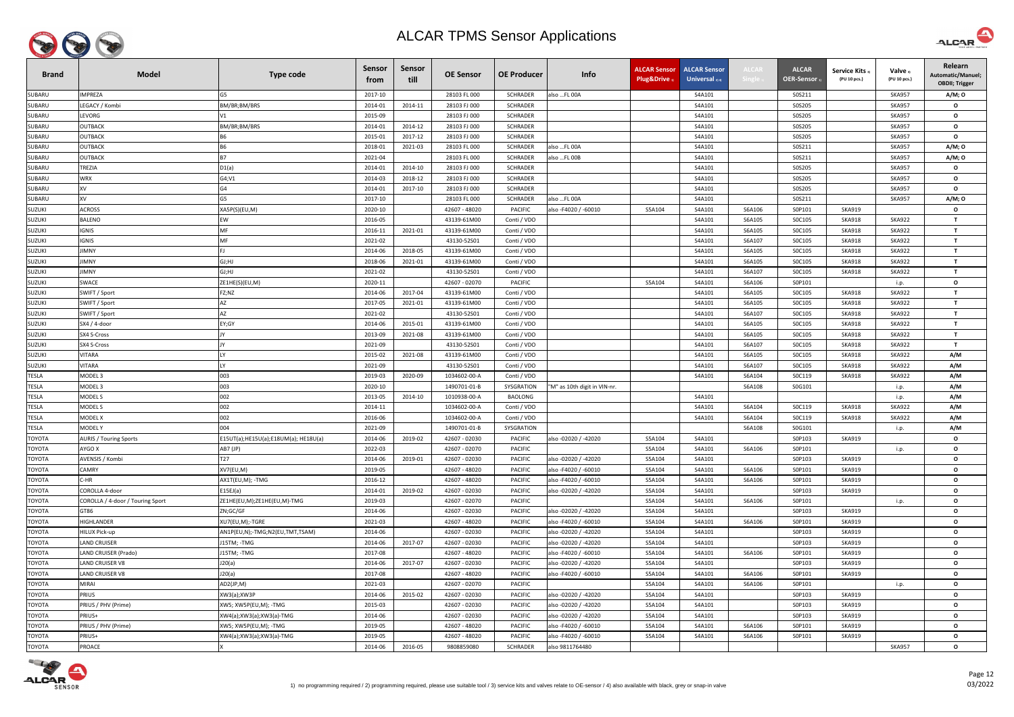

| <b>Brand</b>  | <b>Model</b>                     | <b>Type code</b>                     | <b>Sensor</b><br>trom | Sensor<br>till | <b>OE Sensor</b>               | <b>OE Producer</b>               | Info                                         | <b>ALCAR Sensor</b><br>Plug&Drive | <b>ALCAR Sensor</b><br>Universal $_{2/4}$ | ALCAI            | <b>ALCAR</b><br><b>OER-Sensor</b> | <b>Service Kits</b><br>(PU 10 pcs.) | Valve 3)<br>(PU 10 pcs.) | Relearn<br>Automatic/Manuel;<br><b>OBDII</b> ; Trigger |
|---------------|----------------------------------|--------------------------------------|-----------------------|----------------|--------------------------------|----------------------------------|----------------------------------------------|-----------------------------------|-------------------------------------------|------------------|-----------------------------------|-------------------------------------|--------------------------|--------------------------------------------------------|
| SUBARU        | <b>IMPREZA</b>                   | G5                                   | 2017-10               |                | 28103 FL 000                   | <b>SCHRADER</b>                  | also FL 00A                                  |                                   | S4A101                                    |                  | S0S211                            |                                     | <b>SKA957</b>            | A/M; 0                                                 |
| SUBARU        | LEGACY / Kombi                   | BM/BR;BM/BRS                         | 2014-01               | 2014-11        | 28103 FJ 000                   | <b>SCHRADER</b>                  |                                              |                                   | S4A101                                    |                  | S0S205                            |                                     | <b>SKA957</b>            | $\mathbf{o}$                                           |
| SUBARU        | LEVORG                           | V1                                   | 2015-09               |                | 28103 FJ 000                   | <b>SCHRADER</b>                  |                                              |                                   | S4A101                                    |                  | S0S205                            |                                     | <b>SKA957</b>            | $\mathbf{o}$                                           |
| SUBARU        | <b>OUTBACK</b>                   | BM/BR;BM/BRS                         | 2014-01               | 2014-12        | 28103 FJ 000                   | <b>SCHRADER</b>                  |                                              |                                   | S4A101                                    |                  | S0S205                            |                                     | <b>SKA957</b>            | $\mathbf{o}$                                           |
| SUBARU        | <b>OUTBACK</b>                   | <b>B6</b>                            | 2015-01               | 2017-12        | 28103 FJ 000                   | <b>SCHRADER</b>                  |                                              |                                   | S4A101                                    |                  | S0S205                            |                                     | <b>SKA957</b>            | $\mathbf{o}$                                           |
| SUBARU        | <b>OUTBACK</b>                   |                                      | 2018-01               | 2021-03        | 28103 FL 000                   | <b>SCHRADER</b>                  | also FL 00A                                  |                                   | S4A101                                    |                  | S0S211                            |                                     | <b>SKA957</b>            | A/M; 0                                                 |
| SUBARU        | <b>OUTBACK</b>                   | <b>B7</b>                            | 2021-04               |                | 28103 FL 000                   | <b>SCHRADER</b>                  | also FL 00B                                  |                                   | S4A101                                    |                  | S0S211                            |                                     | <b>SKA957</b>            | A/M; 0                                                 |
| SUBARU        | TREZIA                           | D1(a)                                | 2014-01               | 2014-10        | 28103 FJ 000                   | <b>SCHRADER</b>                  |                                              |                                   | S4A101                                    |                  | S0S205                            |                                     | <b>SKA957</b>            | $\mathbf{o}$                                           |
| SUBARU        | WRX                              | G4; V1                               | 2014-03               | 2018-12        | 28103 FJ 000                   | SCHRADER                         |                                              |                                   | S4A101                                    |                  | S0S205                            |                                     | <b>SKA957</b>            | $\mathbf{o}$                                           |
| SUBARU        | XV                               | G4                                   | 2014-01               | 2017-10        | 28103 FJ 000                   | <b>SCHRADER</b>                  |                                              |                                   | S4A101                                    |                  | S0S205                            |                                     | <b>SKA957</b>            | $\mathbf{o}$                                           |
| SUBARU        | XV                               | G5                                   | 2017-10               |                | 28103 FL 000                   | <b>SCHRADER</b>                  | also FL 00A                                  |                                   | S4A101                                    |                  | S0S211                            |                                     | <b>SKA957</b>            | A/M; 0                                                 |
| <b>SUZUKI</b> | <b>ACROSS</b>                    | XA5P(S)(EU,M)                        | 2020-10               |                | 42607 - 48020                  | <b>PACIFIC</b>                   | also - F4020 / -60010                        | S5A104                            | S4A101                                    | S6A106           | S0P101                            | <b>SKA919</b>                       |                          | $\mathbf{o}$                                           |
| <b>SUZUKI</b> | BALENO                           | EW                                   | 2016-05               |                | 43139-61M00                    | Conti / VDO                      |                                              |                                   | S4A101                                    | S6A105           | SOC105                            | <b>SKA918</b>                       | <b>SKA922</b>            | $\mathbf{T}$                                           |
| <b>SUZUKI</b> | <b>IGNIS</b>                     | MF                                   | 2016-11               | 2021-01        | 43139-61M00                    | Conti / VDO                      |                                              |                                   | S4A101                                    | S6A105           | SOC105                            | <b>SKA918</b>                       | <b>SKA922</b>            | $\mathbf{T}$                                           |
| <b>SUZUKI</b> | <b>IGNIS</b>                     | MF                                   | 2021-02               |                | 43130-52S01                    | Conti / VDO                      |                                              |                                   | S4A101                                    | S6A107           | SOC105                            | <b>SKA918</b>                       | <b>SKA922</b>            | $\mathbf{T}$                                           |
| <b>SUZUKI</b> | <b>IIMNY</b>                     |                                      | 2014-06               | 2018-05        | 43139-61M00                    | Conti / VDO                      |                                              |                                   | S4A101                                    | S6A105           | SOC105                            | <b>SKA918</b>                       | SKA922                   | $\mathbf{T}$                                           |
| <b>SUZUKI</b> | <b>IMNY</b>                      | GJ;HJ                                | 2018-06               | 2021-01        | 43139-61M00                    | Conti / VDO                      |                                              |                                   | S4A101                                    | S6A105           | SOC105                            | <b>SKA918</b>                       | <b>SKA922</b>            | $\mathbf{T}$                                           |
| SUZUKI        | IMNY                             | GJ;HJ                                | 2021-02               |                | 43130-52S01                    | Conti / VDO                      |                                              |                                   | S4A101                                    | S6A107           | SOC105                            | <b>SKA918</b>                       | <b>SKA922</b>            | $\mathbf{T}$                                           |
| <b>SUZUKI</b> | SWACE                            | ZE1HE(S)(EU,M)                       | 2020-11               |                | 42607 - 02070                  | <b>PACIFIC</b>                   |                                              | S5A104                            | S4A101                                    | S6A106           | S0P101                            |                                     | i.p.                     | $\mathbf{o}$                                           |
| <b>SUZUKI</b> | SWIFT / Sport                    | FZ;NZ                                | 2014-06               | 2017-04        | 43139-61M00                    | Conti / VDO                      |                                              |                                   | S4A101                                    | S6A105           | SOC105                            | <b>SKA918</b>                       | <b>SKA922</b>            | $\mathbf{T}$                                           |
| <b>SUZUKI</b> | SWIFT / Sport                    | AZ                                   | 2017-05               | 2021-01        | 43139-61M00                    | Conti / VDO                      |                                              |                                   | S4A101                                    | S6A105           | SOC105                            | <b>SKA918</b>                       | <b>SKA922</b>            | $\mathbf{T}$                                           |
| <b>SUZUKI</b> | SWIFT / Sport                    | AZ                                   | 2021-02               |                | 43130-52S01                    | Conti / VDO                      |                                              |                                   | S4A101                                    | S6A107           | SOC105                            | <b>SKA918</b>                       | <b>SKA922</b>            | $\mathbf{T}$                                           |
| SUZUKI        | SX4 / 4-door                     | EY;GY                                | 2014-06               | 2015-01        | 43139-61M00                    | Conti / VDO                      |                                              |                                   | S4A101                                    | S6A105           | SOC105                            | <b>SKA918</b>                       | <b>SKA922</b>            | $\mathbf{T}$                                           |
| <b>SUZUKI</b> | SX4 S-Cross                      |                                      | 2013-09               | 2021-08        | 43139-61M00                    | Conti / VDO                      |                                              |                                   | S4A101                                    | S6A105           | SOC105                            | <b>SKA918</b>                       | <b>SKA922</b>            | $\mathbf{T}$                                           |
| <b>SUZUKI</b> | SX4 S-Cross                      |                                      | 2021-09               |                | 43130-52S01                    | Conti / VDO                      |                                              |                                   | S4A101                                    | S6A107           | SOC105                            | <b>SKA918</b>                       | <b>SKA922</b>            | $\mathbf{T}$                                           |
| <b>SUZUKI</b> | <b>VITARA</b>                    |                                      | 2015-02               | 2021-08        | 43139-61M00                    | Conti / VDO                      |                                              |                                   | S4A101                                    | S6A105           | SOC105                            | <b>SKA918</b>                       | <b>SKA922</b>            | A/M                                                    |
| <b>SUZUKI</b> | <b>VITARA</b>                    |                                      | 2021-09               |                | 43130-52S01                    | Conti / VDO                      |                                              |                                   | S4A101                                    | S6A107           | SOC105                            | <b>SKA918</b>                       | <b>SKA922</b>            | A/M                                                    |
| TESLA         | MODEL <sub>3</sub>               | 003                                  | 2019-03               | 2020-09        | 1034602-00-A                   | Conti / VDO                      |                                              |                                   | S4A101                                    | S6A104           | SOC119                            | <b>SKA918</b>                       | <b>SKA922</b>            | A/M                                                    |
| <b>TESLA</b>  | MODEL 3                          | 003                                  | 2020-10               |                | 1490701-01-B                   | SYSGRATION                       | "M" as 10th digit in VIN-nr                  |                                   |                                           | S6A108           | S0G101                            |                                     | i.p.                     | A/M                                                    |
| <b>TESLA</b>  | MODEL S                          | 002                                  | 2013-05               | 2014-10        | 1010938-00-A                   | <b>BAOLONG</b>                   |                                              |                                   | S4A101                                    |                  |                                   |                                     | i.p.                     | A/M                                                    |
| <b>TESLA</b>  | MODEL S                          | 002                                  | 2014-11               |                | 1034602-00-A                   | Conti / VDO                      |                                              |                                   | S4A101                                    | S6A104           | SOC119                            | <b>SKA918</b>                       | <b>SKA922</b>            | A/M                                                    |
| <b>TESLA</b>  | MODEL X                          | 002                                  | 2016-06               |                | 1034602-00-A                   | Conti / VDO                      |                                              |                                   | S4A101                                    | S6A104           | SOC119                            | <b>SKA918</b>                       | <b>SKA922</b>            | A/M                                                    |
| TESLA         | MODEL Y                          | 004                                  | 2021-09               |                | 1490701-01-B                   | SYSGRATION                       |                                              |                                   |                                           | S6A108           | S0G101                            |                                     | i.p.                     | A/M                                                    |
| TOYOTA        | <b>AURIS / Touring Sports</b>    | E15UT(a);HE15U(a);E18UM(a); HE18U(a) | 2014-06               | 2019-02        | 42607 - 02030                  | <b>PACIFIC</b>                   | also -02020 / -42020                         | S5A104                            | S4A101                                    |                  | S0P103                            | <b>SKA919</b>                       |                          | $\mathbf{o}$                                           |
| <b>TOYOTA</b> | AYGO X                           | AB7 (JP)                             | 2022-03               |                | 42607 - 02070                  | <b>PACIFIC</b>                   |                                              | S5A104                            | S4A101                                    | S6A106           | S0P101                            |                                     | i.p.                     | $\mathbf{o}$                                           |
| ΤΟΥΟΤΑ        | AVENSIS / Kombi                  | T <sub>27</sub>                      | 2014-06               | 2019-01        | 42607 - 02030                  | <b>PACIFIC</b>                   | also -02020 / -42020                         | S5A104                            | S4A101                                    |                  | S0P103                            | <b>SKA919</b>                       |                          | $\mathbf{o}$                                           |
| ΤΟΥΟΤΑ        | CAMRY                            | XV7(EU,M)                            | 2019-05               |                | 42607 - 48020                  | <b>PACIFIC</b>                   | also - F4020 / -60010                        | S5A104                            | S4A101                                    | S6A106           | S0P101                            | <b>SKA919</b>                       |                          | $\mathbf{o}$                                           |
| TOYOTA        | C-HR                             | AX1T(EU,M); - TMG                    | 2016-12               |                | 42607 - 48020                  | <b>PACIFIC</b>                   | also - F4020 / -60010                        | S5A104                            | S4A101                                    | S6A106           | S0P101                            | <b>SKA919</b>                       |                          | $\mathbf{o}$                                           |
| TOYOTA        | COROLLA 4-door                   | E15EJ(a)                             | 2014-01               | 2019-02        | 42607 - 02030                  | <b>PACIFIC</b>                   | also -02020 / -42020                         | S5A104                            | S4A101                                    |                  | S0P103                            | <b>SKA919</b>                       |                          | $\mathbf{o}$                                           |
| ΤΟΥΟΤΑ        | COROLLA / 4-door / Touring Sport | ZE1HE(EU,M);ZE1HE(EU,M)-TMG          | 2019-03               |                | 42607 - 02070                  | <b>PACIFIC</b>                   |                                              | S5A104                            | S4A101                                    | S6A106           | S0P101                            |                                     | i.p.                     | $\mathbf{o}$                                           |
| ΤΟΥΟΤΑ        | GT86                             | ZN;GC/GF                             | 2014-06               |                | 42607 - 02030                  | <b>PACIFIC</b>                   | also -02020 / -42020                         | S5A104                            | S4A101                                    |                  | S0P103                            | <b>SKA919</b>                       |                          | $\mathbf{o}$                                           |
| ΤΟΥΟΤΑ        | HIGHLANDER                       | XU7(EU,M);-TGRE                      | 2021-03               |                | 42607 - 48020                  | <b>PACIFIC</b>                   | also - F4020 / -60010                        | S5A104                            | S4A101                                    | S6A106           | S0P101                            | <b>SKA919</b>                       |                          | $\mathbf{o}$                                           |
| TOYOTA        | <b>HILUX Pick-up</b>             | AN1P(EU,N);-TMG;N2(EU,TMT,TSAM)      | 2014-06               |                | 42607 - 02030                  | <b>PACIFIC</b>                   | also -02020 / -42020                         | S5A104                            | S4A101                                    |                  | S0P103                            | <b>SKA919</b>                       |                          | $\mathbf{o}$                                           |
| ΤΟΥΟΤΑ        | LAND CRUISER                     | J15TM; -TMG                          | 2014-06               | 2017-07        | 42607 - 02030                  | PACIFIC                          | also -02020 / -42020                         | S5A104                            | S4A101                                    |                  | S0P103                            | <b>SKA919</b>                       |                          | $\mathbf{o}$                                           |
| ΤΟΥΟΤΑ        | LAND CRUISER (Prado)             | J15TM; -TMG                          | 2017-08               |                | 42607 - 48020                  | <b>PACIFIC</b>                   | also -F4020 / -60010                         | S5A104                            | S4A101                                    | S6A106           | S0P101                            | <b>SKA919</b>                       |                          | $\mathbf{o}$                                           |
| ΤΟΥΟΤΑ        | LAND CRUISER V8                  | J20(a)                               | 2014-06               | 2017-07        | 42607 - 02030                  | PACIFIC                          | also -02020 / -42020                         | S5A104                            | S4A101                                    |                  | S0P103                            | <b>SKA919</b>                       |                          | $\mathbf{o}$                                           |
| ΤΟΥΟΤΑ        | LAND CRUISER V8                  | J20(a)                               | 2017-08               |                | 42607 - 48020                  | <b>PACIFIC</b>                   | also - F4020 / -60010                        | S5A104                            | S4A101                                    | S6A106           | S0P101                            | <b>SKA919</b>                       |                          | $\mathbf{o}$                                           |
| ΤΟΥΟΤΑ        | MIRAI                            | AD2(JP,M)                            | 2021-03               |                | 42607 - 02070                  | <b>PACIFIC</b>                   |                                              | S5A104                            | S4A101                                    | S6A106           | S0P101                            |                                     | i.p.                     | $\mathbf{o}$                                           |
| ΤΟΥΟΤΑ        | <b>PRIUS</b>                     | XW3(a);XW3P                          | 2014-06               | 2015-02        | 42607 - 02030                  | <b>PACIFIC</b>                   | also -02020 / -42020                         | S5A104                            | S4A101                                    |                  | S0P103                            | <b>SKA919</b>                       |                          | $\mathbf{o}$                                           |
| ΤΟΥΟΤΑ        | PRIUS / PHV (Prime)              | XW5; XW5P(EU,M); -TMG                | 2015-03<br>2014-06    |                | 42607 - 02030<br>42607 - 02030 | <b>PACIFIC</b><br><b>PACIFIC</b> | also -02020 / -42020<br>also -02020 / -42020 | S5A104                            | S4A101                                    |                  | S0P103<br>S0P103                  | <b>SKA919</b>                       |                          | $\mathbf{o}$                                           |
| ΤΟΥΟΤΑ        | PRIUS+                           | XW4(a);XW3(a);XW3(a)-TMG             |                       |                |                                |                                  |                                              | S5A104                            | S4A101                                    |                  |                                   | <b>SKA919</b>                       |                          | $\mathbf{o}$                                           |
| ΤΟΥΟΤΑ        | PRIUS / PHV (Prime)<br>PRIUS+    | XW5; XW5P(EU,M); -TMG                | 2019-05<br>2019-05    |                | 42607 - 48020                  | <b>PACIFIC</b><br><b>PACIFIC</b> | also - F4020 / -60010                        | S5A104                            | S4A101<br>S4A101                          | S6A106<br>S6A106 | S0P101<br>S0P101                  | <b>SKA919</b><br><b>SKA919</b>      |                          | $\mathbf{o}$                                           |
| ΤΟΥΟΤΑ        | PROACE                           | XW4(a);XW3(a);XW3(a)-TMG             |                       | 2016-05        | 42607 - 48020                  | <b>SCHRADER</b>                  | also -F4020 / -60010                         | S5A104                            |                                           |                  |                                   |                                     |                          | $\mathbf{o}$                                           |
| TOYOTA        |                                  |                                      | 2014-06               |                | 9808859080                     |                                  | also 9811764480                              |                                   |                                           |                  |                                   |                                     | <b>SKA957</b>            | $\mathbf{o}$                                           |